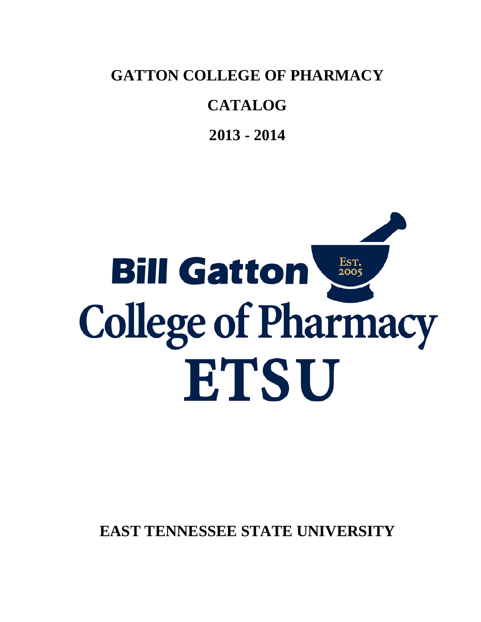**GATTON COLLEGE OF PHARMACY**

# **CATALOG**

**2013 - 2014**

# Est.<br>2005 **Bill Gatton College of Pharmacy** ETSU

**EAST TENNESSEE STATE UNIVERSITY**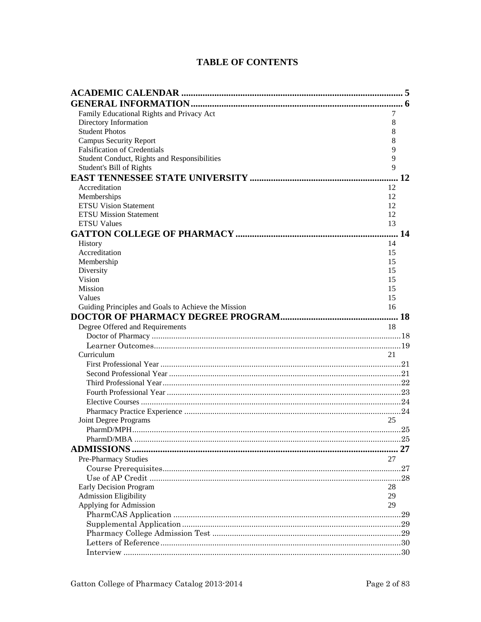# **TABLE OF CONTENTS**

| Family Educational Rights and Privacy Act           | 7  |  |
|-----------------------------------------------------|----|--|
| Directory Information                               | 8  |  |
| <b>Student Photos</b>                               | 8  |  |
| <b>Campus Security Report</b>                       | 8  |  |
| <b>Falsification of Credentials</b>                 | 9  |  |
| Student Conduct, Rights and Responsibilities        | 9  |  |
| Student's Bill of Rights                            | 9  |  |
|                                                     | 12 |  |
| Accreditation                                       | 12 |  |
| Memberships                                         | 12 |  |
| <b>ETSU Vision Statement</b>                        | 12 |  |
| <b>ETSU Mission Statement</b>                       | 12 |  |
| <b>ETSU Values</b>                                  | 13 |  |
|                                                     |    |  |
| History                                             | 14 |  |
| Accreditation                                       | 15 |  |
| Membership                                          | 15 |  |
| Diversity                                           | 15 |  |
| Vision                                              | 15 |  |
| Mission                                             | 15 |  |
| Values                                              | 15 |  |
| Guiding Principles and Goals to Achieve the Mission | 16 |  |
|                                                     |    |  |
| Degree Offered and Requirements                     | 18 |  |
|                                                     |    |  |
|                                                     |    |  |
| Curriculum                                          | 21 |  |
|                                                     |    |  |
|                                                     |    |  |
|                                                     |    |  |
|                                                     |    |  |
|                                                     |    |  |
|                                                     |    |  |
| Joint Degree Programs                               | 25 |  |
|                                                     |    |  |
|                                                     |    |  |
|                                                     |    |  |
| Pre-Pharmacy Studies                                | 27 |  |
|                                                     |    |  |
|                                                     |    |  |
| <b>Early Decision Program</b>                       | 28 |  |
| <b>Admission Eligibility</b>                        | 29 |  |
| Applying for Admission                              | 29 |  |
|                                                     |    |  |
|                                                     |    |  |
|                                                     |    |  |
|                                                     |    |  |
|                                                     |    |  |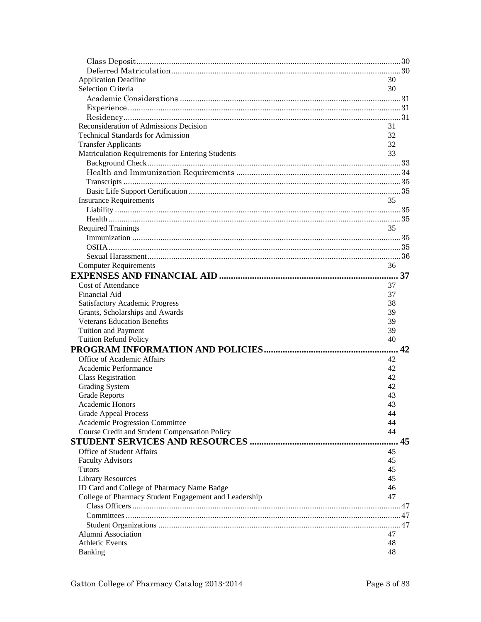| <b>Application Deadline</b>                           | 30 |
|-------------------------------------------------------|----|
| <b>Selection Criteria</b>                             | 30 |
|                                                       |    |
|                                                       |    |
|                                                       |    |
|                                                       |    |
| Reconsideration of Admissions Decision                | 31 |
| <b>Technical Standards for Admission</b>              | 32 |
| <b>Transfer Applicants</b>                            | 32 |
| Matriculation Requirements for Entering Students      | 33 |
|                                                       |    |
|                                                       |    |
|                                                       |    |
|                                                       |    |
| <b>Insurance Requirements</b>                         | 35 |
|                                                       |    |
|                                                       |    |
| <b>Required Trainings</b>                             | 35 |
|                                                       |    |
|                                                       |    |
|                                                       |    |
| <b>Computer Requirements</b>                          | 36 |
|                                                       |    |
| <b>Cost of Attendance</b>                             | 37 |
| Financial Aid                                         | 37 |
| <b>Satisfactory Academic Progress</b>                 | 38 |
| Grants, Scholarships and Awards                       | 39 |
| <b>Veterans Education Benefits</b>                    | 39 |
| <b>Tuition and Payment</b>                            | 39 |
| <b>Tuition Refund Policy</b>                          | 40 |
|                                                       | 42 |
| Office of Academic Affairs                            | 42 |
| Academic Performance                                  | 42 |
| <b>Class Registration</b>                             | 42 |
| <b>Grading System</b>                                 | 42 |
| <b>Grade Reports</b>                                  | 43 |
| <b>Academic Honors</b>                                | 43 |
| <b>Grade Appeal Process</b>                           | 44 |
| Academic Progression Committee                        | 44 |
| Course Credit and Student Compensation Policy         | 44 |
|                                                       | 45 |
|                                                       |    |
| <b>Office of Student Affairs</b>                      | 45 |
| <b>Faculty Advisors</b>                               | 45 |
| <b>Tutors</b>                                         | 45 |
| <b>Library Resources</b>                              | 45 |
| ID Card and College of Pharmacy Name Badge            | 46 |
| College of Pharmacy Student Engagement and Leadership | 47 |
|                                                       |    |
|                                                       |    |
|                                                       |    |
| Alumni Association                                    | 47 |
| <b>Athletic Events</b>                                | 48 |
| Banking                                               | 48 |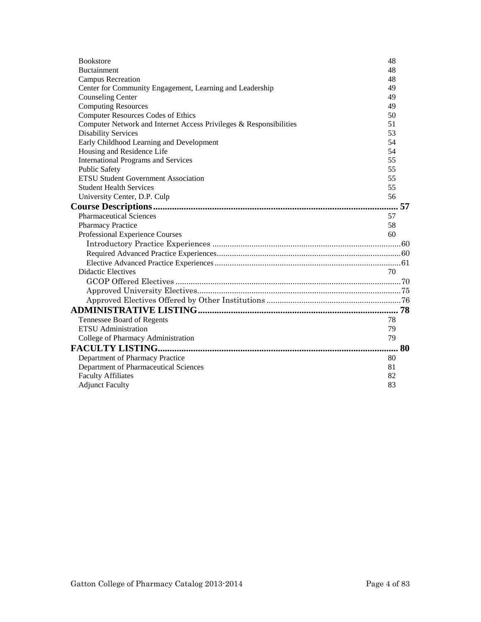| <b>Bookstore</b>                                                   | 48 |
|--------------------------------------------------------------------|----|
| <b>Buctainment</b>                                                 | 48 |
| Campus Recreation                                                  | 48 |
| Center for Community Engagement, Learning and Leadership           | 49 |
| <b>Counseling Center</b>                                           | 49 |
| <b>Computing Resources</b>                                         | 49 |
| <b>Computer Resources Codes of Ethics</b>                          | 50 |
| Computer Network and Internet Access Privileges & Responsibilities | 51 |
| <b>Disability Services</b>                                         | 53 |
| Early Childhood Learning and Development                           | 54 |
| Housing and Residence Life                                         | 54 |
| <b>International Programs and Services</b>                         | 55 |
| <b>Public Safety</b>                                               | 55 |
| <b>ETSU Student Government Association</b>                         | 55 |
| <b>Student Health Services</b>                                     | 55 |
| University Center, D.P. Culp                                       | 56 |
|                                                                    | 57 |
| <b>Pharmaceutical Sciences</b>                                     | 57 |
| <b>Pharmacy Practice</b>                                           | 58 |
| Professional Experience Courses                                    | 60 |
|                                                                    |    |
|                                                                    |    |
|                                                                    |    |
| <b>Didactic Electives</b>                                          | 70 |
|                                                                    |    |
|                                                                    |    |
|                                                                    |    |
|                                                                    |    |
| Tennessee Board of Regents                                         | 78 |
| <b>ETSU</b> Administration                                         | 79 |
| College of Pharmacy Administration                                 | 79 |
|                                                                    | 80 |
| Department of Pharmacy Practice                                    | 80 |
| Department of Pharmaceutical Sciences                              | 81 |
| <b>Faculty Affiliates</b>                                          | 82 |
| <b>Adjunct Faculty</b>                                             | 83 |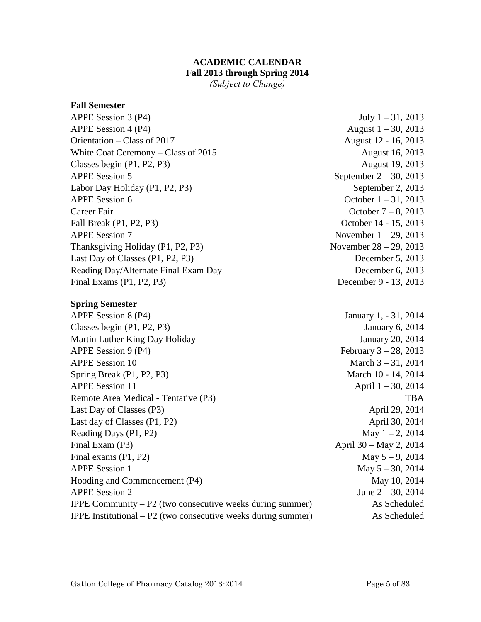# **ACADEMIC CALENDAR Fall 2013 through Spring 2014**

*(Subject to Change)* 

#### <span id="page-4-0"></span>**Fall Semester**

APPE Session 3 (P4) July 1 – 31, 2013 APPE Session 4 (P4)  $\Delta$  August 1 – 30, 2013 Orientation – Class of 2017 August 12 - 16, 2013 White Coat Ceremony – Class of 2015 August 16, 2013 Classes begin (P1, P2, P3) August 19, 2013 APPE Session 5 September  $2 - 30$ , 2013 Labor Day Holiday (P1, P2, P3) September 2, 2013 APPE Session 6 October 1 – 31, 2013 Career Fair Career Fair Contract Contract Contract Contract Contract Contract Contract Contract Contract Contract Contract Contract Contract Contract Contract Contract Contract Contract Contract Contract Contract Contract Fall Break (P1, P2, P3) October 14 - 15, 2013 APPE Session 7 November 1 – 29, 2013 Thanksgiving Holiday  $(P1, P2, P3)$  November  $28 - 29, 2013$ Last Day of Classes (P1, P2, P3) December 5, 2013 Reading Day/Alternate Final Exam Day December 6, 2013 Final Exams (P1, P2, P3) December 9 - 13, 2013

# **Spring Semester**

APPE Session 8 (P4) January 1, - 31, 2014 Classes begin (P1, P2, P3) January 6, 2014 Martin Luther King Day Holiday **State Act 10** January 20, 2014 APPE Session 9 (P4)  $\blacksquare$  February 3 – 28, 2013 APPE Session 10 March 3 – 31, 2014 Spring Break (P1, P2, P3) March 10 - 14, 2014 APPE Session 11  $\Delta$  April 1 – 30, 2014 Remote Area Medical - Tentative (P3) TBA Last Day of Classes (P3) April 29, 2014 Last day of Classes (P1, P2) April 30, 2014 Reading Days  $(P1, P2)$  May  $1 - 2$ , 2014 Final Exam (P3) April 30 – May 2, 2014 Final exams  $(P1, P2)$  May  $5 - 9$ , 2014 APPE Session 1 May  $5 - 30$ , 2014 Hooding and Commencement (P4) May 10, 2014 APPE Session 2 June 2 – 30, 2014 IPPE Community – P2 (two consecutive weeks during summer) As Scheduled IPPE Institutional – P2 (two consecutive weeks during summer) As Scheduled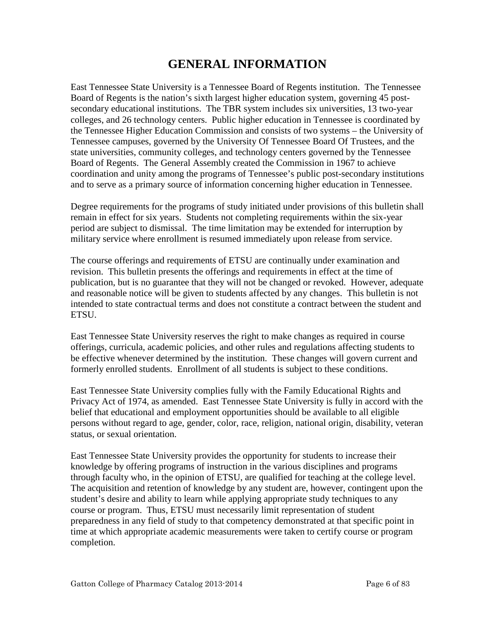# **GENERAL INFORMATION**

<span id="page-5-0"></span>East Tennessee State University is a Tennessee Board of Regents institution. The Tennessee Board of Regents is the nation's sixth largest higher education system, governing 45 postsecondary educational institutions. The TBR system includes six universities, 13 two-year colleges, and 26 technology centers. Public higher education in Tennessee is coordinated by the Tennessee Higher Education Commission and consists of two systems – the University of Tennessee campuses, governed by the University Of Tennessee Board Of Trustees, and the state universities, community colleges, and technology centers governed by the Tennessee Board of Regents. The General Assembly created the Commission in 1967 to achieve coordination and unity among the programs of Tennessee's public post-secondary institutions and to serve as a primary source of information concerning higher education in Tennessee.

Degree requirements for the programs of study initiated under provisions of this bulletin shall remain in effect for six years. Students not completing requirements within the six-year period are subject to dismissal. The time limitation may be extended for interruption by military service where enrollment is resumed immediately upon release from service.

The course offerings and requirements of ETSU are continually under examination and revision. This bulletin presents the offerings and requirements in effect at the time of publication, but is no guarantee that they will not be changed or revoked. However, adequate and reasonable notice will be given to students affected by any changes. This bulletin is not intended to state contractual terms and does not constitute a contract between the student and ETSU.

East Tennessee State University reserves the right to make changes as required in course offerings, curricula, academic policies, and other rules and regulations affecting students to be effective whenever determined by the institution. These changes will govern current and formerly enrolled students. Enrollment of all students is subject to these conditions.

East Tennessee State University complies fully with the Family Educational Rights and Privacy Act of 1974, as amended. East Tennessee State University is fully in accord with the belief that educational and employment opportunities should be available to all eligible persons without regard to age, gender, color, race, religion, national origin, disability, veteran status, or sexual orientation.

East Tennessee State University provides the opportunity for students to increase their knowledge by offering programs of instruction in the various disciplines and programs through faculty who, in the opinion of ETSU, are qualified for teaching at the college level. The acquisition and retention of knowledge by any student are, however, contingent upon the student's desire and ability to learn while applying appropriate study techniques to any course or program. Thus, ETSU must necessarily limit representation of student preparedness in any field of study to that competency demonstrated at that specific point in time at which appropriate academic measurements were taken to certify course or program completion.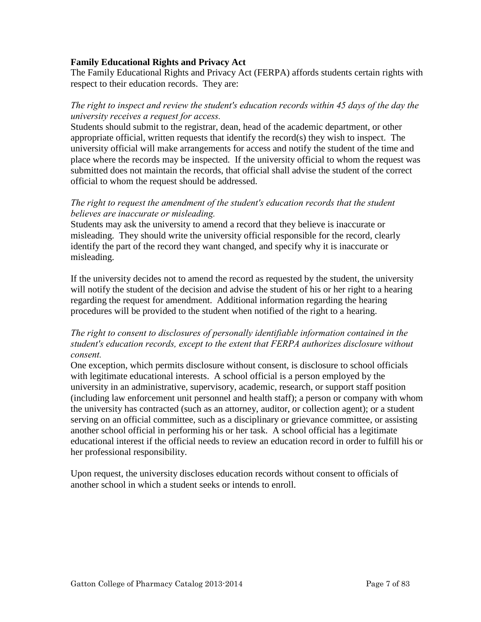#### <span id="page-6-0"></span>**Family Educational Rights and Privacy Act**

The Family Educational Rights and Privacy Act (FERPA) affords students certain rights with respect to their education records. They are:

# *The right to inspect and review the student's education records within 45 days of the day the university receives a request for access.*

Students should submit to the registrar, dean, head of the academic department, or other appropriate official, written requests that identify the record(s) they wish to inspect. The university official will make arrangements for access and notify the student of the time and place where the records may be inspected. If the university official to whom the request was submitted does not maintain the records, that official shall advise the student of the correct official to whom the request should be addressed.

# *The right to request the amendment of the student's education records that the student believes are inaccurate or misleading.*

Students may ask the university to amend a record that they believe is inaccurate or misleading. They should write the university official responsible for the record, clearly identify the part of the record they want changed, and specify why it is inaccurate or misleading.

If the university decides not to amend the record as requested by the student, the university will notify the student of the decision and advise the student of his or her right to a hearing regarding the request for amendment. Additional information regarding the hearing procedures will be provided to the student when notified of the right to a hearing.

# *The right to consent to disclosures of personally identifiable information contained in the student's education records, except to the extent that FERPA authorizes disclosure without consent.*

One exception, which permits disclosure without consent, is disclosure to school officials with legitimate educational interests. A school official is a person employed by the university in an administrative, supervisory, academic, research, or support staff position (including law enforcement unit personnel and health staff); a person or company with whom the university has contracted (such as an attorney, auditor, or collection agent); or a student serving on an official committee, such as a disciplinary or grievance committee, or assisting another school official in performing his or her task. A school official has a legitimate educational interest if the official needs to review an education record in order to fulfill his or her professional responsibility.

Upon request, the university discloses education records without consent to officials of another school in which a student seeks or intends to enroll.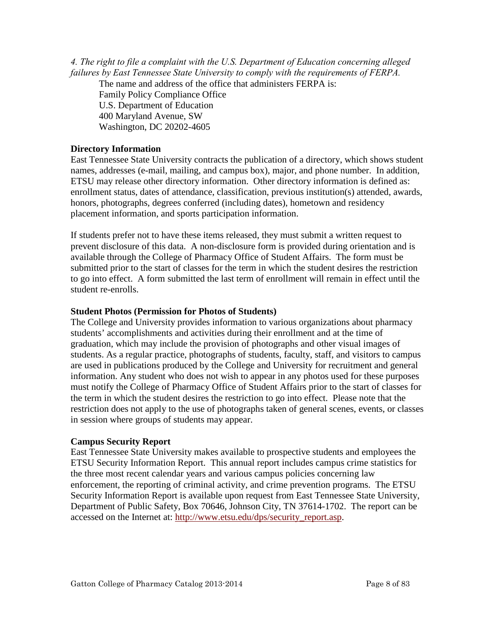<span id="page-7-0"></span>*4. The right to file a complaint with the U.S. Department of Education concerning alleged failures by East Tennessee State University to comply with the requirements of FERPA.* 

The name and address of the office that administers FERPA is:

Family Policy Compliance Office U.S. Department of Education 400 Maryland Avenue, SW Washington, DC 20202-4605

# **Directory Information**

East Tennessee State University contracts the publication of a directory, which shows student names, addresses (e-mail, mailing, and campus box), major, and phone number. In addition, ETSU may release other directory information. Other directory information is defined as: enrollment status, dates of attendance, classification, previous institution(s) attended, awards, honors, photographs, degrees conferred (including dates), hometown and residency placement information, and sports participation information.

If students prefer not to have these items released, they must submit a written request to prevent disclosure of this data. A non-disclosure form is provided during orientation and is available through the College of Pharmacy Office of Student Affairs. The form must be submitted prior to the start of classes for the term in which the student desires the restriction to go into effect. A form submitted the last term of enrollment will remain in effect until the student re-enrolls.

#### **Student Photos (Permission for Photos of Students)**

The College and University provides information to various organizations about pharmacy students' accomplishments and activities during their enrollment and at the time of graduation, which may include the provision of photographs and other visual images of students. As a regular practice, photographs of students, faculty, staff, and visitors to campus are used in publications produced by the College and University for recruitment and general information. Any student who does not wish to appear in any photos used for these purposes must notify the College of Pharmacy Office of Student Affairs prior to the start of classes for the term in which the student desires the restriction to go into effect. Please note that the restriction does not apply to the use of photographs taken of general scenes, events, or classes in session where groups of students may appear.

#### **Campus Security Report**

East Tennessee State University makes available to prospective students and employees the ETSU Security Information Report. This annual report includes campus crime statistics for the three most recent calendar years and various campus policies concerning law enforcement, the reporting of criminal activity, and crime prevention programs. The ETSU Security Information Report is available upon request from East Tennessee State University, Department of Public Safety, Box 70646, Johnson City, TN 37614-1702. The report can be accessed on the Internet at: [http://www.etsu.edu/dps/security\\_report.asp.](http://www.etsu.edu/dps/security_report.asp)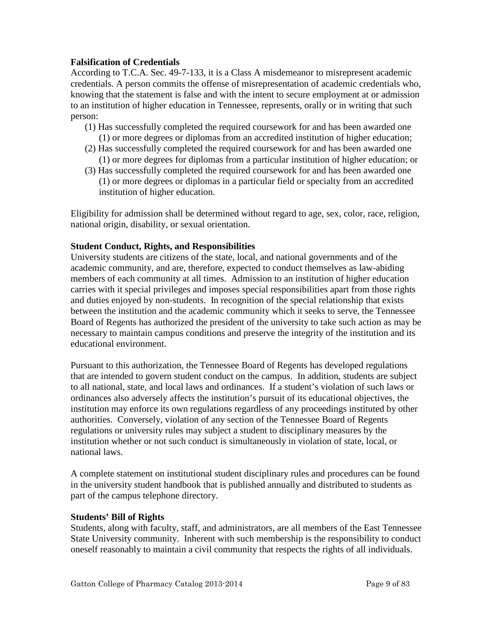# <span id="page-8-0"></span>**Falsification of Credentials**

According to T.C.A. Sec. 49-7-133, it is a Class A misdemeanor to misrepresent academic credentials. A person commits the offense of misrepresentation of academic credentials who, knowing that the statement is false and with the intent to secure employment at or admission to an institution of higher education in Tennessee, represents, orally or in writing that such person:

- (1) Has successfully completed the required coursework for and has been awarded one (1) or more degrees or diplomas from an accredited institution of higher education;
- (2) Has successfully completed the required coursework for and has been awarded one (1) or more degrees for diplomas from a particular institution of higher education; or
- (3) Has successfully completed the required coursework for and has been awarded one (1) or more degrees or diplomas in a particular field or specialty from an accredited institution of higher education.

Eligibility for admission shall be determined without regard to age, sex, color, race, religion, national origin, disability, or sexual orientation.

# **Student Conduct, Rights, and Responsibilities**

University students are citizens of the state, local, and national governments and of the academic community, and are, therefore, expected to conduct themselves as law-abiding members of each community at all times. Admission to an institution of higher education carries with it special privileges and imposes special responsibilities apart from those rights and duties enjoyed by non-students. In recognition of the special relationship that exists between the institution and the academic community which it seeks to serve, the Tennessee Board of Regents has authorized the president of the university to take such action as may be necessary to maintain campus conditions and preserve the integrity of the institution and its educational environment.

Pursuant to this authorization, the Tennessee Board of Regents has developed regulations that are intended to govern student conduct on the campus. In addition, students are subject to all national, state, and local laws and ordinances. If a student's violation of such laws or ordinances also adversely affects the institution's pursuit of its educational objectives, the institution may enforce its own regulations regardless of any proceedings instituted by other authorities. Conversely, violation of any section of the Tennessee Board of Regents regulations or university rules may subject a student to disciplinary measures by the institution whether or not such conduct is simultaneously in violation of state, local, or national laws.

A complete statement on institutional student disciplinary rules and procedures can be found in the university student handbook that is published annually and distributed to students as part of the campus telephone directory.

#### **Students' Bill of Rights**

Students, along with faculty, staff, and administrators, are all members of the East Tennessee State University community. Inherent with such membership is the responsibility to conduct oneself reasonably to maintain a civil community that respects the rights of all individuals.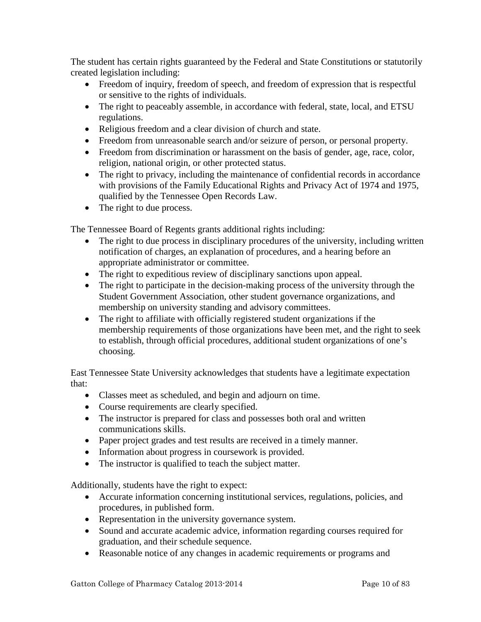The student has certain rights guaranteed by the Federal and State Constitutions or statutorily created legislation including:

- Freedom of inquiry, freedom of speech, and freedom of expression that is respectful or sensitive to the rights of individuals.
- The right to peaceably assemble, in accordance with federal, state, local, and ETSU regulations.
- Religious freedom and a clear division of church and state.
- Freedom from unreasonable search and/or seizure of person, or personal property.
- Freedom from discrimination or harassment on the basis of gender, age, race, color, religion, national origin, or other protected status.
- The right to privacy, including the maintenance of confidential records in accordance with provisions of the Family Educational Rights and Privacy Act of 1974 and 1975, qualified by the Tennessee Open Records Law.
- The right to due process.

The Tennessee Board of Regents grants additional rights including:

- The right to due process in disciplinary procedures of the university, including written notification of charges, an explanation of procedures, and a hearing before an appropriate administrator or committee.
- The right to expeditious review of disciplinary sanctions upon appeal.
- The right to participate in the decision-making process of the university through the Student Government Association, other student governance organizations, and membership on university standing and advisory committees.
- The right to affiliate with officially registered student organizations if the membership requirements of those organizations have been met, and the right to seek to establish, through official procedures, additional student organizations of one's choosing.

East Tennessee State University acknowledges that students have a legitimate expectation that:

- Classes meet as scheduled, and begin and adjourn on time.
- Course requirements are clearly specified.
- The instructor is prepared for class and possesses both oral and written communications skills.
- Paper project grades and test results are received in a timely manner.
- Information about progress in coursework is provided.
- The instructor is qualified to teach the subject matter.

Additionally, students have the right to expect:

- Accurate information concerning institutional services, regulations, policies, and procedures, in published form.
- Representation in the university governance system.
- Sound and accurate academic advice, information regarding courses required for graduation, and their schedule sequence.
- Reasonable notice of any changes in academic requirements or programs and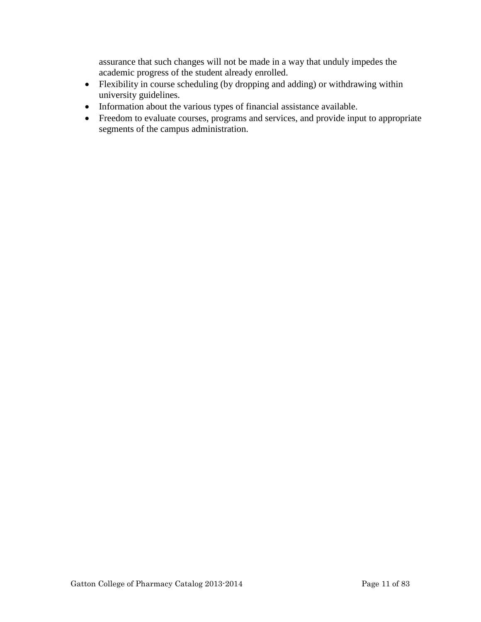assurance that such changes will not be made in a way that unduly impedes the academic progress of the student already enrolled.

- Flexibility in course scheduling (by dropping and adding) or withdrawing within university guidelines.
- Information about the various types of financial assistance available.
- Freedom to evaluate courses, programs and services, and provide input to appropriate segments of the campus administration.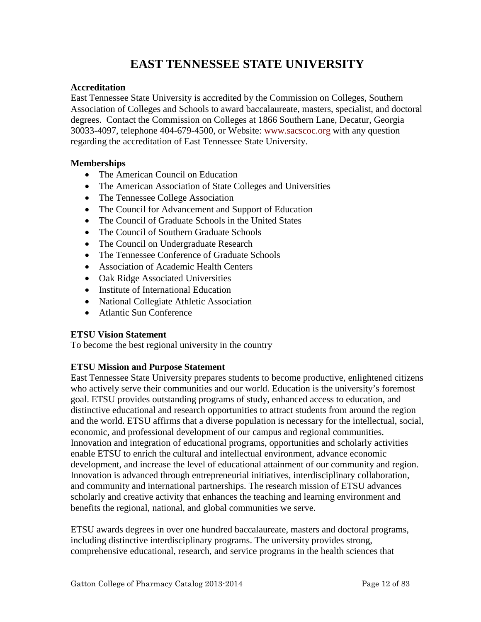# **EAST TENNESSEE STATE UNIVERSITY**

# <span id="page-11-0"></span>**Accreditation**

East Tennessee State University is accredited by the Commission on Colleges, Southern Association of Colleges and Schools to award baccalaureate, masters, specialist, and doctoral degrees. Contact the Commission on Colleges at 1866 Southern Lane, Decatur, Georgia 30033-4097, telephone 404-679-4500, or Website: [www.sacscoc.org](http://www.sacscoc.org/) with any question regarding the accreditation of East Tennessee State University.

# **Memberships**

- The American Council on Education
- The American Association of State Colleges and Universities
- The Tennessee College Association
- The Council for Advancement and Support of Education
- The Council of Graduate Schools in the United States
- The Council of Southern Graduate Schools
- The Council on Undergraduate Research
- The Tennessee Conference of Graduate Schools
- Association of Academic Health Centers
- Oak Ridge Associated Universities
- Institute of International Education
- National Collegiate Athletic Association
- Atlantic Sun Conference

# **ETSU Vision Statement**

To become the best regional university in the country

# **ETSU Mission and Purpose Statement**

East Tennessee State University prepares students to become productive, enlightened citizens who actively serve their communities and our world. Education is the university's foremost goal. ETSU provides outstanding programs of study, enhanced access to education, and distinctive educational and research opportunities to attract students from around the region and the world. ETSU affirms that a diverse population is necessary for the intellectual, social, economic, and professional development of our campus and regional communities. Innovation and integration of educational programs, opportunities and scholarly activities enable ETSU to enrich the cultural and intellectual environment, advance economic development, and increase the level of educational attainment of our community and region. Innovation is advanced through entrepreneurial initiatives, interdisciplinary collaboration, and community and international partnerships. The research mission of ETSU advances scholarly and creative activity that enhances the teaching and learning environment and benefits the regional, national, and global communities we serve.

ETSU awards degrees in over one hundred baccalaureate, masters and doctoral programs, including distinctive interdisciplinary programs. The university provides strong, comprehensive educational, research, and service programs in the health sciences that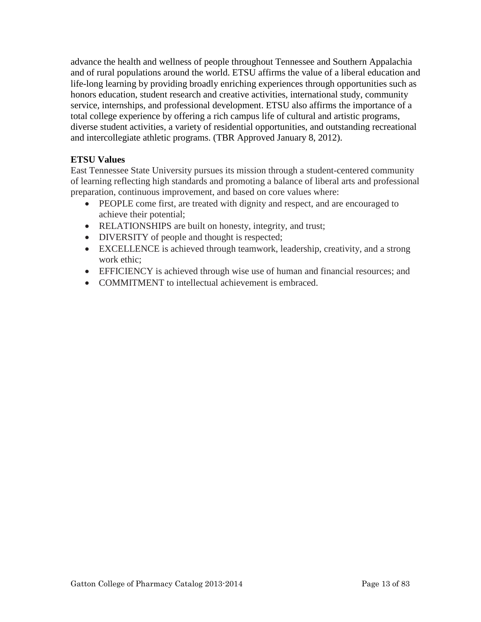<span id="page-12-0"></span>advance the health and wellness of people throughout Tennessee and Southern Appalachia and of rural populations around the world. ETSU affirms the value of a liberal education and life-long learning by providing broadly enriching experiences through opportunities such as honors education, student research and creative activities, international study, community service, internships, and professional development. ETSU also affirms the importance of a total college experience by offering a rich campus life of cultural and artistic programs, diverse student activities, a variety of residential opportunities, and outstanding recreational and intercollegiate athletic programs. (TBR Approved January 8, 2012).

# **ETSU Values**

East Tennessee State University pursues its mission through a student-centered community of learning reflecting high standards and promoting a balance of liberal arts and professional preparation, continuous improvement, and based on core values where:

- PEOPLE come first, are treated with dignity and respect, and are encouraged to achieve their potential;
- RELATIONSHIPS are built on honesty, integrity, and trust;
- DIVERSITY of people and thought is respected;
- EXCELLENCE is achieved through teamwork, leadership, creativity, and a strong work ethic;
- EFFICIENCY is achieved through wise use of human and financial resources; and
- COMMITMENT to intellectual achievement is embraced.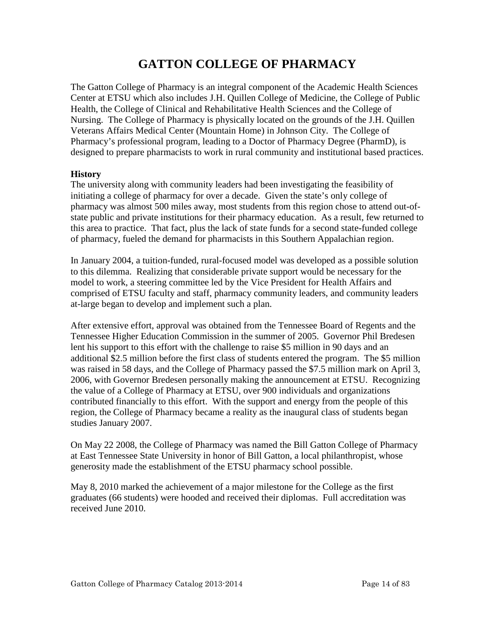# **GATTON COLLEGE OF PHARMACY**

<span id="page-13-0"></span>The Gatton College of Pharmacy is an integral component of the Academic Health Sciences Center at ETSU which also includes J.H. Quillen College of Medicine, the College of Public Health, the College of Clinical and Rehabilitative Health Sciences and the College of Nursing. The College of Pharmacy is physically located on the grounds of the J.H. Quillen Veterans Affairs Medical Center (Mountain Home) in Johnson City. The College of Pharmacy's professional program, leading to a Doctor of Pharmacy Degree (PharmD), is designed to prepare pharmacists to work in rural community and institutional based practices.

#### **History**

The university along with community leaders had been investigating the feasibility of initiating a college of pharmacy for over a decade. Given the state's only college of pharmacy was almost 500 miles away, most students from this region chose to attend out-ofstate public and private institutions for their pharmacy education. As a result, few returned to this area to practice. That fact, plus the lack of state funds for a second state-funded college of pharmacy, fueled the demand for pharmacists in this Southern Appalachian region.

In January 2004, a tuition-funded, rural-focused model was developed as a possible solution to this dilemma. Realizing that considerable private support would be necessary for the model to work, a steering committee led by the Vice President for Health Affairs and comprised of ETSU faculty and staff, pharmacy community leaders, and community leaders at-large began to develop and implement such a plan.

After extensive effort, approval was obtained from the Tennessee Board of Regents and the Tennessee Higher Education Commission in the summer of 2005. Governor Phil Bredesen lent his support to this effort with the challenge to raise \$5 million in 90 days and an additional \$2.5 million before the first class of students entered the program. The \$5 million was raised in 58 days, and the College of Pharmacy passed the \$7.5 million mark on April 3, 2006, with Governor Bredesen personally making the announcement at ETSU. Recognizing the value of a College of Pharmacy at ETSU, over 900 individuals and organizations contributed financially to this effort. With the support and energy from the people of this region, the College of Pharmacy became a reality as the inaugural class of students began studies January 2007.

On May 22 2008, the College of Pharmacy was named the Bill Gatton College of Pharmacy at East Tennessee State University in honor of Bill Gatton, a local philanthropist, whose generosity made the establishment of the ETSU pharmacy school possible.

May 8, 2010 marked the achievement of a major milestone for the College as the first graduates (66 students) were hooded and received their diplomas. Full accreditation was received June 2010.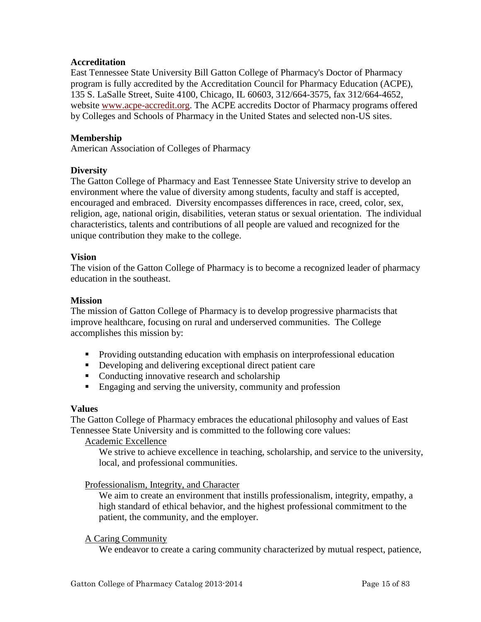#### <span id="page-14-0"></span>**Accreditation**

East Tennessee State University Bill Gatton College of Pharmacy's Doctor of Pharmacy program is fully accredited by the Accreditation Council for Pharmacy Education (ACPE), 135 S. LaSalle Street, Suite 4100, Chicago, IL 60603, 312/664-3575, fax 312/664-4652, website [www.acpe-accredit.org.](http://www.acpe-accredit.org/) The ACPE accredits Doctor of Pharmacy programs offered by Colleges and Schools of Pharmacy in the United States and selected non-US sites.

# **Membership**

American Association of Colleges of Pharmacy

#### **Diversity**

The Gatton College of Pharmacy and East Tennessee State University strive to develop an environment where the value of diversity among students, faculty and staff is accepted, encouraged and embraced. Diversity encompasses differences in race, creed, color, sex, religion, age, national origin, disabilities, veteran status or sexual orientation. The individual characteristics, talents and contributions of all people are valued and recognized for the unique contribution they make to the college.

#### **Vision**

The vision of the Gatton College of Pharmacy is to become a recognized leader of pharmacy education in the southeast.

#### **Mission**

The mission of Gatton College of Pharmacy is to develop progressive pharmacists that improve healthcare, focusing on rural and underserved communities. The College accomplishes this mission by:

- **Providing outstanding education with emphasis on interprofessional education**
- Developing and delivering exceptional direct patient care
- Conducting innovative research and scholarship
- **Engaging and serving the university, community and profession**

#### **Values**

The Gatton College of Pharmacy embraces the educational philosophy and values of East Tennessee State University and is committed to the following core values:

Academic Excellence

We strive to achieve excellence in teaching, scholarship, and service to the university, local, and professional communities.

#### Professionalism, Integrity, and Character

We aim to create an environment that instills professionalism, integrity, empathy, a high standard of ethical behavior, and the highest professional commitment to the patient, the community, and the employer.

#### A Caring Community

We endeavor to create a caring community characterized by mutual respect, patience,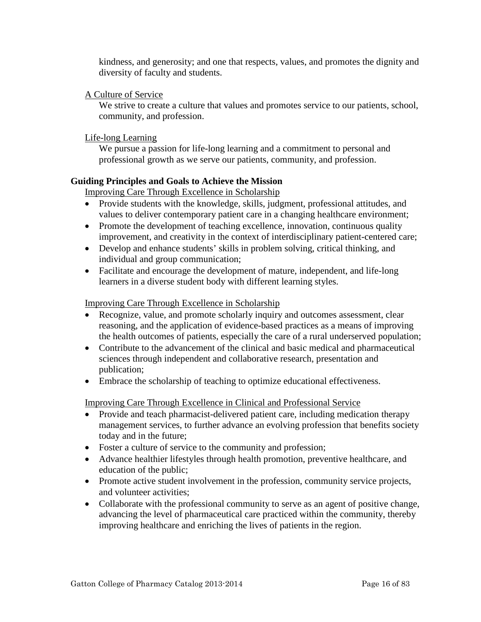<span id="page-15-0"></span>kindness, and generosity; and one that respects, values, and promotes the dignity and diversity of faculty and students.

# A Culture of Service

We strive to create a culture that values and promotes service to our patients, school, community, and profession.

# Life-long Learning

We pursue a passion for life-long learning and a commitment to personal and professional growth as we serve our patients, community, and profession.

# **Guiding Principles and Goals to Achieve the Mission**

Improving Care Through Excellence in Scholarship

- Provide students with the knowledge, skills, judgment, professional attitudes, and values to deliver contemporary patient care in a changing healthcare environment;
- Promote the development of teaching excellence, innovation, continuous quality improvement, and creativity in the context of interdisciplinary patient-centered care;
- Develop and enhance students' skills in problem solving, critical thinking, and individual and group communication;
- Facilitate and encourage the development of mature, independent, and life-long learners in a diverse student body with different learning styles.

#### Improving Care Through Excellence in Scholarship

- Recognize, value, and promote scholarly inquiry and outcomes assessment, clear reasoning, and the application of evidence-based practices as a means of improving the health outcomes of patients, especially the care of a rural underserved population;
- Contribute to the advancement of the clinical and basic medical and pharmaceutical sciences through independent and collaborative research, presentation and publication;
- Embrace the scholarship of teaching to optimize educational effectiveness.

Improving Care Through Excellence in Clinical and Professional Service

- Provide and teach pharmacist-delivered patient care, including medication therapy management services, to further advance an evolving profession that benefits society today and in the future;
- Foster a culture of service to the community and profession;
- Advance healthier lifestyles through health promotion, preventive healthcare, and education of the public;
- Promote active student involvement in the profession, community service projects, and volunteer activities;
- Collaborate with the professional community to serve as an agent of positive change, advancing the level of pharmaceutical care practiced within the community, thereby improving healthcare and enriching the lives of patients in the region.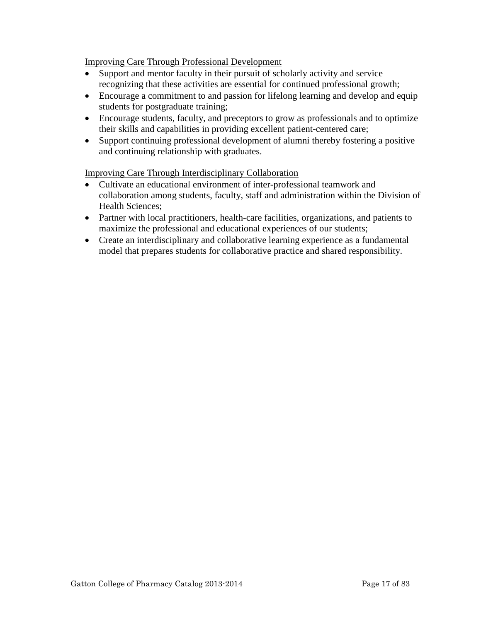Improving Care Through Professional Development

- Support and mentor faculty in their pursuit of scholarly activity and service recognizing that these activities are essential for continued professional growth;
- Encourage a commitment to and passion for lifelong learning and develop and equip students for postgraduate training;
- Encourage students, faculty, and preceptors to grow as professionals and to optimize their skills and capabilities in providing excellent patient-centered care;
- Support continuing professional development of alumni thereby fostering a positive and continuing relationship with graduates.

Improving Care Through Interdisciplinary Collaboration

- Cultivate an educational environment of inter-professional teamwork and collaboration among students, faculty, staff and administration within the Division of Health Sciences;
- Partner with local practitioners, health-care facilities, organizations, and patients to maximize the professional and educational experiences of our students;
- Create an interdisciplinary and collaborative learning experience as a fundamental model that prepares students for collaborative practice and shared responsibility.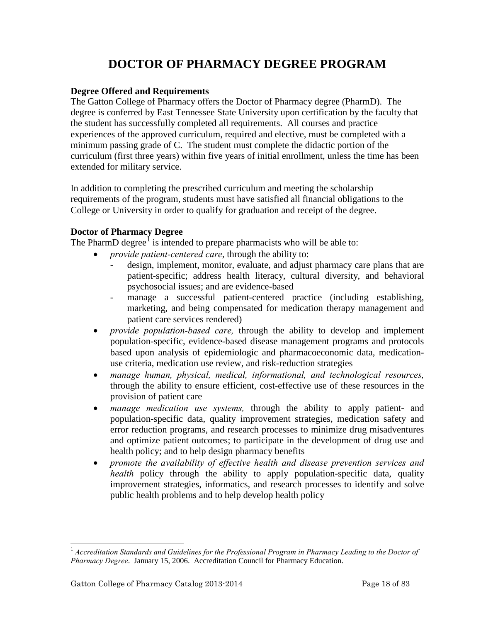# **DOCTOR OF PHARMACY DEGREE PROGRAM**

# <span id="page-17-0"></span>**Degree Offered and Requirements**

The Gatton College of Pharmacy offers the Doctor of Pharmacy degree (PharmD). The degree is conferred by East Tennessee State University upon certification by the faculty that the student has successfully completed all requirements. All courses and practice experiences of the approved curriculum, required and elective, must be completed with a minimum passing grade of C. The student must complete the didactic portion of the curriculum (first three years) within five years of initial enrollment, unless the time has been extended for military service.

In addition to completing the prescribed curriculum and meeting the scholarship requirements of the program, students must have satisfied all financial obligations to the College or University in order to qualify for graduation and receipt of the degree.

# **Doctor of Pharmacy Degree**

The PharmD degree<sup>[1](#page-17-1)</sup> is intended to prepare pharmacists who will be able to:

- *provide patient-centered care*, through the ability to:
	- design, implement, monitor, evaluate, and adjust pharmacy care plans that are patient-specific; address health literacy, cultural diversity, and behavioral psychosocial issues; and are evidence-based
	- manage a successful patient-centered practice (including establishing, marketing, and being compensated for medication therapy management and patient care services rendered)
- *provide population-based care,* through the ability to develop and implement population-specific, evidence-based disease management programs and protocols based upon analysis of epidemiologic and pharmacoeconomic data, medicationuse criteria, medication use review, and risk-reduction strategies
- *manage human, physical, medical, informational, and technological resources,*  through the ability to ensure efficient, cost-effective use of these resources in the provision of patient care
- *manage medication use systems,* through the ability to apply patient- and population-specific data, quality improvement strategies, medication safety and error reduction programs, and research processes to minimize drug misadventures and optimize patient outcomes; to participate in the development of drug use and health policy; and to help design pharmacy benefits
- *promote the availability of effective health and disease prevention services and health* policy through the ability to apply population-specific data, quality improvement strategies, informatics, and research processes to identify and solve public health problems and to help develop health policy

l

<span id="page-17-1"></span><sup>1</sup> *Accreditation Standards and Guidelines for the Professional Program in Pharmacy Leading to the Doctor of Pharmacy Degree*. January 15, 2006. Accreditation Council for Pharmacy Education.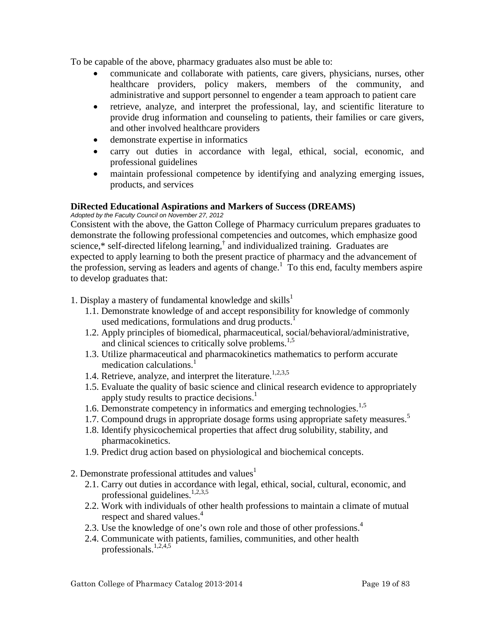<span id="page-18-0"></span>To be capable of the above, pharmacy graduates also must be able to:

- communicate and collaborate with patients, care givers, physicians, nurses, other healthcare providers, policy makers, members of the community, and administrative and support personnel to engender a team approach to patient care
- retrieve, analyze, and interpret the professional, lay, and scientific literature to provide drug information and counseling to patients, their families or care givers, and other involved healthcare providers
- demonstrate expertise in informatics
- carry out duties in accordance with legal, ethical, social, economic, and professional guidelines
- maintain professional competence by identifying and analyzing emerging issues, products, and services

# **DiRected Educational Aspirations and Markers of Success (DREAMS)** *Adopted by the Faculty Council on November 27, 2012*

Consistent with the above, the Gatton College of Pharmacy curriculum prepares graduates to demonstrate the following professional competencies and outcomes, which emphasize good science,\* self-directed lifelong learning,<sup>†</sup> and individualized training. Graduates are expected to apply learning to both the present practice of pharmacy and the advancement of the profession, serving as leaders and agents of change.<sup>1</sup> To this end, faculty members aspire to develop graduates that:

- 1. Display a mastery of fundamental knowledge and skills<sup>1</sup>
	- 1.1. Demonstrate knowledge of and accept responsibility for knowledge of commonly used medications, formulations and drug products.<sup>1</sup>
	- 1.2. Apply principles of biomedical, pharmaceutical, social/behavioral/administrative, and clinical sciences to critically solve problems.<sup>1,5</sup>
	- 1.3. Utilize pharmaceutical and pharmacokinetics mathematics to perform accurate medication calculations. $<sup>1</sup>$ </sup>
	- 1.4. Retrieve, analyze, and interpret the literature.<sup>1,2,3,5</sup>
	- 1.5. Evaluate the quality of basic science and clinical research evidence to appropriately apply study results to practice decisions.<sup>1</sup>
	- 1.6. Demonstrate competency in informatics and emerging technologies.<sup>1,5</sup>
	- 1.7. Compound drugs in appropriate dosage forms using appropriate safety measures.<sup>5</sup>
	- 1.8. Identify physicochemical properties that affect drug solubility, stability, and pharmacokinetics.
	- 1.9. Predict drug action based on physiological and biochemical concepts.
- 2. Demonstrate professional attitudes and values<sup>1</sup>
	- 2.1. Carry out duties in accordance with legal, ethical, social, cultural, economic, and professional guidelines.<sup>1,2,3,5</sup>
	- 2.2. Work with individuals of other health professions to maintain a climate of mutual respect and shared values. 4
	- 2.3. Use the knowledge of one's own role and those of other professions.<sup>4</sup>
	- 2.4. Communicate with patients, families, communities, and other health professionals. $1,2,4,5$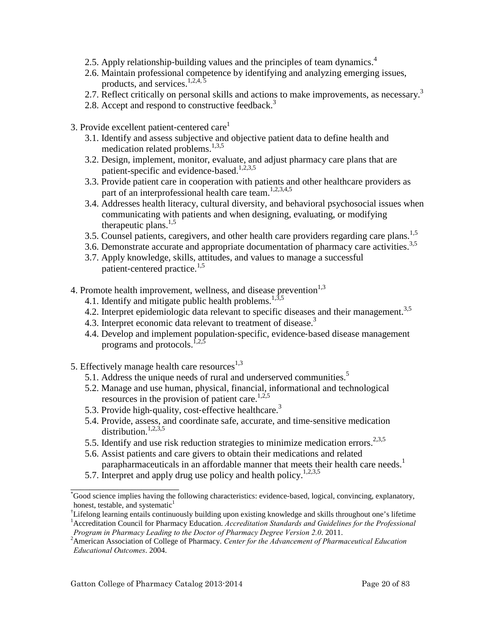- 2.5. Apply relationship-building values and the principles of team dynamics.<sup>4</sup>
- 2.6. Maintain professional competence by identifying and analyzing emerging issues, products, and services.<sup>1,2,4,5</sup>
- 2.7. Reflect critically on personal skills and actions to make improvements, as necessary.<sup>3</sup>
- 2.8. Accept and respond to constructive feedback.<sup>3</sup>
- 3. Provide excellent patient-centered care<sup>1</sup>
	- 3.1. Identify and assess subjective and objective patient data to define health and medication related problems.<sup>1,3,5</sup>
	- 3.2. Design, implement, monitor, evaluate, and adjust pharmacy care plans that are patient-specific and evidence-based.<sup>1,2,3,5</sup>
	- 3.3. Provide patient care in cooperation with patients and other healthcare providers as part of an interprofessional health care team.<sup>1,2,3,4,5</sup>
	- 3.4. Addresses health literacy, cultural diversity, and behavioral psychosocial issues when communicating with patients and when designing, evaluating, or modifying therapeutic plans. $1,5$
	- 3.5. Counsel patients, caregivers, and other health care providers regarding care plans.<sup>1,5</sup>
	- 3.6. Demonstrate accurate and appropriate documentation of pharmacy care activities.<sup>3,5</sup>
	- 3.7. Apply knowledge, skills, attitudes, and values to manage a successful patient-centered practice.<sup>1,5</sup>
- 4. Promote health improvement, wellness, and disease prevention $1,3$ 
	- 4.1. Identify and mitigate public health problems.<sup>1,3,5</sup>
	- 4.2. Interpret epidemiologic data relevant to specific diseases and their management.<sup>3,5</sup>
	- 4.3. Interpret economic data relevant to treatment of disease.<sup>3</sup>
	- 4.4. Develop and implement population‐specific, evidence‐based disease management programs and protocols.<sup>1,2,5</sup>
- 5. Effectively manage health care resources $^{1,3}$ 
	- 5.1. Address the unique needs of rural and underserved communities.<sup>5</sup>
	- 5.2. Manage and use human, physical, financial, informational and technological resources in the provision of patient care.<sup>1,2,5</sup>
	- 5.3. Provide high-quality, cost-effective healthcare.<sup>3</sup>
	- 5.4. Provide, assess, and coordinate safe, accurate, and time‐sensitive medication distribution.<sup>1,2,3,5</sup>
	- 5.5. Identify and use risk reduction strategies to minimize medication errors.<sup>2,3,5</sup>
	- 5.6. Assist patients and care givers to obtain their medications and related parapharmaceuticals in an affordable manner that meets their health care needs.<sup>1</sup>
	- 5.7. Interpret and apply drug use policy and health policy.<sup>1,2,3,5</sup>

\_\_\_\_\_\_\_\_\_\_\_\_\_\_\_\_\_\_\_\_\_\_\_

<sup>\*</sup> Good science implies having the following characteristics: evidence‐based, logical, convincing, explanatory, honest, testable, and systematic $<sup>1</sup>$ </sup>

<sup>†</sup> Lifelong learning entails continuously building upon existing knowledge and skills throughout one's lifetime <sup>1</sup> Accreditation Council for Pharmacy Education. *Accreditation Standards and Guidelines for the Professional Program in Pharmacy Leading to the Doctor of Pharmacy Degree Version 2.0*. 2011. <sup>2</sup>

American Association of College of Pharmacy. *Center for the Advancement of Pharmaceutical Education Educational Outcomes*. 2004.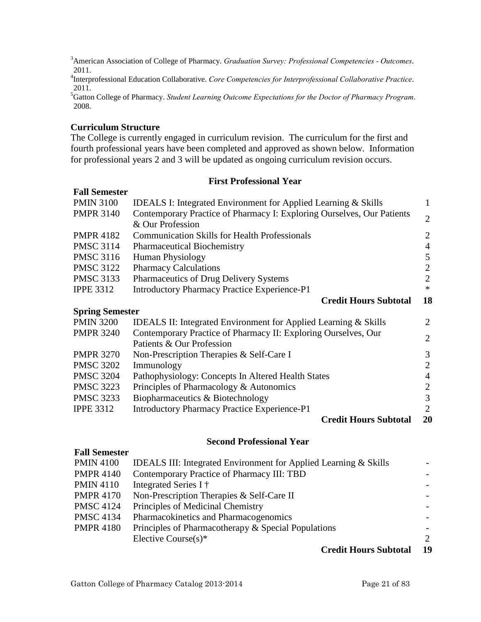<span id="page-20-0"></span>3 American Association of College of Pharmacy. *Graduation Survey: Professional Competencies - Outcomes*. 2011.

4 Interprofessional Education Collaborative. *Core Competencies for Interprofessional Collaborative Practice*. 2011.

5 Gatton College of Pharmacy. *Student Learning Outcome Expectations for the Doctor of Pharmacy Program*. 2008.

# **Curriculum Structure**

**Fall Semester**

The College is currently engaged in curriculum revision. The curriculum for the first and fourth professional years have been completed and approved as shown below. Information for professional years 2 and 3 will be updated as ongoing curriculum revision occurs.

#### **First Professional Year**

| <b>PMIN 3100</b>       | <b>IDEALS I: Integrated Environment for Applied Learning &amp; Skills</b> | $\mathbf{1}$   |
|------------------------|---------------------------------------------------------------------------|----------------|
| <b>PMPR 3140</b>       | Contemporary Practice of Pharmacy I: Exploring Ourselves, Our Patients    | $\overline{2}$ |
|                        | & Our Profession                                                          |                |
| <b>PMPR 4182</b>       | <b>Communication Skills for Health Professionals</b>                      | $\overline{c}$ |
| <b>PMSC 3114</b>       | <b>Pharmaceutical Biochemistry</b>                                        | $\overline{4}$ |
| <b>PMSC 3116</b>       | <b>Human Physiology</b>                                                   | 5              |
| <b>PMSC 3122</b>       | <b>Pharmacy Calculations</b>                                              | $\mathbf{2}$   |
| <b>PMSC 3133</b>       | Pharmaceutics of Drug Delivery Systems                                    | $\overline{2}$ |
| <b>IPPE 3312</b>       | <b>Introductory Pharmacy Practice Experience-P1</b>                       | $\ast$         |
|                        | <b>Credit Hours Subtotal</b>                                              | 18             |
| <b>Spring Semester</b> |                                                                           |                |
| <b>PMIN 3200</b>       | IDEALS II: Integrated Environment for Applied Learning & Skills           | 2              |
| <b>PMPR 3240</b>       | Contemporary Practice of Pharmacy II: Exploring Ourselves, Our            | $\overline{2}$ |
|                        | Patients & Our Profession                                                 |                |
| <b>PMPR 3270</b>       | Non-Prescription Therapies & Self-Care I                                  | 3              |
| <b>PMSC 3202</b>       | Immunology                                                                | $\overline{2}$ |
| <b>PMSC 3204</b>       | Pathophysiology: Concepts In Altered Health States                        | $\overline{4}$ |
| <b>PMSC 3223</b>       | Principles of Pharmacology & Autonomics                                   | $\overline{c}$ |
| <b>PMSC 3233</b>       | Biopharmaceutics & Biotechnology                                          | 3              |
| <b>IPPE 3312</b>       | <b>Introductory Pharmacy Practice Experience-P1</b>                       | $\overline{2}$ |
|                        | <b>Credit Hours Subtotal</b>                                              | 20             |
|                        | <b>Second Professional Year</b>                                           |                |

#### **Fall Semester**

| <b>PMIN 4100</b> | <b>IDEALS III: Integrated Environment for Applied Learning &amp; Skills</b> |    |
|------------------|-----------------------------------------------------------------------------|----|
| <b>PMPR 4140</b> | Contemporary Practice of Pharmacy III: TBD                                  |    |
| <b>PMIN 4110</b> | Integrated Series I †                                                       |    |
| <b>PMPR 4170</b> | Non-Prescription Therapies & Self-Care II                                   |    |
| <b>PMSC 4124</b> | Principles of Medicinal Chemistry                                           |    |
| <b>PMSC 4134</b> | Pharmacokinetics and Pharmacogenomics                                       |    |
| <b>PMPR 4180</b> | Principles of Pharmacotherapy & Special Populations                         |    |
|                  | Elective Course $(s)^*$                                                     | 2  |
|                  | <b>Credit Hours Subtotal</b>                                                | 19 |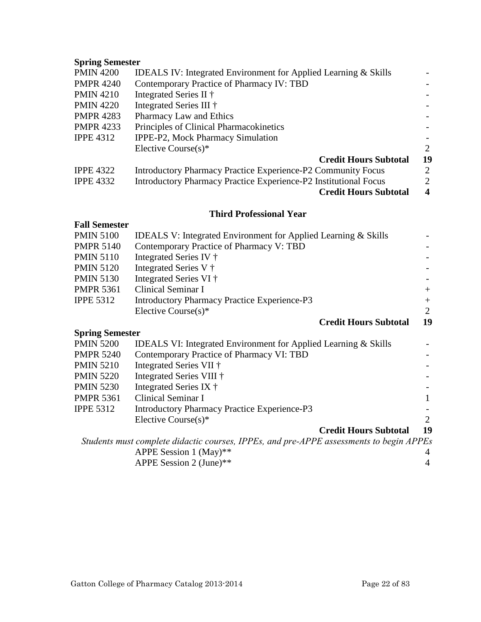# <span id="page-21-0"></span>**Spring Semester**

| <b>IDEALS IV: Integrated Environment for Applied Learning &amp; Skills</b> |                  |
|----------------------------------------------------------------------------|------------------|
| Contemporary Practice of Pharmacy IV: TBD                                  |                  |
| Integrated Series II †                                                     |                  |
| Integrated Series III †                                                    |                  |
| Pharmacy Law and Ethics                                                    |                  |
| Principles of Clinical Pharmacokinetics                                    |                  |
| IPPE-P2, Mock Pharmacy Simulation                                          |                  |
| Elective Course $(s)^*$                                                    | 2                |
| <b>Credit Hours Subtotal</b>                                               | 19               |
| Introductory Pharmacy Practice Experience-P2 Community Focus               | 2                |
| Introductory Pharmacy Practice Experience-P2 Institutional Focus           | $\overline{2}$   |
| <b>Credit Hours Subtotal</b>                                               | $\boldsymbol{4}$ |
|                                                                            |                  |

#### **Third Professional Year**

#### **Fall Semester**

| <b>PMIN 5120</b> | Integrated Series V †                               |                              |        |
|------------------|-----------------------------------------------------|------------------------------|--------|
| <b>PMIN 5130</b> | Integrated Series VI †                              |                              |        |
| <b>PMPR 5361</b> | Clinical Seminar I                                  |                              | $+$    |
| <b>IPPE 5312</b> | <b>Introductory Pharmacy Practice Experience-P3</b> |                              | $^{+}$ |
|                  | Elective Course $(s)^*$                             |                              | 2      |
|                  |                                                     | <b>Credit Hours Subtotal</b> | 19     |

# **Spring Semester**

| PMIN 5200        | <b>IDEALS VI: Integrated Environment for Applied Learning &amp; Skills</b> |    |
|------------------|----------------------------------------------------------------------------|----|
| PMPR 5240        | Contemporary Practice of Pharmacy VI: TBD                                  |    |
| PMIN 5210        | Integrated Series VII †                                                    |    |
| PMIN 5220        | Integrated Series VIII †                                                   |    |
| PMIN 5230        | Integrated Series IX †                                                     |    |
| <b>PMPR 5361</b> | Clinical Seminar I                                                         | 1  |
| <b>IPPE 5312</b> | <b>Introductory Pharmacy Practice Experience-P3</b>                        |    |
|                  | Elective Course $(s)^*$                                                    | 2  |
|                  | <b>Credit Hours Subtotal</b>                                               | 19 |
|                  |                                                                            |    |

*Students must complete didactic courses, IPPEs, and pre-APPE assessments to begin APPEs* APPE Session 1 (May)\*\*  $4$ <br>APPE Session 2 (June)\*\*  $4$ APPE Session 2 (June)\*\* 4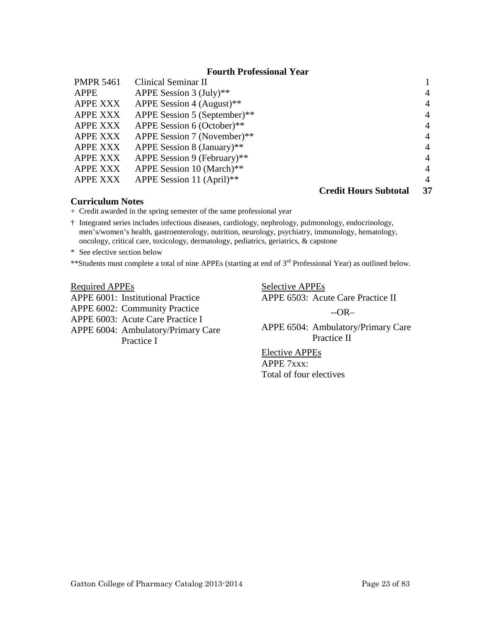#### **Fourth Professional Year**

<span id="page-22-0"></span>

| <b>PMPR 5461</b> | Clinical Seminar II          |                              |                |
|------------------|------------------------------|------------------------------|----------------|
| APPE             | APPE Session $3$ (July)**    |                              | 4              |
| <b>APPE XXX</b>  | APPE Session 4 (August)**    |                              | $\overline{4}$ |
| <b>APPE XXX</b>  | APPE Session 5 (September)** |                              | $\overline{4}$ |
| <b>APPE XXX</b>  | APPE Session 6 (October)**   |                              | $\overline{4}$ |
| <b>APPE XXX</b>  | APPE Session 7 (November)**  |                              | $\overline{4}$ |
| <b>APPE XXX</b>  | APPE Session 8 (January)**   |                              | $\overline{4}$ |
| <b>APPE XXX</b>  | APPE Session 9 (February)**  |                              | $\overline{4}$ |
| <b>APPE XXX</b>  | APPE Session 10 (March)**    |                              | $\overline{4}$ |
| <b>APPE XXX</b>  | APPE Session 11 (April)**    |                              | 4              |
|                  |                              | <b>Credit Hours Subtotal</b> | 37             |

#### **Curriculum Notes**

+ Credit awarded in the spring semester of the same professional year

† Integrated series includes infectious diseases, cardiology, nephrology, pulmonology, endocrinology, men's/women's health, gastroenterology, nutrition, neurology, psychiatry, immunology, hematology, oncology, critical care, toxicology, dermatology, pediatrics, geriatrics, & capstone

\* See elective section below

\*\*Students must complete a total of nine APPEs (starting at end of 3<sup>rd</sup> Professional Year) as outlined below.

#### Required APPEs

APPE 6001: Institutional Practice APPE 6002: Community Practice APPE 6003: Acute Care Practice I APPE 6004: Ambulatory/Primary Care Practice I

Selective APPEs APPE 6503: Acute Care Practice II

--OR–

APPE 6504: Ambulatory/Primary Care Practice II

Elective APPEs APPE 7xxx: Total of four electives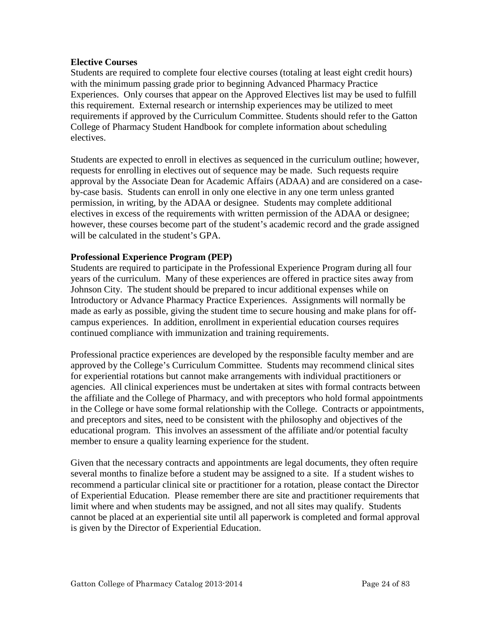#### <span id="page-23-0"></span>**Elective Courses**

Students are required to complete four elective courses (totaling at least eight credit hours) with the minimum passing grade prior to beginning Advanced Pharmacy Practice Experiences. Only courses that appear on the Approved Electives list may be used to fulfill this requirement. External research or internship experiences may be utilized to meet requirements if approved by the Curriculum Committee. Students should refer to the Gatton College of Pharmacy Student Handbook for complete information about scheduling electives.

Students are expected to enroll in electives as sequenced in the curriculum outline; however, requests for enrolling in electives out of sequence may be made. Such requests require approval by the Associate Dean for Academic Affairs (ADAA) and are considered on a caseby-case basis. Students can enroll in only one elective in any one term unless granted permission, in writing, by the ADAA or designee. Students may complete additional electives in excess of the requirements with written permission of the ADAA or designee; however, these courses become part of the student's academic record and the grade assigned will be calculated in the student's GPA.

#### **Professional Experience Program (PEP)**

Students are required to participate in the Professional Experience Program during all four years of the curriculum. Many of these experiences are offered in practice sites away from Johnson City. The student should be prepared to incur additional expenses while on Introductory or Advance Pharmacy Practice Experiences. Assignments will normally be made as early as possible, giving the student time to secure housing and make plans for offcampus experiences. In addition, enrollment in experiential education courses requires continued compliance with immunization and training requirements.

Professional practice experiences are developed by the responsible faculty member and are approved by the College's Curriculum Committee. Students may recommend clinical sites for experiential rotations but cannot make arrangements with individual practitioners or agencies. All clinical experiences must be undertaken at sites with formal contracts between the affiliate and the College of Pharmacy, and with preceptors who hold formal appointments in the College or have some formal relationship with the College. Contracts or appointments, and preceptors and sites, need to be consistent with the philosophy and objectives of the educational program. This involves an assessment of the affiliate and/or potential faculty member to ensure a quality learning experience for the student.

Given that the necessary contracts and appointments are legal documents, they often require several months to finalize before a student may be assigned to a site. If a student wishes to recommend a particular clinical site or practitioner for a rotation, please contact the Director of Experiential Education. Please remember there are site and practitioner requirements that limit where and when students may be assigned, and not all sites may qualify. Students cannot be placed at an experiential site until all paperwork is completed and formal approval is given by the Director of Experiential Education.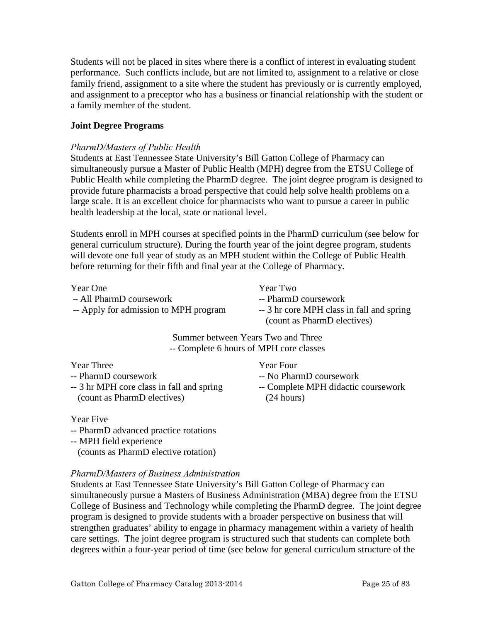<span id="page-24-0"></span>Students will not be placed in sites where there is a conflict of interest in evaluating student performance. Such conflicts include, but are not limited to, assignment to a relative or close family friend, assignment to a site where the student has previously or is currently employed, and assignment to a preceptor who has a business or financial relationship with the student or a family member of the student.

# **Joint Degree Programs**

#### *PharmD/Masters of Public Health*

Students at East Tennessee State University's Bill Gatton College of Pharmacy can simultaneously pursue a Master of Public Health (MPH) degree from the ETSU College of Public Health while completing the PharmD degree. The joint degree program is designed to provide future pharmacists a broad perspective that could help solve health problems on a large scale. It is an excellent choice for pharmacists who want to pursue a career in public health leadership at the local, state or national level.

Students enroll in MPH courses at specified points in the PharmD curriculum (see below for general curriculum structure). During the fourth year of the joint degree program, students will devote one full year of study as an MPH student within the College of Public Health before returning for their fifth and final year at the College of Pharmacy.

| Year One                              |  |
|---------------------------------------|--|
| - All PharmD coursework               |  |
| -- Apply for admission to MPH program |  |

Year Two -- PharmD coursework -- 3 hr core MPH class in fall and spring (count as PharmD electives)

Summer between Years Two and Three -- Complete 6 hours of MPH core classes

Year Three

- -- PharmD coursework
- -- 3 hr MPH core class in fall and spring (count as PharmD electives)

Year Four

- -- No PharmD coursework
- -- Complete MPH didactic coursework (24 hours)

Year Five

- -- PharmD advanced practice rotations
- -- MPH field experience

(counts as PharmD elective rotation)

# *PharmD/Masters of Business Administration*

Students at East Tennessee State University's Bill Gatton College of Pharmacy can simultaneously pursue a Masters of Business Administration (MBA) degree from the ETSU College of Business and Technology while completing the PharmD degree. The joint degree program is designed to provide students with a broader perspective on business that will strengthen graduates' ability to engage in pharmacy management within a variety of health care settings. The joint degree program is structured such that students can complete both degrees within a four-year period of time (see below for general curriculum structure of the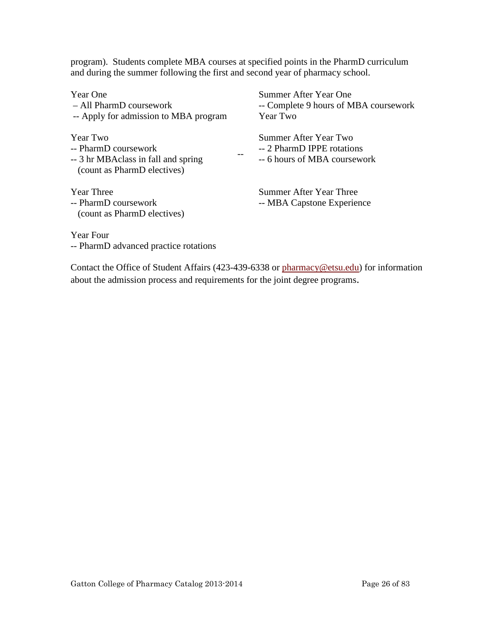program). Students complete MBA courses at specified points in the PharmD curriculum and during the summer following the first and second year of pharmacy school.

| Year One<br>- All PharmD coursework                                | Summer After Year One<br>-- Complete 9 hours of MBA coursework |
|--------------------------------------------------------------------|----------------------------------------------------------------|
| -- Apply for admission to MBA program                              | Year Two                                                       |
| Year Two                                                           | Summer After Year Two                                          |
| -- PharmD coursework                                               | -- 2 PharmD IPPE rotations                                     |
| -- 3 hr MBAclass in fall and spring<br>(count as PharmD electives) | -- 6 hours of MBA coursework                                   |
| <b>Year Three</b>                                                  | Summer After Year Three                                        |
| -- PharmD coursework                                               | -- MBA Capstone Experience                                     |
| (count as PharmD electives)                                        |                                                                |
| Year Four                                                          |                                                                |

-- PharmD advanced practice rotations

Contact the Office of Student Affairs (423-439-6338 or [pharmacy@etsu.edu\)](mailto:pharmacy@etsu.edu) for information about the admission process and requirements for the joint degree programs.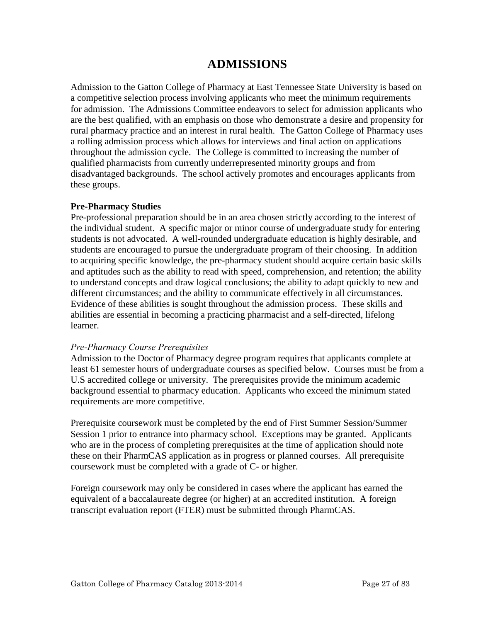# **ADMISSIONS**

<span id="page-26-0"></span>Admission to the Gatton College of Pharmacy at East Tennessee State University is based on a competitive selection process involving applicants who meet the minimum requirements for admission. The Admissions Committee endeavors to select for admission applicants who are the best qualified, with an emphasis on those who demonstrate a desire and propensity for rural pharmacy practice and an interest in rural health. The Gatton College of Pharmacy uses a rolling admission process which allows for interviews and final action on applications throughout the admission cycle. The College is committed to increasing the number of qualified pharmacists from currently underrepresented minority groups and from disadvantaged backgrounds. The school actively promotes and encourages applicants from these groups.

# **Pre-Pharmacy Studies**

Pre-professional preparation should be in an area chosen strictly according to the interest of the individual student. A specific major or minor course of undergraduate study for entering students is not advocated. A well-rounded undergraduate education is highly desirable, and students are encouraged to pursue the undergraduate program of their choosing. In addition to acquiring specific knowledge, the pre-pharmacy student should acquire certain basic skills and aptitudes such as the ability to read with speed, comprehension, and retention; the ability to understand concepts and draw logical conclusions; the ability to adapt quickly to new and different circumstances; and the ability to communicate effectively in all circumstances. Evidence of these abilities is sought throughout the admission process. These skills and abilities are essential in becoming a practicing pharmacist and a self-directed, lifelong learner.

#### *Pre-Pharmacy Course Prerequisites*

Admission to the Doctor of Pharmacy degree program requires that applicants complete at least 61 semester hours of undergraduate courses as specified below. Courses must be from a U.S accredited college or university. The prerequisites provide the minimum academic background essential to pharmacy education. Applicants who exceed the minimum stated requirements are more competitive.

Prerequisite coursework must be completed by the end of First Summer Session/Summer Session 1 prior to entrance into pharmacy school. Exceptions may be granted. Applicants who are in the process of completing prerequisites at the time of application should note these on their PharmCAS application as in progress or planned courses. All prerequisite coursework must be completed with a grade of C- or higher.

Foreign coursework may only be considered in cases where the applicant has earned the equivalent of a baccalaureate degree (or higher) at an accredited institution. A foreign transcript evaluation report (FTER) must be submitted through PharmCAS.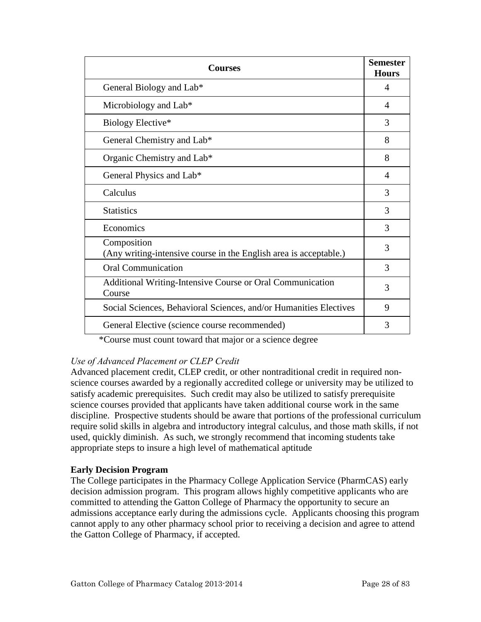<span id="page-27-0"></span>

| <b>Courses</b>                                                                   |   |
|----------------------------------------------------------------------------------|---|
| General Biology and Lab*                                                         | 4 |
| Microbiology and Lab*                                                            | 4 |
| Biology Elective*                                                                | 3 |
| General Chemistry and Lab*                                                       | 8 |
| Organic Chemistry and Lab*                                                       | 8 |
| General Physics and Lab*                                                         | 4 |
| Calculus                                                                         | 3 |
| <b>Statistics</b>                                                                | 3 |
| Economics                                                                        | 3 |
| Composition<br>(Any writing-intensive course in the English area is acceptable.) | 3 |
| <b>Oral Communication</b>                                                        | 3 |
| Additional Writing-Intensive Course or Oral Communication<br>Course              | 3 |
| Social Sciences, Behavioral Sciences, and/or Humanities Electives                | 9 |
| General Elective (science course recommended)                                    | 3 |

\*Course must count toward that major or a science degree

# *Use of Advanced Placement or CLEP Credit*

Advanced placement credit, CLEP credit, or other nontraditional credit in required nonscience courses awarded by a regionally accredited college or university may be utilized to satisfy academic prerequisites. Such credit may also be utilized to satisfy prerequisite science courses provided that applicants have taken additional course work in the same discipline. Prospective students should be aware that portions of the professional curriculum require solid skills in algebra and introductory integral calculus, and those math skills, if not used, quickly diminish. As such, we strongly recommend that incoming students take appropriate steps to insure a high level of mathematical aptitude

# **Early Decision Program**

The College participates in the Pharmacy College Application Service (PharmCAS) early decision admission program. This program allows highly competitive applicants who are committed to attending the Gatton College of Pharmacy the opportunity to secure an admissions acceptance early during the admissions cycle. Applicants choosing this program cannot apply to any other pharmacy school prior to receiving a decision and agree to attend the Gatton College of Pharmacy, if accepted.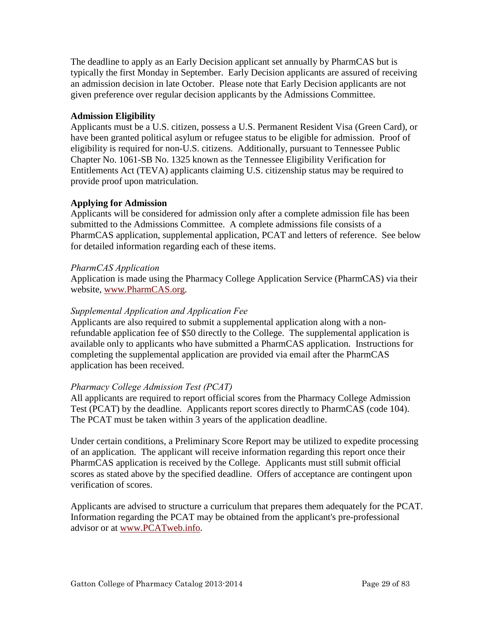<span id="page-28-0"></span>The deadline to apply as an Early Decision applicant set annually by PharmCAS but is typically the first Monday in September. Early Decision applicants are assured of receiving an admission decision in late October. Please note that Early Decision applicants are not given preference over regular decision applicants by the Admissions Committee.

# **Admission Eligibility**

Applicants must be a U.S. citizen, possess a U.S. Permanent Resident Visa (Green Card), or have been granted political asylum or refugee status to be eligible for admission. Proof of eligibility is required for non-U.S. citizens. Additionally, pursuant to Tennessee Public Chapter No. 1061-SB No. 1325 known as the Tennessee Eligibility Verification for Entitlements Act (TEVA) applicants claiming U.S. citizenship status may be required to provide proof upon matriculation.

# **Applying for Admission**

Applicants will be considered for admission only after a complete admission file has been submitted to the Admissions Committee. A complete admissions file consists of a PharmCAS application, supplemental application, PCAT and letters of reference. See below for detailed information regarding each of these items.

# *PharmCAS Application*

Application is made using the Pharmacy College Application Service (PharmCAS) via their website, www.PharmCAS.org.

# *Supplemental Application and Application Fee*

Applicants are also required to submit a supplemental application along with a nonrefundable application fee of \$50 directly to the College. The supplemental application is available only to applicants who have submitted a PharmCAS application. Instructions for completing the supplemental application are provided via email after the PharmCAS application has been received.

# *Pharmacy College Admission Test (PCAT)*

All applicants are required to report official scores from the Pharmacy College Admission Test (PCAT) by the deadline. Applicants report scores directly to PharmCAS (code 104). The PCAT must be taken within 3 years of the application deadline.

Under certain conditions, a Preliminary Score Report may be utilized to expedite processing of an application. The applicant will receive information regarding this report once their PharmCAS application is received by the College. Applicants must still submit official scores as stated above by the specified deadline. Offers of acceptance are contingent upon verification of scores.

Applicants are advised to structure a curriculum that prepares them adequately for the PCAT. Information regarding the PCAT may be obtained from the applicant's pre-professional advisor or at www.PCATweb.info.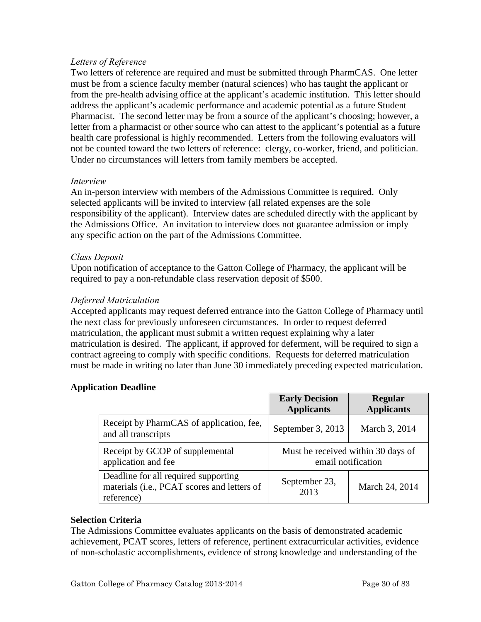# <span id="page-29-0"></span>*Letters of Reference*

Two letters of reference are required and must be submitted through PharmCAS. One letter must be from a science faculty member (natural sciences) who has taught the applicant or from the pre-health advising office at the applicant's academic institution. This letter should address the applicant's academic performance and academic potential as a future Student Pharmacist. The second letter may be from a source of the applicant's choosing; however, a letter from a pharmacist or other source who can attest to the applicant's potential as a future health care professional is highly recommended. Letters from the following evaluators will not be counted toward the two letters of reference: clergy, co-worker, friend, and politician. Under no circumstances will letters from family members be accepted.

#### *Interview*

An in-person interview with members of the Admissions Committee is required. Only selected applicants will be invited to interview (all related expenses are the sole responsibility of the applicant). Interview dates are scheduled directly with the applicant by the Admissions Office. An invitation to interview does not guarantee admission or imply any specific action on the part of the Admissions Committee.

#### *Class Deposit*

Upon notification of acceptance to the Gatton College of Pharmacy, the applicant will be required to pay a non-refundable class reservation deposit of \$500.

#### *Deferred Matriculation*

Accepted applicants may request deferred entrance into the Gatton College of Pharmacy until the next class for previously unforeseen circumstances. In order to request deferred matriculation, the applicant must submit a written request explaining why a later matriculation is desired. The applicant, if approved for deferment, will be required to sign a contract agreeing to comply with specific conditions. Requests for deferred matriculation must be made in writing no later than June 30 immediately preceding expected matriculation.

# **Application Deadline**

|                                                                                                   | <b>Early Decision</b><br><b>Applicants</b>               | Regular<br><b>Applicants</b> |
|---------------------------------------------------------------------------------------------------|----------------------------------------------------------|------------------------------|
| Receipt by PharmCAS of application, fee,<br>and all transcripts                                   | September 3, 2013                                        | March 3, 2014                |
| Receipt by GCOP of supplemental<br>application and fee                                            | Must be received within 30 days of<br>email notification |                              |
| Deadline for all required supporting<br>materials (i.e., PCAT scores and letters of<br>reference) | September 23,<br>2013                                    | March 24, 2014               |

#### **Selection Criteria**

The Admissions Committee evaluates applicants on the basis of demonstrated academic achievement, PCAT scores, letters of reference, pertinent extracurricular activities, evidence of non-scholastic accomplishments, evidence of strong knowledge and understanding of the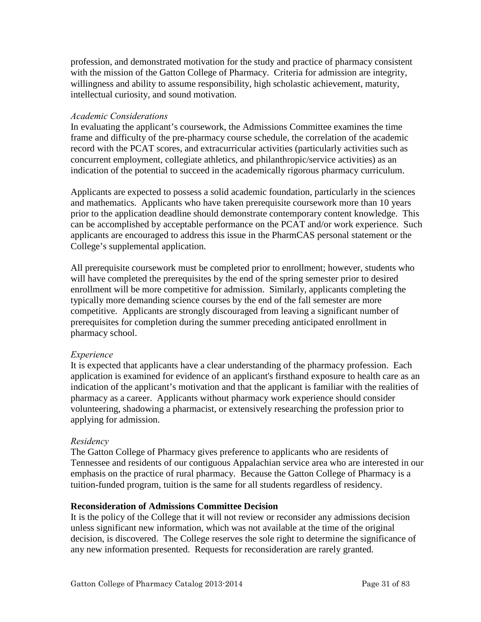<span id="page-30-0"></span>profession, and demonstrated motivation for the study and practice of pharmacy consistent with the mission of the Gatton College of Pharmacy. Criteria for admission are integrity, willingness and ability to assume responsibility, high scholastic achievement, maturity, intellectual curiosity, and sound motivation.

#### *Academic Considerations*

In evaluating the applicant's coursework, the Admissions Committee examines the time frame and difficulty of the pre-pharmacy course schedule, the correlation of the academic record with the PCAT scores, and extracurricular activities (particularly activities such as concurrent employment, collegiate athletics, and philanthropic/service activities) as an indication of the potential to succeed in the academically rigorous pharmacy curriculum.

Applicants are expected to possess a solid academic foundation, particularly in the sciences and mathematics. Applicants who have taken prerequisite coursework more than 10 years prior to the application deadline should demonstrate contemporary content knowledge. This can be accomplished by acceptable performance on the PCAT and/or work experience. Such applicants are encouraged to address this issue in the PharmCAS personal statement or the College's supplemental application.

All prerequisite coursework must be completed prior to enrollment; however, students who will have completed the prerequisites by the end of the spring semester prior to desired enrollment will be more competitive for admission. Similarly, applicants completing the typically more demanding science courses by the end of the fall semester are more competitive. Applicants are strongly discouraged from leaving a significant number of prerequisites for completion during the summer preceding anticipated enrollment in pharmacy school.

# *Experience*

It is expected that applicants have a clear understanding of the pharmacy profession. Each application is examined for evidence of an applicant's firsthand exposure to health care as an indication of the applicant's motivation and that the applicant is familiar with the realities of pharmacy as a career. Applicants without pharmacy work experience should consider volunteering, shadowing a pharmacist, or extensively researching the profession prior to applying for admission.

# *Residency*

The Gatton College of Pharmacy gives preference to applicants who are residents of Tennessee and residents of our contiguous Appalachian service area who are interested in our emphasis on the practice of rural pharmacy. Because the Gatton College of Pharmacy is a tuition-funded program, tuition is the same for all students regardless of residency.

#### **Reconsideration of Admissions Committee Decision**

It is the policy of the College that it will not review or reconsider any admissions decision unless significant new information, which was not available at the time of the original decision, is discovered. The College reserves the sole right to determine the significance of any new information presented. Requests for reconsideration are rarely granted.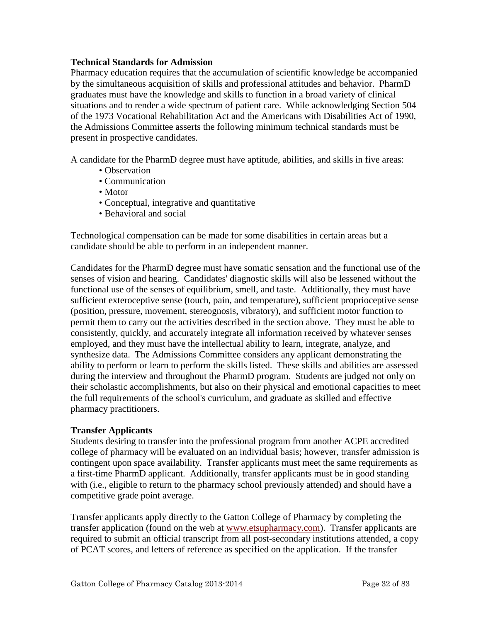#### <span id="page-31-0"></span>**Technical Standards for Admission**

Pharmacy education requires that the accumulation of scientific knowledge be accompanied by the simultaneous acquisition of skills and professional attitudes and behavior. PharmD graduates must have the knowledge and skills to function in a broad variety of clinical situations and to render a wide spectrum of patient care. While acknowledging Section 504 of the 1973 Vocational Rehabilitation Act and the Americans with Disabilities Act of 1990, the Admissions Committee asserts the following minimum technical standards must be present in prospective candidates.

A candidate for the PharmD degree must have aptitude, abilities, and skills in five areas:

- Observation
- Communication
- Motor
- Conceptual, integrative and quantitative
- Behavioral and social

Technological compensation can be made for some disabilities in certain areas but a candidate should be able to perform in an independent manner.

Candidates for the PharmD degree must have somatic sensation and the functional use of the senses of vision and hearing. Candidates' diagnostic skills will also be lessened without the functional use of the senses of equilibrium, smell, and taste. Additionally, they must have sufficient exteroceptive sense (touch, pain, and temperature), sufficient proprioceptive sense (position, pressure, movement, stereognosis, vibratory), and sufficient motor function to permit them to carry out the activities described in the section above. They must be able to consistently, quickly, and accurately integrate all information received by whatever senses employed, and they must have the intellectual ability to learn, integrate, analyze, and synthesize data. The Admissions Committee considers any applicant demonstrating the ability to perform or learn to perform the skills listed. These skills and abilities are assessed during the interview and throughout the PharmD program. Students are judged not only on their scholastic accomplishments, but also on their physical and emotional capacities to meet the full requirements of the school's curriculum, and graduate as skilled and effective pharmacy practitioners.

#### **Transfer Applicants**

Students desiring to transfer into the professional program from another ACPE accredited college of pharmacy will be evaluated on an individual basis; however, transfer admission is contingent upon space availability. Transfer applicants must meet the same requirements as a first-time PharmD applicant. Additionally, transfer applicants must be in good standing with (i.e., eligible to return to the pharmacy school previously attended) and should have a competitive grade point average.

Transfer applicants apply directly to the Gatton College of Pharmacy by completing the transfer application (found on the web at www.etsupharmacy.com). Transfer applicants are required to submit an official transcript from all post-secondary institutions attended, a copy of PCAT scores, and letters of reference as specified on the application. If the transfer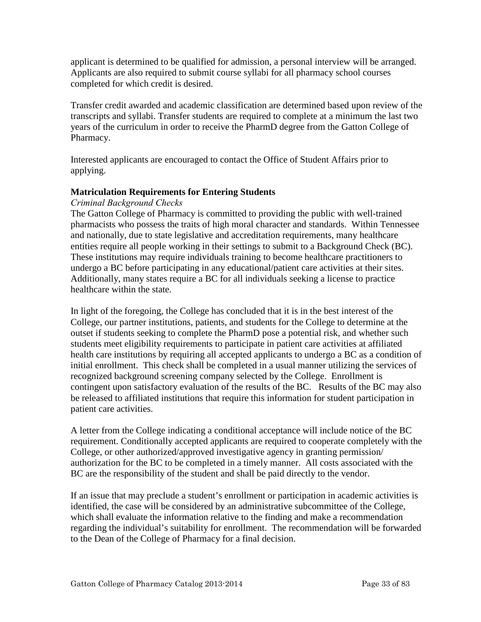<span id="page-32-0"></span>applicant is determined to be qualified for admission, a personal interview will be arranged. Applicants are also required to submit course syllabi for all pharmacy school courses completed for which credit is desired.

Transfer credit awarded and academic classification are determined based upon review of the transcripts and syllabi. Transfer students are required to complete at a minimum the last two years of the curriculum in order to receive the PharmD degree from the Gatton College of Pharmacy.

Interested applicants are encouraged to contact the Office of Student Affairs prior to applying.

# **Matriculation Requirements for Entering Students**

# *Criminal Background Checks*

The Gatton College of Pharmacy is committed to providing the public with well-trained pharmacists who possess the traits of high moral character and standards. Within Tennessee and nationally, due to state legislative and accreditation requirements, many healthcare entities require all people working in their settings to submit to a Background Check (BC). These institutions may require individuals training to become healthcare practitioners to undergo a BC before participating in any educational/patient care activities at their sites. Additionally, many states require a BC for all individuals seeking a license to practice healthcare within the state.

In light of the foregoing, the College has concluded that it is in the best interest of the College, our partner institutions, patients, and students for the College to determine at the outset if students seeking to complete the PharmD pose a potential risk, and whether such students meet eligibility requirements to participate in patient care activities at affiliated health care institutions by requiring all accepted applicants to undergo a BC as a condition of initial enrollment. This check shall be completed in a usual manner utilizing the services of recognized background screening company selected by the College. Enrollment is contingent upon satisfactory evaluation of the results of the BC. Results of the BC may also be released to affiliated institutions that require this information for student participation in patient care activities.

A letter from the College indicating a conditional acceptance will include notice of the BC requirement. Conditionally accepted applicants are required to cooperate completely with the College, or other authorized/approved investigative agency in granting permission/ authorization for the BC to be completed in a timely manner. All costs associated with the BC are the responsibility of the student and shall be paid directly to the vendor.

If an issue that may preclude a student's enrollment or participation in academic activities is identified, the case will be considered by an administrative subcommittee of the College, which shall evaluate the information relative to the finding and make a recommendation regarding the individual's suitability for enrollment. The recommendation will be forwarded to the Dean of the College of Pharmacy for a final decision.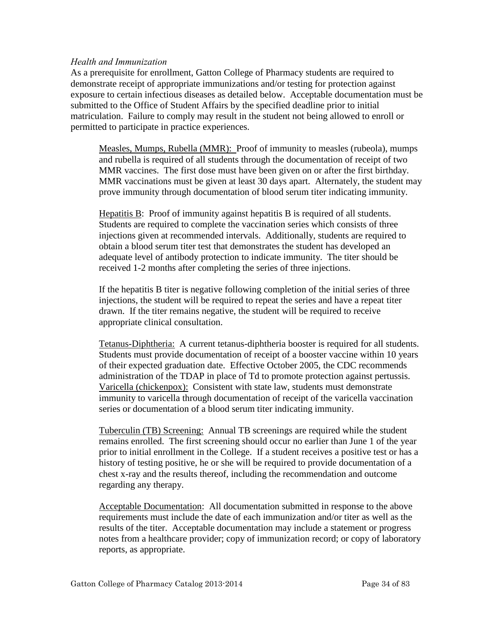#### <span id="page-33-0"></span>*Health and Immunization*

As a prerequisite for enrollment, Gatton College of Pharmacy students are required to demonstrate receipt of appropriate immunizations and/or testing for protection against exposure to certain infectious diseases as detailed below. Acceptable documentation must be submitted to the Office of Student Affairs by the specified deadline prior to initial matriculation. Failure to comply may result in the student not being allowed to enroll or permitted to participate in practice experiences.

Measles, Mumps, Rubella (MMR): Proof of immunity to measles (rubeola), mumps and rubella is required of all students through the documentation of receipt of two MMR vaccines. The first dose must have been given on or after the first birthday. MMR vaccinations must be given at least 30 days apart. Alternately, the student may prove immunity through documentation of blood serum titer indicating immunity.

Hepatitis  $\overline{B}$ : Proof of immunity against hepatitis B is required of all students. Students are required to complete the vaccination series which consists of three injections given at recommended intervals. Additionally, students are required to obtain a blood serum titer test that demonstrates the student has developed an adequate level of antibody protection to indicate immunity. The titer should be received 1-2 months after completing the series of three injections.

If the hepatitis B titer is negative following completion of the initial series of three injections, the student will be required to repeat the series and have a repeat titer drawn. If the titer remains negative, the student will be required to receive appropriate clinical consultation.

Tetanus-Diphtheria: A current tetanus-diphtheria booster is required for all students. Students must provide documentation of receipt of a booster vaccine within 10 years of their expected graduation date. Effective October 2005, the CDC recommends administration of the TDAP in place of Td to promote protection against pertussis. Varicella (chickenpox): Consistent with state law, students must demonstrate immunity to varicella through documentation of receipt of the varicella vaccination series or documentation of a blood serum titer indicating immunity.

Tuberculin (TB) Screening: Annual TB screenings are required while the student remains enrolled. The first screening should occur no earlier than June 1 of the year prior to initial enrollment in the College. If a student receives a positive test or has a history of testing positive, he or she will be required to provide documentation of a chest x-ray and the results thereof, including the recommendation and outcome regarding any therapy.

Acceptable Documentation: All documentation submitted in response to the above requirements must include the date of each immunization and/or titer as well as the results of the titer. Acceptable documentation may include a statement or progress notes from a healthcare provider; copy of immunization record; or copy of laboratory reports, as appropriate.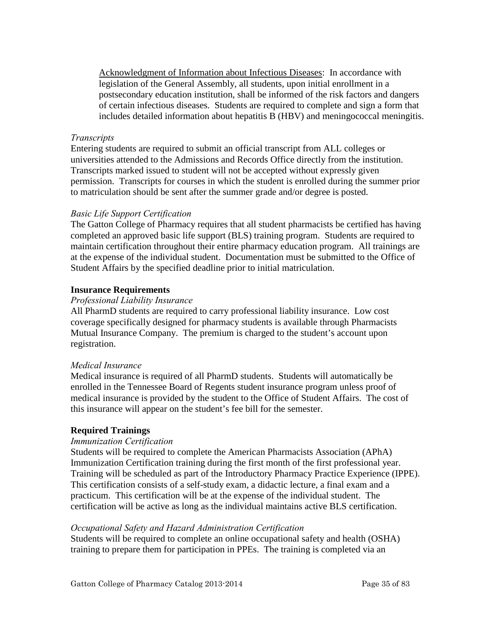<span id="page-34-0"></span>Acknowledgment of Information about Infectious Diseases: In accordance with legislation of the General Assembly, all students, upon initial enrollment in a postsecondary education institution, shall be informed of the risk factors and dangers of certain infectious diseases. Students are required to complete and sign a form that includes detailed information about hepatitis B (HBV) and meningococcal meningitis.

#### *Transcripts*

Entering students are required to submit an official transcript from ALL colleges or universities attended to the Admissions and Records Office directly from the institution. Transcripts marked issued to student will not be accepted without expressly given permission. Transcripts for courses in which the student is enrolled during the summer prior to matriculation should be sent after the summer grade and/or degree is posted.

#### *Basic Life Support Certification*

The Gatton College of Pharmacy requires that all student pharmacists be certified has having completed an approved basic life support (BLS) training program. Students are required to maintain certification throughout their entire pharmacy education program. All trainings are at the expense of the individual student. Documentation must be submitted to the Office of Student Affairs by the specified deadline prior to initial matriculation.

#### **Insurance Requirements**

#### *Professional Liability Insurance*

All PharmD students are required to carry professional liability insurance. Low cost coverage specifically designed for pharmacy students is available through Pharmacists Mutual Insurance Company. The premium is charged to the student's account upon registration.

#### *Medical Insurance*

Medical insurance is required of all PharmD students. Students will automatically be enrolled in the Tennessee Board of Regents student insurance program unless proof of medical insurance is provided by the student to the Office of Student Affairs. The cost of this insurance will appear on the student's fee bill for the semester.

#### **Required Trainings**

#### *Immunization Certification*

Students will be required to complete the American Pharmacists Association (APhA) Immunization Certification training during the first month of the first professional year. Training will be scheduled as part of the Introductory Pharmacy Practice Experience (IPPE). This certification consists of a self-study exam, a didactic lecture, a final exam and a practicum. This certification will be at the expense of the individual student. The certification will be active as long as the individual maintains active BLS certification.

#### *Occupational Safety and Hazard Administration Certification*

Students will be required to complete an online occupational safety and health (OSHA) training to prepare them for participation in PPEs. The training is completed via an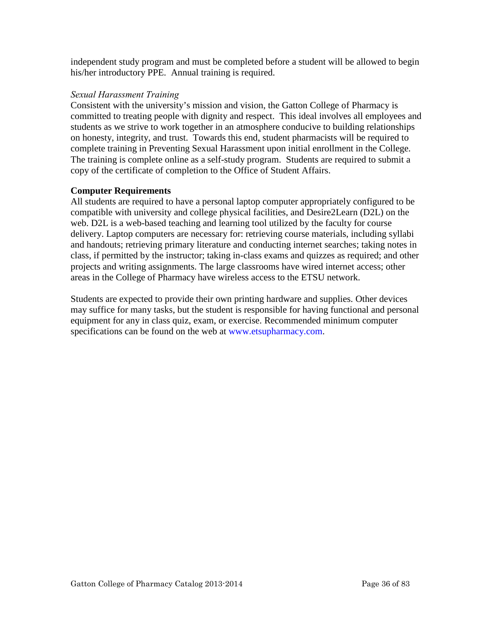<span id="page-35-0"></span>independent study program and must be completed before a student will be allowed to begin his/her introductory PPE. Annual training is required.

#### *Sexual Harassment Training*

Consistent with the university's mission and vision, the Gatton College of Pharmacy is committed to treating people with dignity and respect. This ideal involves all employees and students as we strive to work together in an atmosphere conducive to building relationships on honesty, integrity, and trust. Towards this end, student pharmacists will be required to complete training in Preventing Sexual Harassment upon initial enrollment in the College. The training is complete online as a self-study program. Students are required to submit a copy of the certificate of completion to the Office of Student Affairs.

# **Computer Requirements**

All students are required to have a personal laptop computer appropriately configured to be compatible with university and college physical facilities, and Desire2Learn (D2L) on the web. D2L is a web-based teaching and learning tool utilized by the faculty for course delivery. Laptop computers are necessary for: retrieving course materials, including syllabi and handouts; retrieving primary literature and conducting internet searches; taking notes in class, if permitted by the instructor; taking in-class exams and quizzes as required; and other projects and writing assignments. The large classrooms have wired internet access; other areas in the College of Pharmacy have wireless access to the ETSU network.

Students are expected to provide their own printing hardware and supplies. Other devices may suffice for many tasks, but the student is responsible for having functional and personal equipment for any in class quiz, exam, or exercise. Recommended minimum computer specifications can be found on the web at www.etsupharmacy.com.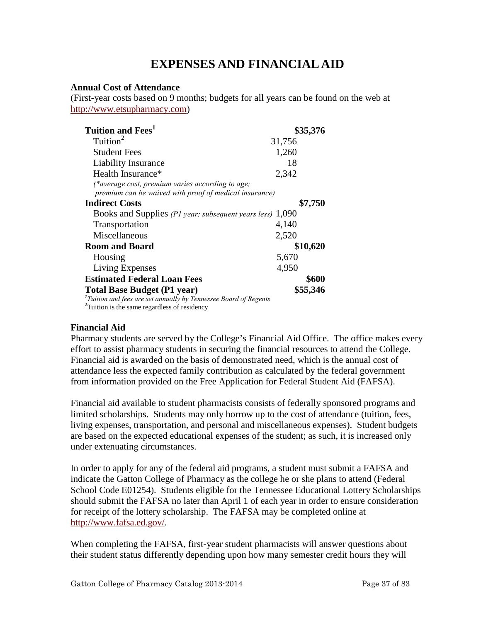# **EXPENSES AND FINANCIAL AID**

#### **Annual Cost of Attendance**

(First-year costs based on 9 months; budgets for all years can be found on the web at [http://www.etsupharmacy.com\)](http://www.etsupharmacy.com/)

| Tuition and Fees <sup>1</sup>                                                                              | \$35,376 |
|------------------------------------------------------------------------------------------------------------|----------|
| Tuition <sup>2</sup>                                                                                       | 31,756   |
| <b>Student Fees</b>                                                                                        | 1,260    |
| Liability Insurance                                                                                        | 18       |
| Health Insurance*                                                                                          | 2,342    |
| (*average cost, premium varies according to age;<br>premium can be waived with proof of medical insurance) |          |
| <b>Indirect Costs</b>                                                                                      | \$7,750  |
| Books and Supplies (P1 year; subsequent years less)                                                        | 1,090    |
| Transportation                                                                                             | 4,140    |
| Miscellaneous                                                                                              | 2,520    |
| <b>Room and Board</b>                                                                                      | \$10,620 |
| Housing                                                                                                    | 5,670    |
| Living Expenses                                                                                            | 4,950    |
| <b>Estimated Federal Loan Fees</b>                                                                         | \$600    |
| <b>Total Base Budget (P1 year)</b>                                                                         | \$55,346 |
| <sup>1</sup> Tuition and fees are set annually by Tennessee Board of Regents                               |          |

*Tuition and fees are set annually by Tennessee Board of Regents* <sup>2</sup> Tuition is the same regardless of residency

# **Financial Aid**

Pharmacy students are served by the College's Financial Aid Office. The office makes every effort to assist pharmacy students in securing the financial resources to attend the College. Financial aid is awarded on the basis of demonstrated need, which is the annual cost of attendance less the expected family contribution as calculated by the federal government from information provided on the Free Application for Federal Student Aid (FAFSA).

Financial aid available to student pharmacists consists of federally sponsored programs and limited scholarships. Students may only borrow up to the cost of attendance (tuition, fees, living expenses, transportation, and personal and miscellaneous expenses). Student budgets are based on the expected educational expenses of the student; as such, it is increased only under extenuating circumstances.

In order to apply for any of the federal aid programs, a student must submit a FAFSA and indicate the Gatton College of Pharmacy as the college he or she plans to attend (Federal School Code E01254). Students eligible for the Tennessee Educational Lottery Scholarships should submit the FAFSA no later than April 1 of each year in order to ensure consideration for receipt of the lottery scholarship. The FAFSA may be completed online at [http://www.fafsa.ed.gov/.](http://www.fafsa.ed.gov/)

When completing the FAFSA, first-year student pharmacists will answer questions about their student status differently depending upon how many semester credit hours they will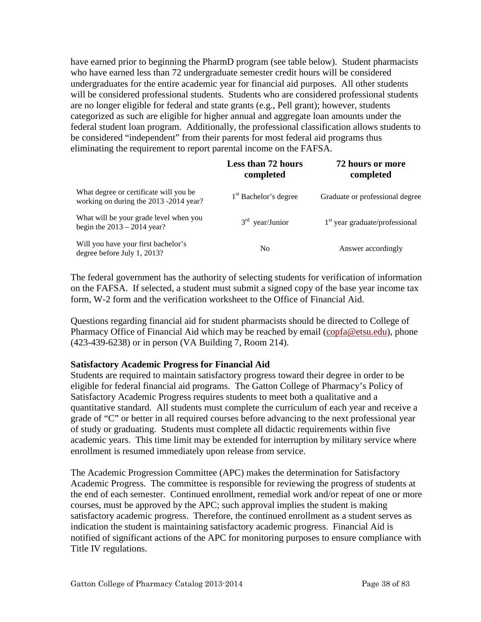have earned prior to beginning the PharmD program (see table below). Student pharmacists who have earned less than 72 undergraduate semester credit hours will be considered undergraduates for the entire academic year for financial aid purposes. All other students will be considered professional students. Students who are considered professional students are no longer eligible for federal and state grants (e.g., Pell grant); however, students categorized as such are eligible for higher annual and aggregate loan amounts under the federal student loan program. Additionally, the professional classification allows students to be considered "independent" from their parents for most federal aid programs thus eliminating the requirement to report parental income on the FAFSA.

|                                                                                  | Less than 72 hours<br>completed   | 72 hours or more<br>completed    |  |
|----------------------------------------------------------------------------------|-----------------------------------|----------------------------------|--|
| What degree or certificate will you be<br>working on during the 2013 -2014 year? | 1 <sup>st</sup> Bachelor's degree | Graduate or professional degree  |  |
| What will be your grade level when you<br>begin the $2013 - 2014$ year?          | $3rd$ year/Junior                 | $1st$ year graduate/professional |  |
| Will you have your first bachelor's<br>degree before July 1, 2013?               | N <sub>0</sub>                    | Answer accordingly               |  |

The federal government has the authority of selecting students for verification of information on the FAFSA. If selected, a student must submit a signed copy of the base year income tax form, W-2 form and the verification worksheet to the Office of Financial Aid.

Questions regarding financial aid for student pharmacists should be directed to College of Pharmacy Office of Financial Aid which may be reached by email (copfa@etsu.edu), phone (423-439-6238) or in person (VA Building 7, Room 214).

#### **Satisfactory Academic Progress for Financial Aid**

Students are required to maintain satisfactory progress toward their degree in order to be eligible for federal financial aid programs. The Gatton College of Pharmacy's Policy of Satisfactory Academic Progress requires students to meet both a qualitative and a quantitative standard. All students must complete the curriculum of each year and receive a grade of "C" or better in all required courses before advancing to the next professional year of study or graduating. Students must complete all didactic requirements within five academic years. This time limit may be extended for interruption by military service where enrollment is resumed immediately upon release from service.

The Academic Progression Committee (APC) makes the determination for Satisfactory Academic Progress. The committee is responsible for reviewing the progress of students at the end of each semester. Continued enrollment, remedial work and/or repeat of one or more courses, must be approved by the APC; such approval implies the student is making satisfactory academic progress. Therefore, the continued enrollment as a student serves as indication the student is maintaining satisfactory academic progress. Financial Aid is notified of significant actions of the APC for monitoring purposes to ensure compliance with Title IV regulations.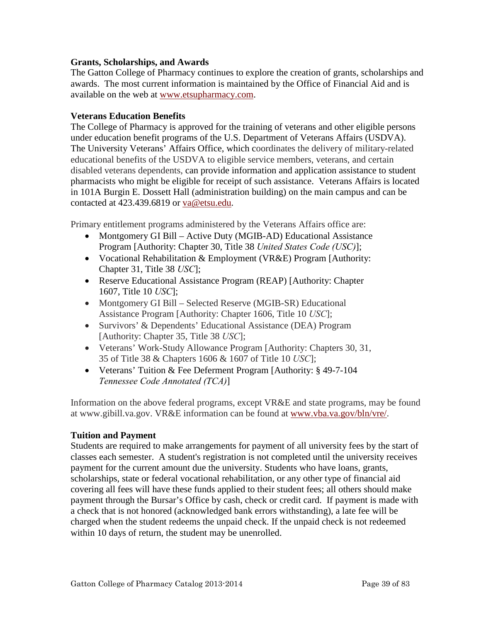## **Grants, Scholarships, and Awards**

The Gatton College of Pharmacy continues to explore the creation of grants, scholarships and awards. The most current information is maintained by the Office of Financial Aid and is available on the web at [www.etsupharmacy.com.](http://www.etsupharmacy.com/)

## **Veterans Education Benefits**

The College of Pharmacy is approved for the training of veterans and other eligible persons under education benefit programs of the U.S. Department of Veterans Affairs (USDVA). The University Veterans' Affairs Office, which coordinates the delivery of military-related educational benefits of the USDVA to eligible service members, veterans, and certain disabled veterans dependents, can provide information and application assistance to student pharmacists who might be eligible for receipt of such assistance. Veterans Affairs is located in 101A Burgin E. Dossett Hall (administration building) on the main campus and can be contacted at 423.439.6819 or va@etsu.edu.

Primary entitlement programs administered by the Veterans Affairs office are:

- Montgomery GI Bill Active Duty (MGIB-AD) Educational Assistance Program [Authority: Chapter 30, Title 38 *United States Code (USC)*];
- Vocational Rehabilitation & Employment (VR&E) Program [Authority: Chapter 31, Title 38 *USC*];
- Reserve Educational Assistance Program (REAP) [Authority: Chapter 1607, Title 10 *USC*];
- Montgomery GI Bill Selected Reserve (MGIB-SR) Educational Assistance Program [Authority: Chapter 1606, Title 10 *USC*];
- Survivors' & Dependents' Educational Assistance (DEA) Program [Authority: Chapter 35, Title 38 *USC*];
- Veterans' Work-Study Allowance Program [Authority: Chapters 30, 31, 35 of Title 38 & Chapters 1606 & 1607 of Title 10 *USC*];
- Veterans' Tuition & Fee Deferment Program [Authority: § 49-7-104] *Tennessee Code Annotated (TCA)*]

Information on the above federal programs, except VR&E and state programs, may be found at www.gibill.va.gov. VR&E information can be found at [www.vba.va.gov/bln/vre/.](http://www.vba.va.gov/bln/vre/)

#### **Tuition and Payment**

Students are required to make arrangements for payment of all university fees by the start of classes each semester. A student's registration is not completed until the university receives payment for the current amount due the university. Students who have loans, grants, scholarships, state or federal vocational rehabilitation, or any other type of financial aid covering all fees will have these funds applied to their student fees; all others should make payment through the Bursar's Office by cash, check or credit card. If payment is made with a check that is not honored (acknowledged bank errors withstanding), a late fee will be charged when the student redeems the unpaid check. If the unpaid check is not redeemed within 10 days of return, the student may be unenrolled.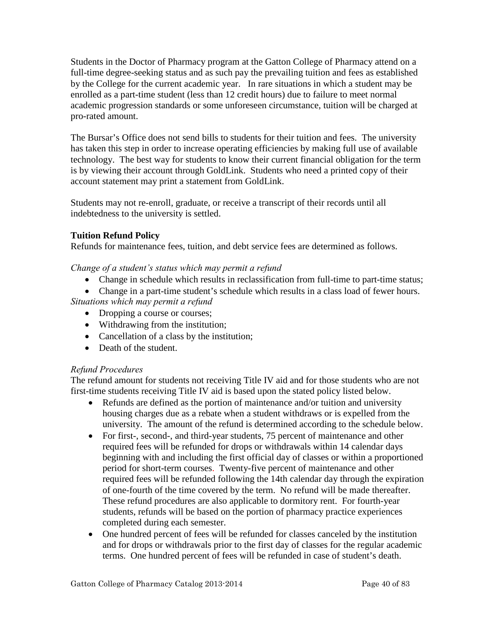Students in the Doctor of Pharmacy program at the Gatton College of Pharmacy attend on a full-time degree-seeking status and as such pay the prevailing tuition and fees as established by the College for the current academic year. In rare situations in which a student may be enrolled as a part-time student (less than 12 credit hours) due to failure to meet normal academic progression standards or some unforeseen circumstance, tuition will be charged at pro-rated amount.

The Bursar's Office does not send bills to students for their [tuition and fees.](http://www.etsu.edu/comptrol/bursar_tuition_and_fees.htm) The university has taken this step in order to increase operating efficiencies by making full use of available technology. The best way for students to know their current financial obligation for the term is by viewing their account through [GoldLink.](https://goldlink.etsu.edu/ahomepg.htm) Students who need a printed copy of their account statement may print a statement from [GoldLink.](https://goldlink.etsu.edu/ahomepg.htm)

Students may not re-enroll, graduate, or receive a transcript of their records until all indebtedness to the university is settled.

# **Tuition Refund Policy**

Refunds for maintenance fees, tuition, and debt service fees are determined as follows.

*Change of a student's status which may permit a refund* 

- Change in schedule which results in reclassification from full-time to part-time status;
- Change in a part-time student's schedule which results in a class load of fewer hours.

*Situations which may permit a refund* 

- Dropping a course or courses;
- Withdrawing from the institution;
- Cancellation of a class by the institution;
- Death of the student.

# *Refund Procedures*

The refund amount for students not receiving Title IV aid and for those students who are not first-time students receiving Title IV aid is based upon the stated policy listed below.

- Refunds are defined as the portion of maintenance and/or tuition and university housing charges due as a rebate when a student withdraws or is expelled from the university. The amount of the refund is determined according to the schedule below.
- For first-, second-, and third-year students, 75 percent of maintenance and other required fees will be refunded for drops or withdrawals within 14 calendar days beginning with and including the first official day of classes or within a proportioned period for short-term courses. Twenty-five percent of maintenance and other required fees will be refunded following the 14th calendar day through the expiration of one-fourth of the time covered by the term. No refund will be made thereafter. These refund procedures are also applicable to dormitory rent. For fourth-year students, refunds will be based on the portion of pharmacy practice experiences completed during each semester.
- One hundred percent of fees will be refunded for classes canceled by the institution and for drops or withdrawals prior to the first day of classes for the regular academic terms. One hundred percent of fees will be refunded in case of student's death.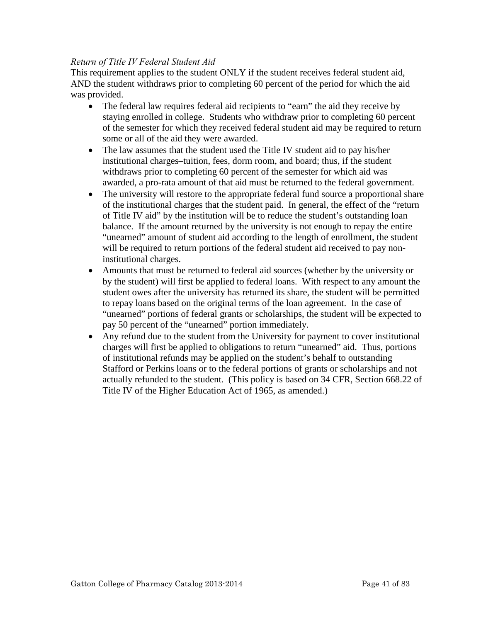## *Return of Title IV Federal Student Aid*

This requirement applies to the student ONLY if the student receives federal student aid, AND the student withdraws prior to completing 60 percent of the period for which the aid was provided.

- The federal law requires federal aid recipients to "earn" the aid they receive by staying enrolled in college. Students who withdraw prior to completing 60 percent of the semester for which they received federal student aid may be required to return some or all of the aid they were awarded.
- The law assumes that the student used the Title IV student aid to pay his/her institutional charges–tuition, fees, dorm room, and board; thus, if the student withdraws prior to completing 60 percent of the semester for which aid was awarded, a pro-rata amount of that aid must be returned to the federal government.
- The university will restore to the appropriate federal fund source a proportional share of the institutional charges that the student paid. In general, the effect of the "return of Title IV aid" by the institution will be to reduce the student's outstanding loan balance. If the amount returned by the university is not enough to repay the entire "unearned" amount of student aid according to the length of enrollment, the student will be required to return portions of the federal student aid received to pay noninstitutional charges.
- Amounts that must be returned to federal aid sources (whether by the university or by the student) will first be applied to federal loans. With respect to any amount the student owes after the university has returned its share, the student will be permitted to repay loans based on the original terms of the loan agreement. In the case of "unearned" portions of federal grants or scholarships, the student will be expected to pay 50 percent of the "unearned" portion immediately.
- Any refund due to the student from the University for payment to cover institutional charges will first be applied to obligations to return "unearned" aid. Thus, portions of institutional refunds may be applied on the student's behalf to outstanding Stafford or Perkins loans or to the federal portions of grants or scholarships and not actually refunded to the student. (This policy is based on 34 CFR, Section 668.22 of Title IV of the Higher Education Act of 1965, as amended.)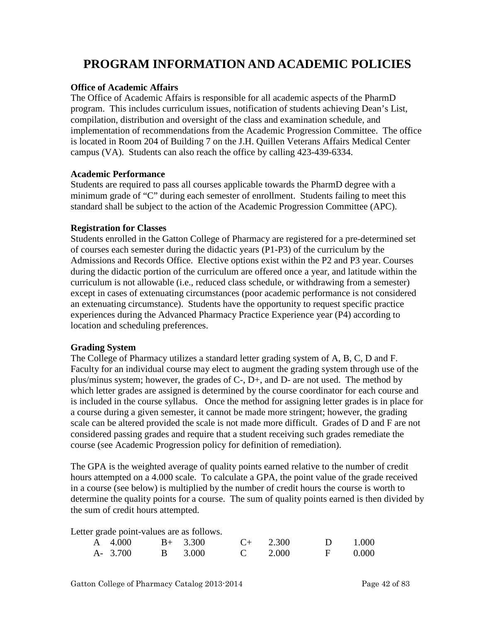# **PROGRAM INFORMATION AND ACADEMIC POLICIES**

#### **Office of Academic Affairs**

The Office of Academic Affairs is responsible for all academic aspects of the PharmD program. This includes curriculum issues, notification of students achieving Dean's List, compilation, distribution and oversight of the class and examination schedule, and implementation of recommendations from the Academic Progression Committee. The office is located in Room 204 of Building 7 on the J.H. Quillen Veterans Affairs Medical Center campus (VA). Students can also reach the office by calling 423-439-6334.

#### **Academic Performance**

Students are required to pass all courses applicable towards the PharmD degree with a minimum grade of "C" during each semester of enrollment. Students failing to meet this standard shall be subject to the action of the Academic Progression Committee (APC).

#### **Registration for Classes**

Students enrolled in the Gatton College of Pharmacy are registered for a pre-determined set of courses each semester during the didactic years (P1-P3) of the curriculum by the Admissions and Records Office. Elective options exist within the P2 and P3 year. Courses during the didactic portion of the curriculum are offered once a year, and latitude within the curriculum is not allowable (i.e., reduced class schedule, or withdrawing from a semester) except in cases of extenuating circumstances (poor academic performance is not considered an extenuating circumstance). Students have the opportunity to request specific practice experiences during the Advanced Pharmacy Practice Experience year (P4) according to location and scheduling preferences.

#### **Grading System**

The College of Pharmacy utilizes a standard letter grading system of A, B, C, D and F. Faculty for an individual course may elect to augment the grading system through use of the plus/minus system; however, the grades of  $C$ -,  $D$ +, and  $D$ - are not used. The method by which letter grades are assigned is determined by the course coordinator for each course and is included in the course syllabus. Once the method for assigning letter grades is in place for a course during a given semester, it cannot be made more stringent; however, the grading scale can be altered provided the scale is not made more difficult. Grades of D and F are not considered passing grades and require that a student receiving such grades remediate the course (see Academic Progression policy for definition of remediation).

The GPA is the weighted average of quality points earned relative to the number of credit hours attempted on a 4.000 scale. To calculate a GPA, the point value of the grade received in a course (see below) is multiplied by the number of credit hours the course is worth to determine the quality points for a course. The sum of quality points earned is then divided by the sum of credit hours attempted.

Letter grade point-values are as follows.

| A $4.000$ B+ $3.300$ |                 | $C_{+}$ 2.300 | $D = 1.000$ |  |
|----------------------|-----------------|---------------|-------------|--|
| A- 3.700             | B 3.000 C 2.000 |               | $F = 0.000$ |  |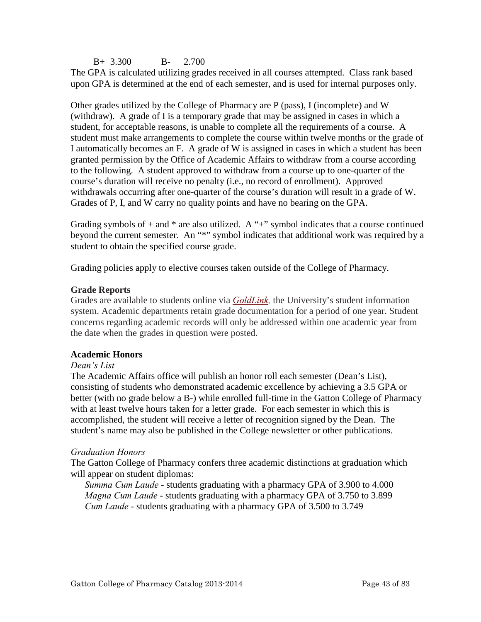B+ 3.300 B- 2.700

The GPA is calculated utilizing grades received in all courses attempted. Class rank based upon GPA is determined at the end of each semester, and is used for internal purposes only.

Other grades utilized by the College of Pharmacy are P (pass), I (incomplete) and W (withdraw). A grade of I is a temporary grade that may be assigned in cases in which a student, for acceptable reasons, is unable to complete all the requirements of a course. A student must make arrangements to complete the course within twelve months or the grade of I automatically becomes an F. A grade of W is assigned in cases in which a student has been granted permission by the Office of Academic Affairs to withdraw from a course according to the following. A student approved to withdraw from a course up to one-quarter of the course's duration will receive no penalty (i.e., no record of enrollment). Approved withdrawals occurring after one-quarter of the course's duration will result in a grade of W. Grades of P, I, and W carry no quality points and have no bearing on the GPA.

Grading symbols of  $+$  and  $*$  are also utilized. A " $+$ " symbol indicates that a course continued beyond the current semester. An "\*" symbol indicates that additional work was required by a student to obtain the specified course grade.

Grading policies apply to elective courses taken outside of the College of Pharmacy.

## **Grade Reports**

Grades are available to students online via *[GoldLink,](http://goldlink.etsu.edu/)* the University's student information system. Academic departments retain grade documentation for a period of one year. Student concerns regarding academic records will only be addressed within one academic year from the date when the grades in question were posted.

# **Academic Honors**

#### *Dean's List*

The Academic Affairs office will publish an honor roll each semester (Dean's List), consisting of students who demonstrated academic excellence by achieving a 3.5 GPA or better (with no grade below a B-) while enrolled full-time in the Gatton College of Pharmacy with at least twelve hours taken for a letter grade. For each semester in which this is accomplished, the student will receive a letter of recognition signed by the Dean. The student's name may also be published in the College newsletter or other publications.

# *Graduation Honors*

The Gatton College of Pharmacy confers three academic distinctions at graduation which will appear on student diplomas:

*Summa Cum Laude* - students graduating with a pharmacy GPA of 3.900 to 4.000 *Magna Cum Laude* - students graduating with a pharmacy GPA of 3.750 to 3.899 *Cum Laude* - students graduating with a pharmacy GPA of 3.500 to 3.749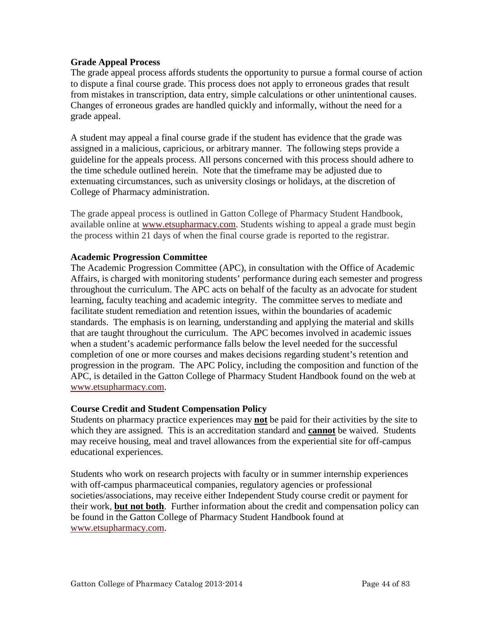## **Grade Appeal Process**

The grade appeal process affords students the opportunity to pursue a formal course of action to dispute a final course grade. This process does not apply to erroneous grades that result from mistakes in transcription, data entry, simple calculations or other unintentional causes. Changes of erroneous grades are handled quickly and informally, without the need for a grade appeal.

A student may appeal a final course grade if the student has evidence that the grade was assigned in a malicious, capricious, or arbitrary manner. The following steps provide a guideline for the appeals process. All persons concerned with this process should adhere to the time schedule outlined herein. Note that the timeframe may be adjusted due to extenuating circumstances, such as university closings or holidays, at the discretion of College of Pharmacy administration.

The grade appeal process is outlined in Gatton College of Pharmacy Student Handbook, available online at [www.etsupharmacy.com.](http://www.etsu.edu/pharmacy) Students wishing to appeal a grade must begin the process within 21 days of when the final course grade is reported to the registrar.

#### **Academic Progression Committee**

The Academic Progression Committee (APC), in consultation with the Office of Academic Affairs, is charged with monitoring students' performance during each semester and progress throughout the curriculum. The APC acts on behalf of the faculty as an advocate for student learning, faculty teaching and academic integrity. The committee serves to mediate and facilitate student remediation and retention issues, within the boundaries of academic standards. The emphasis is on learning, understanding and applying the material and skills that are taught throughout the curriculum. The APC becomes involved in academic issues when a student's academic performance falls below the level needed for the successful completion of one or more courses and makes decisions regarding student's retention and progression in the program. The APC Policy, including the composition and function of the APC, is detailed in the Gatton College of Pharmacy Student Handbook found on the web at [www.etsupharmacy.com.](http://www.etsu.edu/pharmacy)

#### **Course Credit and Student Compensation Policy**

Students on pharmacy practice experiences may **not** be paid for their activities by the site to which they are assigned. This is an accreditation standard and **cannot** be waived. Students may receive housing, meal and travel allowances from the experiential site for off-campus educational experiences.

Students who work on research projects with faculty or in summer internship experiences with off-campus pharmaceutical companies, regulatory agencies or professional societies/associations, may receive either Independent Study course credit or payment for their work, **but not both**. Further information about the credit and compensation policy can be found in the Gatton College of Pharmacy Student Handbook found at [www.etsupharmacy.com.](http://www.etsu.edu/pharmacy)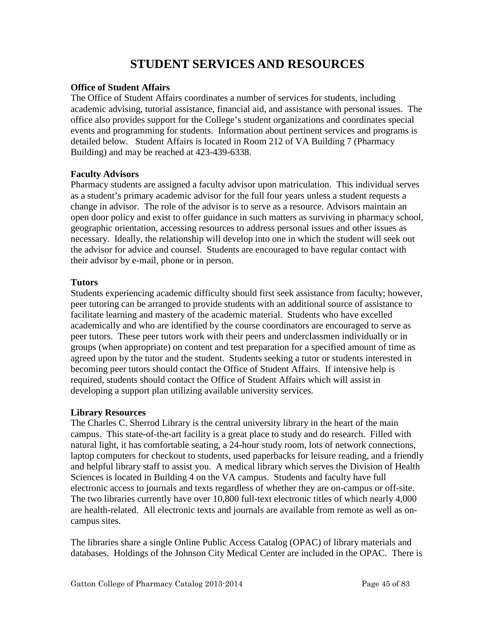# **STUDENT SERVICES AND RESOURCES**

## **Office of Student Affairs**

The Office of Student Affairs coordinates a number of services for students, including academic advising, tutorial assistance, financial aid, and assistance with personal issues. The office also provides support for the College's student organizations and coordinates special events and programming for students. Information about pertinent services and programs is detailed below. Student Affairs is located in Room 212 of VA Building 7 (Pharmacy Building) and may be reached at 423-439-6338.

## **Faculty Advisors**

Pharmacy students are assigned a faculty advisor upon matriculation. This individual serves as a student's primary academic advisor for the full four years unless a student requests a change in advisor. The role of the advisor is to serve as a resource. Advisors maintain an open door policy and exist to offer guidance in such matters as surviving in pharmacy school, geographic orientation, accessing resources to address personal issues and other issues as necessary. Ideally, the relationship will develop into one in which the student will seek out the advisor for advice and counsel. Students are encouraged to have regular contact with their advisor by e-mail, phone or in person.

# **Tutors**

Students experiencing academic difficulty should first seek assistance from faculty; however, peer tutoring can be arranged to provide students with an additional source of assistance to facilitate learning and mastery of the academic material. Students who have excelled academically and who are identified by the course coordinators are encouraged to serve as peer tutors. These peer tutors work with their peers and underclassmen individually or in groups (when appropriate) on content and test preparation for a specified amount of time as agreed upon by the tutor and the student. Students seeking a tutor or students interested in becoming peer tutors should contact the Office of Student Affairs. If intensive help is required, students should contact the Office of Student Affairs which will assist in developing a support plan utilizing available university services.

# **Library Resources**

The Charles C. Sherrod Library is the central university library in the heart of the main campus. This state-of-the-art facility is a great place to study and do research. Filled with natural light, it has comfortable seating, a 24-hour study room, lots of network connections, laptop computers for checkout to students, used paperbacks for leisure reading, and a friendly and helpful library staff to assist you. A medical library which serves the Division of Health Sciences is located in Building 4 on the VA campus. Students and faculty have full electronic access to journals and texts regardless of whether they are on-campus or off-site. The two libraries currently have over 10,800 full-text electronic titles of which nearly 4,000 are health-related. All electronic texts and journals are available from remote as well as oncampus sites.

The libraries share a single Online Public Access Catalog (OPAC) of library materials and databases. Holdings of the Johnson City Medical Center are included in the OPAC. There is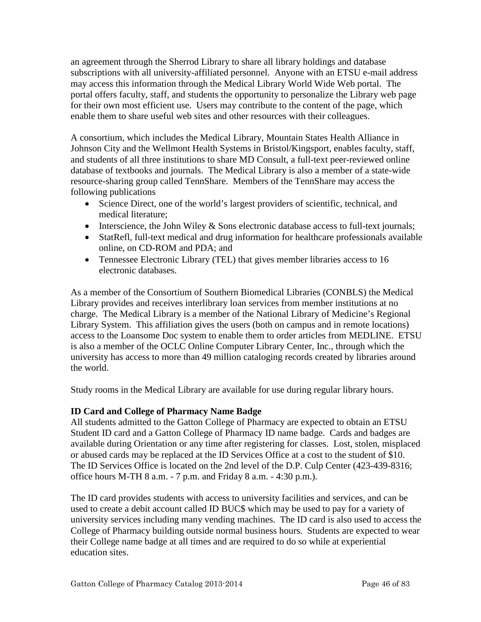an agreement through the Sherrod Library to share all library holdings and database subscriptions with all university-affiliated personnel. Anyone with an ETSU e-mail address may access this information through the Medical Library World Wide Web portal. The portal offers faculty, staff, and students the opportunity to personalize the Library web page for their own most efficient use. Users may contribute to the content of the page, which enable them to share useful web sites and other resources with their colleagues.

A consortium, which includes the Medical Library, Mountain States Health Alliance in Johnson City and the Wellmont Health Systems in Bristol/Kingsport, enables faculty, staff, and students of all three institutions to share MD Consult, a full-text peer-reviewed online database of textbooks and journals. The Medical Library is also a member of a state-wide resource-sharing group called TennShare. Members of the TennShare may access the following publications

- Science Direct, one of the world's largest providers of scientific, technical, and medical literature;
- Interscience, the John Wiley  $&$  Sons electronic database access to full-text journals;
- StatRefl, full-text medical and drug information for healthcare professionals available online, on CD-ROM and PDA; and
- Tennessee Electronic Library (TEL) that gives member libraries access to 16 electronic databases.

As a member of the Consortium of Southern Biomedical Libraries (CONBLS) the Medical Library provides and receives interlibrary loan services from member institutions at no charge. The Medical Library is a member of the National Library of Medicine's Regional Library System. This affiliation gives the users (both on campus and in remote locations) access to the Loansome Doc system to enable them to order articles from MEDLINE. ETSU is also a member of the OCLC Online Computer Library Center, Inc., through which the university has access to more than 49 million cataloging records created by libraries around the world.

Study rooms in the Medical Library are available for use during regular library hours.

# **ID Card and College of Pharmacy Name Badge**

All students admitted to the Gatton College of Pharmacy are expected to obtain an ETSU Student ID card and a Gatton College of Pharmacy ID name badge. Cards and badges are available during Orientation or any time after registering for classes. Lost, stolen, misplaced or abused cards may be replaced at the ID Services Office at a cost to the student of \$10. The ID Services Office is located on the 2nd level of the D.P. Culp Center (423-439-8316; office hours M-TH 8 a.m. - 7 p.m. and Friday 8 a.m. - 4:30 p.m.).

The ID card provides students with access to university facilities and services, and can be used to create a debit account called ID BUC\$ which may be used to pay for a variety of university services including many vending machines. The ID card is also used to access the College of Pharmacy building outside normal business hours. Students are expected to wear their College name badge at all times and are required to do so while at experiential education sites.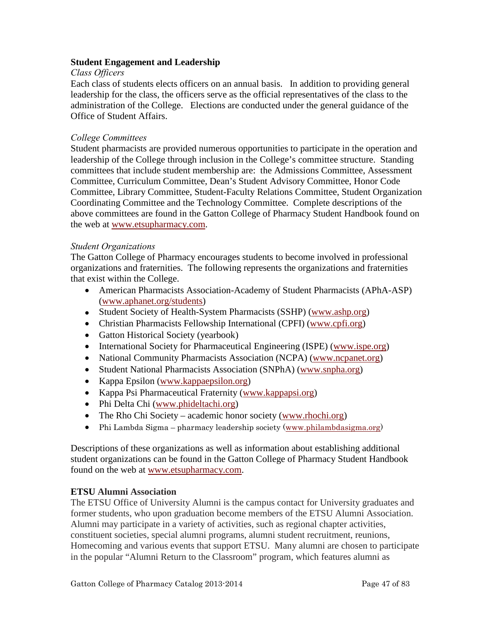## **Student Engagement and Leadership**

#### *Class Officers*

Each class of students elects officers on an annual basis. In addition to providing general leadership for the class, the officers serve as the official representatives of the class to the administration of the College. Elections are conducted under the general guidance of the Office of Student Affairs.

## *College Committees*

Student pharmacists are provided numerous opportunities to participate in the operation and leadership of the College through inclusion in the College's committee structure. Standing committees that include student membership are: the Admissions Committee, Assessment Committee, Curriculum Committee, Dean's Student Advisory Committee, Honor Code Committee, Library Committee, Student-Faculty Relations Committee, Student Organization Coordinating Committee and the Technology Committee. Complete descriptions of the above committees are found in the Gatton College of Pharmacy Student Handbook found on the web at [www.etsupharmacy.com.](http://www.etsu.edu/pharmacy)

#### *Student Organizations*

The Gatton College of Pharmacy encourages students to become involved in professional organizations and fraternities. The following represents the organizations and fraternities that exist within the College.

- American Pharmacists Association-Academy of Student Pharmacists (APhA-ASP) [\(www.aphanet.org/students\)](http://www.aphanet.org/students)
- Student Society of Health-System Pharmacists (SSHP) [\(www.ashp.org\)](http://www.ashp.org/)
- Christian Pharmacists Fellowship International (CPFI) [\(www.cpfi.org\)](http://www.cpfi.org/)
- Gatton Historical Society (yearbook)
- International Society for Pharmaceutical Engineering (ISPE) [\(www.ispe.org\)](http://www.ispe.org/)
- National Community Pharmacists Association (NCPA) [\(www.ncpanet.org\)](http://www.ncpanet.org/)
- Student National Pharmacists Association (SNPhA) [\(www.snpha.org\)](http://www.snpha.org/)
- Kappa Epsilon [\(www.kappaepsilon.org\)](http://www.kappaepsilon.org/)
- Kappa Psi Pharmaceutical Fraternity [\(www.kappapsi.org\)](http://www.kappapsi.org/)
- Phi Delta Chi [\(www.phideltachi.org\)](http://www.phideltachi.org/)
- The Rho Chi Society academic honor society [\(www.rhochi.org\)](http://www.rhochi.org/)
- Phi Lambda Sigma pharmacy leadership society [\(www.philambdasigma.org\)](http://www.philambdasigma.org/)

Descriptions of these organizations as well as information about establishing additional student organizations can be found in the Gatton College of Pharmacy Student Handbook found on the web at [www.etsupharmacy.com.](http://www.etsu.edu/pharmacy)

# **ETSU Alumni Association**

The ETSU Office of University Alumni is the campus contact for University graduates and former students, who upon graduation become members of the ETSU Alumni Association. Alumni may participate in a variety of activities, such as regional chapter activities, constituent societies, special alumni programs, alumni student recruitment, reunions, Homecoming and various events that support ETSU. Many alumni are chosen to participate in the popular "Alumni Return to the Classroom" program, which features alumni as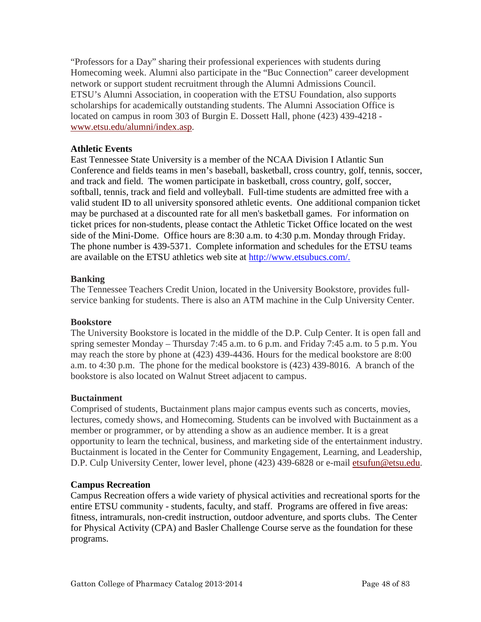"Professors for a Day" sharing their professional experiences with students during Homecoming week. Alumni also participate in the "Buc Connection" career development network or support student recruitment through the Alumni Admissions Council. ETSU's Alumni Association, in cooperation with the ETSU Foundation, also supports scholarships for academically outstanding students. The Alumni Association Office is located on campus in room 303 of Burgin E. Dossett Hall, phone (423) 439-4218 [www.etsu.edu/alumni/index.asp.](http://www.etsu.edu/alumni/index.asp)

## **Athletic Events**

East Tennessee State University is a member of the NCAA Division I Atlantic Sun Conference and fields teams in men's baseball, basketball, cross country, golf, tennis, soccer, and track and field. The women participate in basketball, cross country, golf, soccer, softball, tennis, track and field and volleyball. Full-time students are admitted free with a valid student ID to all university sponsored athletic events. One additional companion ticket may be purchased at a discounted rate for all men's basketball games. For information on ticket prices for non-students, please contact the Athletic Ticket Office located on the west side of the Mini-Dome. Office hours are 8:30 a.m. to 4:30 p.m. Monday through Friday. The phone number is 439-5371. Complete information and schedules for the ETSU teams are available on the ETSU athletics web site at [http://www.etsubucs.com/.](http://www.etsubucs.com/)

## **Banking**

The Tennessee Teachers Credit Union, located in the University Bookstore, provides fullservice banking for students. There is also an ATM machine in the Culp University Center.

#### **Bookstore**

The University Bookstore is located in the middle of the D.P. Culp Center. It is open fall and spring semester Monday – Thursday 7:45 a.m. to 6 p.m. and Friday 7:45 a.m. to 5 p.m. You may reach the store by phone at (423) 439-4436. Hours for the medical bookstore are 8:00 a.m. to 4:30 p.m. The phone for the medical bookstore is (423) 439-8016. A branch of the bookstore is also located on Walnut Street adjacent to campus.

#### **Buctainment**

Comprised of students, Buctainment plans major campus events such as concerts, movies, lectures, comedy shows, and Homecoming. Students can be involved with Buctainment as a member or programmer, or by attending a show as an audience member. It is a great opportunity to learn the technical, business, and marketing side of the entertainment industry. Buctainment is located in the Center for Community Engagement, Learning, and Leadership, D.P. Culp University Center, lower level, phone (423) 439-6828 or e-mail [etsufun@etsu.edu.](mailto:etsufun@etsu.edu)

#### **Campus Recreation**

Campus Recreation offers a wide variety of physical activities and recreational sports for the entire ETSU community - students, faculty, and staff. Programs are offered in five areas: fitness, intramurals, non-credit instruction, outdoor adventure, and sports clubs. The Center for Physical Activity (CPA) and Basler Challenge Course serve as the foundation for these programs.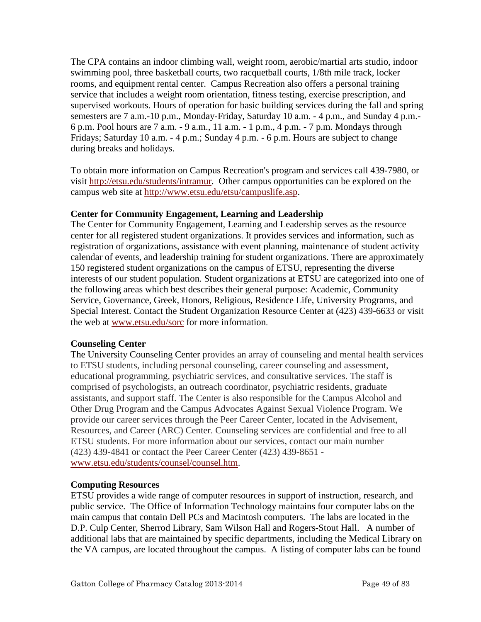The CPA contains an indoor climbing wall, weight room, aerobic/martial arts studio, indoor swimming pool, three basketball courts, two racquetball courts, 1/8th mile track, locker rooms, and equipment rental center. Campus Recreation also offers a personal training service that includes a weight room orientation, fitness testing, exercise prescription, and supervised workouts. Hours of operation for basic building services during the fall and spring semesters are 7 a.m.-10 p.m., Monday-Friday, Saturday 10 a.m. - 4 p.m., and Sunday 4 p.m.- 6 p.m. Pool hours are 7 a.m. - 9 a.m., 11 a.m. - 1 p.m., 4 p.m. - 7 p.m. Mondays through Fridays; Saturday 10 a.m. - 4 p.m.; Sunday 4 p.m. - 6 p.m. Hours are subject to change during breaks and holidays.

To obtain more information on Campus Recreation's program and services call 439-7980, or visit [http://etsu.edu/students/intramur.](http://etsu.edu/students/intramur) Other campus opportunities can be explored on the campus web site at [http://www.etsu.edu/etsu/campuslife.asp.](http://www.etsu.edu/etsu/campuslife.asp)

# **Center for Community Engagement, Learning and Leadership**

The Center for Community Engagement, Learning and Leadership serves as the resource center for all registered student organizations. It provides services and information, such as registration of organizations, assistance with event planning, maintenance of student activity calendar of events, and leadership training for student organizations. There are approximately 150 registered student organizations on the campus of ETSU, representing the diverse interests of our student population. Student organizations at ETSU are categorized into one of the following areas which best describes their general purpose: Academic, Community Service, Governance, Greek, Honors, Religious, Residence Life, University Programs, and Special Interest. Contact the Student Organization Resource Center at (423) 439-6633 or visit the web at [www.etsu.edu/sorc](http://www.etsu.edu/sorc) for more information.

# **Counseling Center**

The University Counseling Center provides an array of counseling and mental health services to ETSU students, including personal counseling, career counseling and assessment, educational programming, psychiatric services, and consultative services. The staff is comprised of psychologists, an outreach coordinator, psychiatric residents, graduate assistants, and support staff. The Center is also responsible for the Campus Alcohol and Other Drug Program and the Campus Advocates Against Sexual Violence Program. We provide our career services through the Peer Career Center, located in the Advisement, Resources, and Career (ARC) Center. Counseling services are confidential and free to all ETSU students. For more information about our services, contact our main number (423) 439-4841 or contact the Peer Career Center (423) 439-8651 [www.etsu.edu/students/counsel/counsel.htm.](http://www.etsu.edu/students/counsel/counsel.htm)

# **Computing Resources**

ETSU provides a wide range of computer resources in support of instruction, research, and public service. The Office of Information Technology maintains four computer labs on the main campus that contain Dell PCs and Macintosh computers. The labs are located in the D.P. Culp Center, Sherrod Library, Sam Wilson Hall and Rogers-Stout Hall. A number of additional labs that are maintained by specific departments, including the Medical Library on the VA campus, are located throughout the campus. A listing of computer labs can be found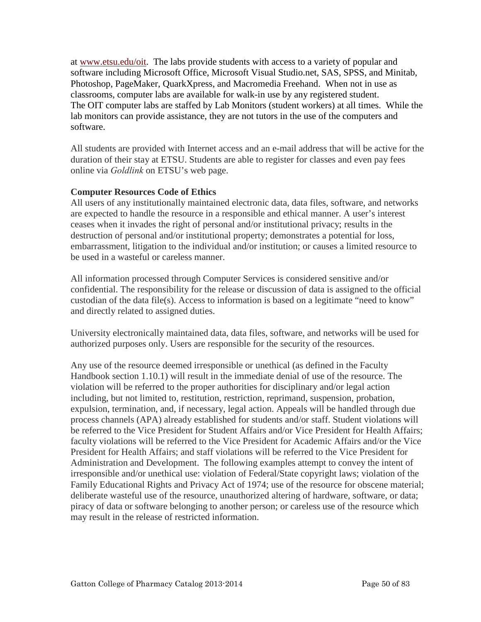at [www.etsu.edu/oit.](http://www.etsu.edu/oit) The labs provide students with access to a variety of popular and software including Microsoft Office, Microsoft Visual Studio.net, SAS, SPSS, and Minitab, Photoshop, PageMaker, QuarkXpress, and Macromedia Freehand. When not in use as classrooms, computer labs are available for walk-in use by any registered student. The OIT computer labs are staffed by Lab Monitors (student workers) at all times. While the lab monitors can provide assistance, they are not tutors in the use of the computers and software.

All students are provided with Internet access and an e-mail address that will be active for the duration of their stay at ETSU. Students are able to register for classes and even pay fees online via *Goldlink* on ETSU's web page.

# **Computer Resources Code of Ethics**

All users of any institutionally maintained electronic data, data files, software, and networks are expected to handle the resource in a responsible and ethical manner. A user's interest ceases when it invades the right of personal and/or institutional privacy; results in the destruction of personal and/or institutional property; demonstrates a potential for loss, embarrassment, litigation to the individual and/or institution; or causes a limited resource to be used in a wasteful or careless manner.

All information processed through Computer Services is considered sensitive and/or confidential. The responsibility for the release or discussion of data is assigned to the official custodian of the data file(s). Access to information is based on a legitimate "need to know" and directly related to assigned duties.

University electronically maintained data, data files, software, and networks will be used for authorized purposes only. Users are responsible for the security of the resources.

Any use of the resource deemed irresponsible or unethical (as defined in the Faculty Handbook section 1.10.1) will result in the immediate denial of use of the resource. The violation will be referred to the proper authorities for disciplinary and/or legal action including, but not limited to, restitution, restriction, reprimand, suspension, probation, expulsion, termination, and, if necessary, legal action. Appeals will be handled through due process channels (APA) already established for students and/or staff. Student violations will be referred to the Vice President for Student Affairs and/or Vice President for Health Affairs; faculty violations will be referred to the Vice President for Academic Affairs and/or the Vice President for Health Affairs; and staff violations will be referred to the Vice President for Administration and Development. The following examples attempt to convey the intent of irresponsible and/or unethical use: violation of Federal/State copyright laws; violation of the Family Educational Rights and Privacy Act of 1974; use of the resource for obscene material; deliberate wasteful use of the resource, unauthorized altering of hardware, software, or data; piracy of data or software belonging to another person; or careless use of the resource which may result in the release of restricted information.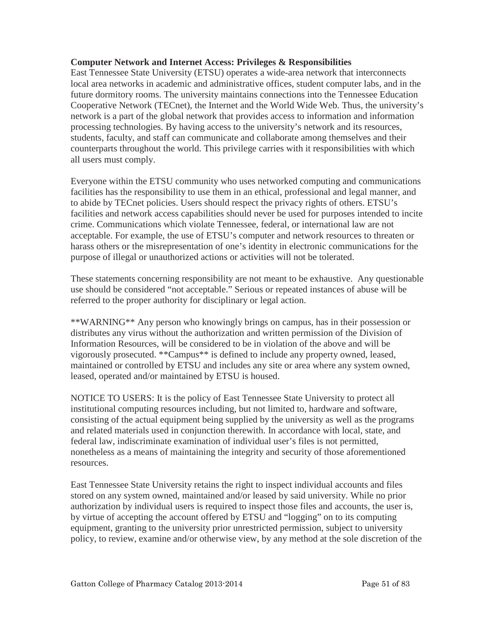#### **Computer Network and Internet Access: Privileges & Responsibilities**

East Tennessee State University (ETSU) operates a wide-area network that interconnects local area networks in academic and administrative offices, student computer labs, and in the future dormitory rooms. The university maintains connections into the Tennessee Education Cooperative Network (TECnet), the Internet and the World Wide Web. Thus, the university's network is a part of the global network that provides access to information and information processing technologies. By having access to the university's network and its resources, students, faculty, and staff can communicate and collaborate among themselves and their counterparts throughout the world. This privilege carries with it responsibilities with which all users must comply.

Everyone within the ETSU community who uses networked computing and communications facilities has the responsibility to use them in an ethical, professional and legal manner, and to abide by TECnet policies. Users should respect the privacy rights of others. ETSU's facilities and network access capabilities should never be used for purposes intended to incite crime. Communications which violate Tennessee, federal, or international law are not acceptable. For example, the use of ETSU's computer and network resources to threaten or harass others or the misrepresentation of one's identity in electronic communications for the purpose of illegal or unauthorized actions or activities will not be tolerated.

These statements concerning responsibility are not meant to be exhaustive. Any questionable use should be considered "not acceptable." Serious or repeated instances of abuse will be referred to the proper authority for disciplinary or legal action.

\*\*WARNING\*\* Any person who knowingly brings on campus, has in their possession or distributes any virus without the authorization and written permission of the Division of Information Resources, will be considered to be in violation of the above and will be vigorously prosecuted. \*\*Campus\*\* is defined to include any property owned, leased, maintained or controlled by ETSU and includes any site or area where any system owned, leased, operated and/or maintained by ETSU is housed.

NOTICE TO USERS: It is the policy of East Tennessee State University to protect all institutional computing resources including, but not limited to, hardware and software, consisting of the actual equipment being supplied by the university as well as the programs and related materials used in conjunction therewith. In accordance with local, state, and federal law, indiscriminate examination of individual user's files is not permitted, nonetheless as a means of maintaining the integrity and security of those aforementioned resources.

East Tennessee State University retains the right to inspect individual accounts and files stored on any system owned, maintained and/or leased by said university. While no prior authorization by individual users is required to inspect those files and accounts, the user is, by virtue of accepting the account offered by ETSU and "logging" on to its computing equipment, granting to the university prior unrestricted permission, subject to university policy, to review, examine and/or otherwise view, by any method at the sole discretion of the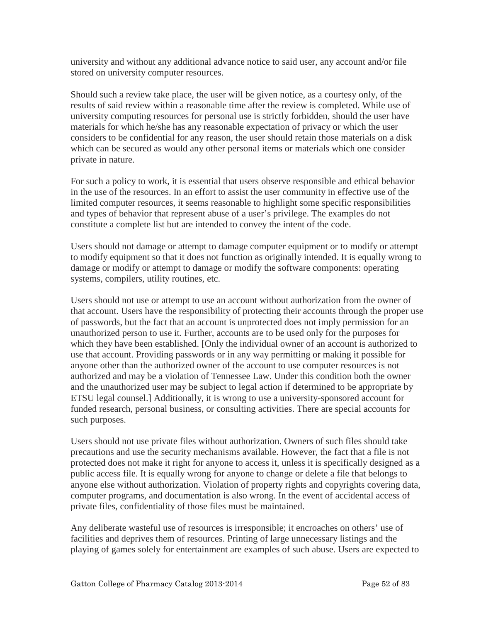university and without any additional advance notice to said user, any account and/or file stored on university computer resources.

Should such a review take place, the user will be given notice, as a courtesy only, of the results of said review within a reasonable time after the review is completed. While use of university computing resources for personal use is strictly forbidden, should the user have materials for which he/she has any reasonable expectation of privacy or which the user considers to be confidential for any reason, the user should retain those materials on a disk which can be secured as would any other personal items or materials which one consider private in nature.

For such a policy to work, it is essential that users observe responsible and ethical behavior in the use of the resources. In an effort to assist the user community in effective use of the limited computer resources, it seems reasonable to highlight some specific responsibilities and types of behavior that represent abuse of a user's privilege. The examples do not constitute a complete list but are intended to convey the intent of the code.

Users should not damage or attempt to damage computer equipment or to modify or attempt to modify equipment so that it does not function as originally intended. It is equally wrong to damage or modify or attempt to damage or modify the software components: operating systems, compilers, utility routines, etc.

Users should not use or attempt to use an account without authorization from the owner of that account. Users have the responsibility of protecting their accounts through the proper use of passwords, but the fact that an account is unprotected does not imply permission for an unauthorized person to use it. Further, accounts are to be used only for the purposes for which they have been established. [Only the individual owner of an account is authorized to use that account. Providing passwords or in any way permitting or making it possible for anyone other than the authorized owner of the account to use computer resources is not authorized and may be a violation of Tennessee Law. Under this condition both the owner and the unauthorized user may be subject to legal action if determined to be appropriate by ETSU legal counsel.] Additionally, it is wrong to use a university-sponsored account for funded research, personal business, or consulting activities. There are special accounts for such purposes.

Users should not use private files without authorization. Owners of such files should take precautions and use the security mechanisms available. However, the fact that a file is not protected does not make it right for anyone to access it, unless it is specifically designed as a public access file. It is equally wrong for anyone to change or delete a file that belongs to anyone else without authorization. Violation of property rights and copyrights covering data, computer programs, and documentation is also wrong. In the event of accidental access of private files, confidentiality of those files must be maintained.

Any deliberate wasteful use of resources is irresponsible; it encroaches on others' use of facilities and deprives them of resources. Printing of large unnecessary listings and the playing of games solely for entertainment are examples of such abuse. Users are expected to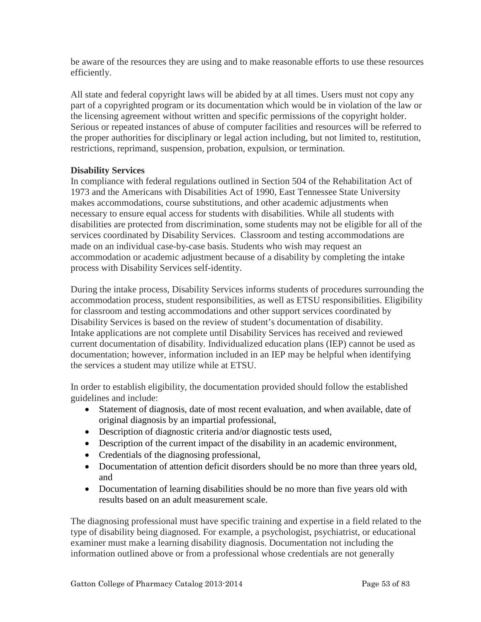be aware of the resources they are using and to make reasonable efforts to use these resources efficiently.

All state and federal copyright laws will be abided by at all times. Users must not copy any part of a copyrighted program or its documentation which would be in violation of the law or the licensing agreement without written and specific permissions of the copyright holder. Serious or repeated instances of abuse of computer facilities and resources will be referred to the proper authorities for disciplinary or legal action including, but not limited to, restitution, restrictions, reprimand, suspension, probation, expulsion, or termination.

## **Disability Services**

In compliance with federal regulations outlined in Section 504 of the Rehabilitation Act of 1973 and the Americans with Disabilities Act of 1990, East Tennessee State University makes accommodations, course substitutions, and other academic adjustments when necessary to ensure equal access for students with disabilities. While all students with disabilities are protected from discrimination, some students may not be eligible for all of the services coordinated by Disability Services. Classroom and testing accommodations are made on an individual case-by-case basis. Students who wish may request an accommodation or academic adjustment because of a disability by completing the intake process with Disability Services self-identity.

During the intake process, Disability Services informs students of procedures surrounding the accommodation process, student responsibilities, as well as ETSU responsibilities. Eligibility for classroom and testing accommodations and other support services coordinated by Disability Services is based on the review of student's documentation of disability. Intake applications are not complete until Disability Services has received and reviewed current documentation of disability. Individualized education plans (IEP) cannot be used as documentation; however, information included in an IEP may be helpful when identifying the services a student may utilize while at ETSU.

In order to establish eligibility, the documentation provided should follow the established guidelines and include:

- Statement of diagnosis, date of most recent evaluation, and when available, date of original diagnosis by an impartial professional,
- Description of diagnostic criteria and/or diagnostic tests used,
- Description of the current impact of the disability in an academic environment,
- Credentials of the diagnosing professional,
- Documentation of attention deficit disorders should be no more than three years old, and
- Documentation of learning disabilities should be no more than five years old with results based on an adult measurement scale.

The diagnosing professional must have specific training and expertise in a field related to the type of disability being diagnosed. For example, a psychologist, psychiatrist, or educational examiner must make a learning disability diagnosis. Documentation not including the information outlined above or from a professional whose credentials are not generally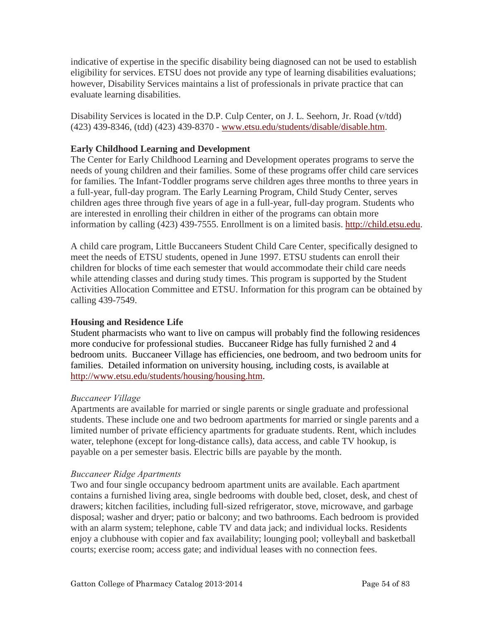indicative of expertise in the specific disability being diagnosed can not be used to establish eligibility for services. ETSU does not provide any type of learning disabilities evaluations; however, Disability Services maintains a list of professionals in private practice that can evaluate learning disabilities.

Disability Services is located in the D.P. Culp Center, on J. L. Seehorn, Jr. Road (v/tdd) (423) 439-8346, (tdd) (423) 439-8370 - [www.etsu.edu/students/disable/disable.htm.](http://www.etsu.edu/students/disable/disable.htm)

# **Early Childhood Learning and Development**

The Center for Early Childhood Learning and Development operates programs to serve the needs of young children and their families. Some of these programs offer child care services for families. The Infant-Toddler programs serve children ages three months to three years in a full-year, full-day program. The Early Learning Program, Child Study Center, serves children ages three through five years of age in a full-year, full-day program. Students who are interested in enrolling their children in either of the programs can obtain more information by calling (423) 439-7555. Enrollment is on a limited basis. [http://child.etsu.edu.](http://child.etsu.edu/)

A child care program, Little Buccaneers Student Child Care Center, specifically designed to meet the needs of ETSU students, opened in June 1997. ETSU students can enroll their children for blocks of time each semester that would accommodate their child care needs while attending classes and during study times. This program is supported by the Student Activities Allocation Committee and ETSU. Information for this program can be obtained by calling 439-7549.

# **Housing and Residence Life**

Student pharmacists who want to live on campus will probably find the following residences more conducive for professional studies. Buccaneer Ridge has fully furnished 2 and 4 bedroom units. Buccaneer Village has efficiencies, one bedroom, and two bedroom units for families. Detailed information on university housing, including costs, is available at [http://www.etsu.edu/students/housing/housing.htm.](http://www.etsu.edu/students/housing/housing.htm)

# *Buccaneer Village*

Apartments are available for married or single parents or single graduate and professional students. These include one and two bedroom apartments for married or single parents and a limited number of private efficiency apartments for graduate students. Rent, which includes water, telephone (except for long-distance calls), data access, and cable TV hookup, is payable on a per semester basis. Electric bills are payable by the month.

# *Buccaneer Ridge Apartments*

Two and four single occupancy bedroom apartment units are available. Each apartment contains a furnished living area, single bedrooms with double bed, closet, desk, and chest of drawers; kitchen facilities, including full-sized refrigerator, stove, microwave, and garbage disposal; washer and dryer; patio or balcony; and two bathrooms. Each bedroom is provided with an alarm system; telephone, cable TV and data jack; and individual locks. Residents enjoy a clubhouse with copier and fax availability; lounging pool; volleyball and basketball courts; exercise room; access gate; and individual leases with no connection fees.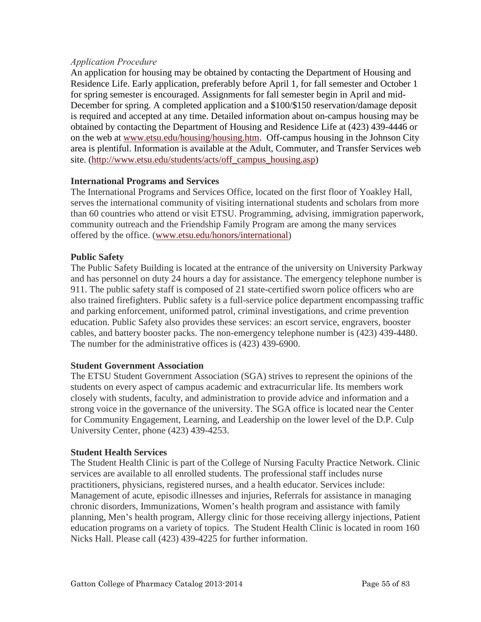## *Application Procedure*

An application for housing may be obtained by contacting the Department of Housing and Residence Life. Early application, preferably before April 1, for fall semester and October 1 for spring semester is encouraged. Assignments for fall semester begin in April and mid-December for spring. A completed application and a \$100/\$150 reservation/damage deposit is required and accepted at any time. Detailed information about on-campus housing may be obtained by contacting the Department of Housing and Residence Life at (423) 439-4446 or on the web at [www.etsu.edu/housing/housing.htm.](http://www.etsu.edu/housing/housing.htm) Off-campus housing in the Johnson City area is plentiful. Information is available at the [Adult, Commuter, and Transfer Services web](http://www.etsu.edu/students/acts/off_campus_housing.asp) [site.](http://www.etsu.edu/students/acts/off_campus_housing.asp) [\(http://www.etsu.edu/students/acts/off\\_campus\\_housing.asp\)](http://www.etsu.edu/students/acts/off_campus_housing.asp)

## **International Programs and Services**

The International Programs and Services Office, located on the first floor of Yoakley Hall, serves the international community of visiting international students and scholars from more than 60 countries who attend or visit ETSU. Programming, advising, immigration paperwork, community outreach and the Friendship Family Program are among the many services offered by the office. [\(www.etsu.edu/honors/international\)](http://www.etsu.edu/honors/international)

## **Public Safety**

The Public Safety Building is located at the entrance of the university on University Parkway and has personnel on duty 24 hours a day for assistance. The emergency telephone number is 911. The public safety staff is composed of 21 state-certified sworn police officers who are also trained firefighters. Public safety is a full-service police department encompassing traffic and parking enforcement, uniformed patrol, criminal investigations, and crime prevention education. Public Safety also provides these services: an escort service, engravers, booster cables, and battery booster packs. The non-emergency telephone number is (423) 439-4480. The number for the administrative offices is (423) 439-6900.

#### **Student Government Association**

The ETSU Student Government Association (SGA) strives to represent the opinions of the students on every aspect of campus academic and extracurricular life. Its members work closely with students, faculty, and administration to provide advice and information and a strong voice in the governance of the university. The SGA office is located near the Center for Community Engagement, Learning, and Leadership on the lower level of the D.P. Culp University Center, phone (423) 439-4253.

#### **Student Health Services**

The Student Health Clinic is part of the College of Nursing Faculty Practice Network. Clinic services are available to all enrolled students. The professional staff includes nurse practitioners, physicians, registered nurses, and a health educator. Services include: Management of acute, episodic illnesses and injuries, Referrals for assistance in managing chronic disorders, Immunizations, Women's health program and assistance with family planning, Men's health program, Allergy clinic for those receiving allergy injections, Patient education programs on a variety of topics. The Student Health Clinic is located in room 160 Nicks Hall. Please call (423) 439-4225 for further information.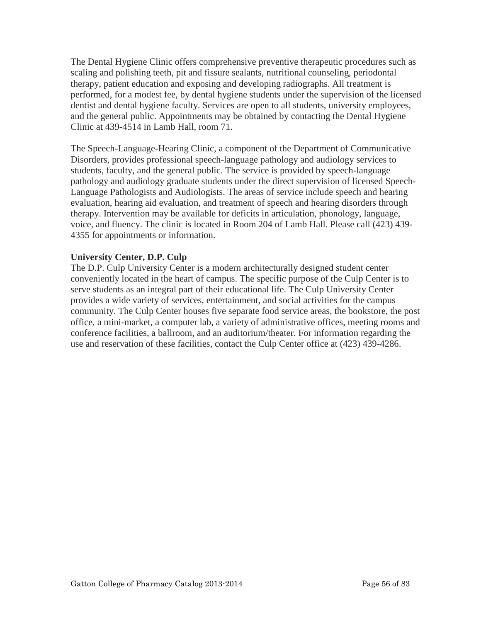The Dental Hygiene Clinic offers comprehensive preventive therapeutic procedures such as scaling and polishing teeth, pit and fissure sealants, nutritional counseling, periodontal therapy, patient education and exposing and developing radiographs. All treatment is performed, for a modest fee, by dental hygiene students under the supervision of the licensed dentist and dental hygiene faculty. Services are open to all students, university employees, and the general public. Appointments may be obtained by contacting the Dental Hygiene Clinic at 439-4514 in Lamb Hall, room 71.

The Speech-Language-Hearing Clinic, a component of the Department of Communicative Disorders, provides professional speech-language pathology and audiology services to students, faculty, and the general public. The service is provided by speech-language pathology and audiology graduate students under the direct supervision of licensed Speech-Language Pathologists and Audiologists. The areas of service include speech and hearing evaluation, hearing aid evaluation, and treatment of speech and hearing disorders through therapy. Intervention may be available for deficits in articulation, phonology, language, voice, and fluency. The clinic is located in Room 204 of Lamb Hall. Please call (423) 439- 4355 for appointments or information.

## **University Center, D.P. Culp**

The D.P. Culp University Center is a modern architecturally designed student center conveniently located in the heart of campus. The specific purpose of the Culp Center is to serve students as an integral part of their educational life. The Culp University Center provides a wide variety of services, entertainment, and social activities for the campus community. The Culp Center houses five separate food service areas, the bookstore, the post office, a mini-market, a computer lab, a variety of administrative offices, meeting rooms and conference facilities, a ballroom, and an auditorium/theater. For information regarding the use and reservation of these facilities, contact the Culp Center office at (423) 439-4286.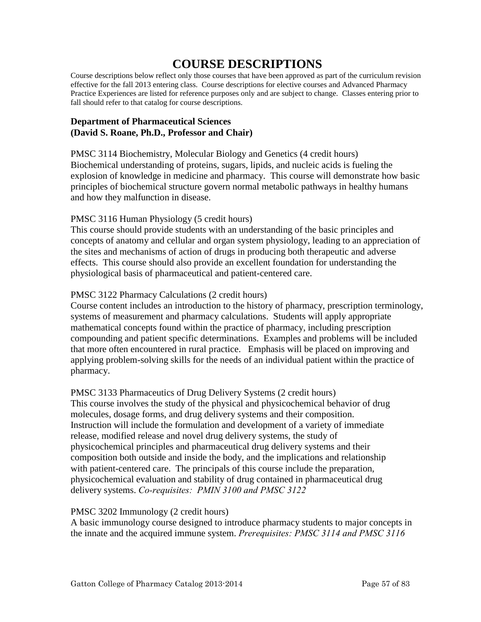# **COURSE DESCRIPTIONS**

Course descriptions below reflect only those courses that have been approved as part of the curriculum revision effective for the fall 2013 entering class. Course descriptions for elective courses and Advanced Pharmacy Practice Experiences are listed for reference purposes only and are subject to change. Classes entering prior to fall should refer to that catalog for course descriptions.

## **Department of Pharmaceutical Sciences (David S. Roane, Ph.D., Professor and Chair)**

PMSC 3114 Biochemistry, Molecular Biology and Genetics (4 credit hours) Biochemical understanding of proteins, sugars, lipids, and nucleic acids is fueling the explosion of knowledge in medicine and pharmacy. This course will demonstrate how basic principles of biochemical structure govern normal metabolic pathways in healthy humans and how they malfunction in disease.

# PMSC 3116 Human Physiology (5 credit hours)

This course should provide students with an understanding of the basic principles and concepts of anatomy and cellular and organ system physiology, leading to an appreciation of the sites and mechanisms of action of drugs in producing both therapeutic and adverse effects. This course should also provide an excellent foundation for understanding the physiological basis of pharmaceutical and patient-centered care.

## PMSC 3122 Pharmacy Calculations (2 credit hours)

Course content includes an introduction to the history of pharmacy, prescription terminology, systems of measurement and pharmacy calculations. Students will apply appropriate mathematical concepts found within the practice of pharmacy, including prescription compounding and patient specific determinations. Examples and problems will be included that more often encountered in rural practice. Emphasis will be placed on improving and applying problem-solving skills for the needs of an individual patient within the practice of pharmacy.

# PMSC 3133 Pharmaceutics of Drug Delivery Systems (2 credit hours)

This course involves the study of the physical and physicochemical behavior of drug molecules, dosage forms, and drug delivery systems and their composition. Instruction will include the formulation and development of a variety of immediate release, modified release and novel drug delivery systems, the study of physicochemical principles and pharmaceutical drug delivery systems and their composition both outside and inside the body, and the implications and relationship with patient-centered care. The principals of this course include the preparation, physicochemical evaluation and stability of drug contained in pharmaceutical drug delivery systems. *Co-requisites: PMIN 3100 and PMSC 3122*

#### PMSC 3202 Immunology (2 credit hours)

A basic immunology course designed to introduce pharmacy students to major concepts in the innate and the acquired immune system. *Prerequisites: PMSC 3114 and PMSC 3116*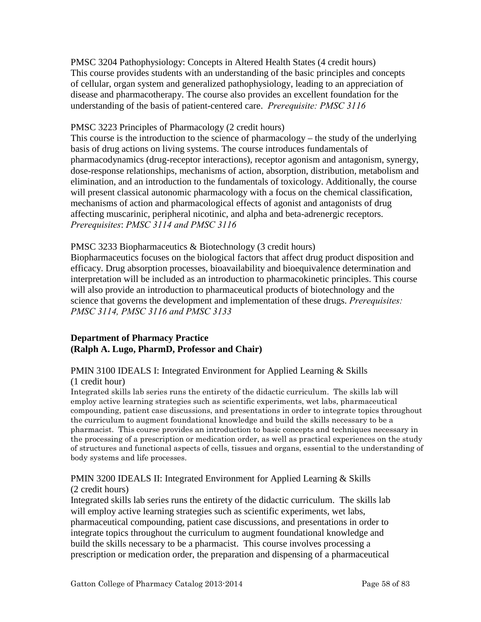PMSC 3204 Pathophysiology: Concepts in Altered Health States (4 credit hours) This course provides students with an understanding of the basic principles and concepts of cellular, organ system and generalized pathophysiology, leading to an appreciation of disease and pharmacotherapy. The course also provides an excellent foundation for the understanding of the basis of patient-centered care. *Prerequisite: PMSC 3116*

## PMSC 3223 Principles of Pharmacology (2 credit hours)

This course is the introduction to the science of pharmacology – the study of the underlying basis of drug actions on living systems. The course introduces fundamentals of pharmacodynamics (drug-receptor interactions), receptor agonism and antagonism, synergy, dose-response relationships, mechanisms of action, absorption, distribution, metabolism and elimination, and an introduction to the fundamentals of toxicology. Additionally, the course will present classical autonomic pharmacology with a focus on the chemical classification, mechanisms of action and pharmacological effects of agonist and antagonists of drug affecting muscarinic, peripheral nicotinic, and alpha and beta-adrenergic receptors. *Prerequisites*: *PMSC 3114 and PMSC 3116*

#### PMSC 3233 Biopharmaceutics & Biotechnology (3 credit hours)

Biopharmaceutics focuses on the biological factors that affect drug product disposition and efficacy. Drug absorption processes, bioavailability and bioequivalence determination and interpretation will be included as an introduction to pharmacokinetic principles. This course will also provide an introduction to pharmaceutical products of biotechnology and the science that governs the development and implementation of these drugs. *Prerequisites: PMSC 3114, PMSC 3116 and PMSC 3133*

## **Department of Pharmacy Practice (Ralph A. Lugo, PharmD, Professor and Chair)**

# PMIN 3100 IDEALS I: Integrated Environment for Applied Learning & Skills

#### (1 credit hour)

Integrated skills lab series runs the entirety of the didactic curriculum. The skills lab will employ active learning strategies such as scientific experiments, wet labs, pharmaceutical compounding, patient case discussions, and presentations in order to integrate topics throughout the curriculum to augment foundational knowledge and build the skills necessary to be a pharmacist. This course provides an introduction to basic concepts and techniques necessary in the processing of a prescription or medication order, as well as practical experiences on the study of structures and functional aspects of cells, tissues and organs, essential to the understanding of body systems and life processes.

# PMIN 3200 IDEALS II: Integrated Environment for Applied Learning & Skills (2 credit hours)

Integrated skills lab series runs the entirety of the didactic curriculum. The skills lab will employ active learning strategies such as scientific experiments, wet labs, pharmaceutical compounding, patient case discussions, and presentations in order to integrate topics throughout the curriculum to augment foundational knowledge and build the skills necessary to be a pharmacist. This course involves processing a prescription or medication order, the preparation and dispensing of a pharmaceutical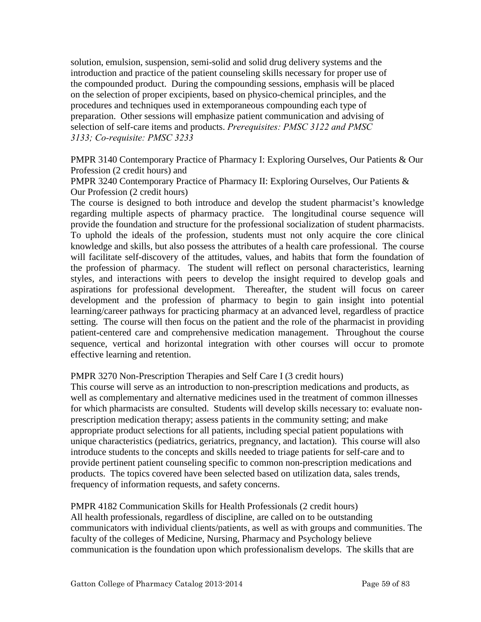solution, emulsion, suspension, semi-solid and solid drug delivery systems and the introduction and practice of the patient counseling skills necessary for proper use of the compounded product. During the compounding sessions, emphasis will be placed on the selection of proper excipients, based on physico-chemical principles, and the procedures and techniques used in extemporaneous compounding each type of preparation. Other sessions will emphasize patient communication and advising of selection of self-care items and products. *Prerequisites: PMSC 3122 and PMSC 3133; Co-requisite: PMSC 3233*

PMPR 3140 Contemporary Practice of Pharmacy I: Exploring Ourselves, Our Patients & Our Profession (2 credit hours) and

PMPR 3240 Contemporary Practice of Pharmacy II: Exploring Ourselves, Our Patients & Our Profession (2 credit hours)

The course is designed to both introduce and develop the student pharmacist's knowledge regarding multiple aspects of pharmacy practice. The longitudinal course sequence will provide the foundation and structure for the professional socialization of student pharmacists. To uphold the ideals of the profession, students must not only acquire the core clinical knowledge and skills, but also possess the attributes of a health care professional. The course will facilitate self-discovery of the attitudes, values, and habits that form the foundation of the profession of pharmacy. The student will reflect on personal characteristics, learning styles, and interactions with peers to develop the insight required to develop goals and aspirations for professional development. Thereafter, the student will focus on career development and the profession of pharmacy to begin to gain insight into potential learning/career pathways for practicing pharmacy at an advanced level, regardless of practice setting. The course will then focus on the patient and the role of the pharmacist in providing patient-centered care and comprehensive medication management. Throughout the course sequence, vertical and horizontal integration with other courses will occur to promote effective learning and retention.

#### PMPR 3270 Non-Prescription Therapies and Self Care I (3 credit hours)

This course will serve as an introduction to non-prescription medications and products, as well as complementary and alternative medicines used in the treatment of common illnesses for which pharmacists are consulted. Students will develop skills necessary to: evaluate nonprescription medication therapy; assess patients in the community setting; and make appropriate product selections for all patients, including special patient populations with unique characteristics (pediatrics, geriatrics, pregnancy, and lactation). This course will also introduce students to the concepts and skills needed to triage patients for self-care and to provide pertinent patient counseling specific to common non-prescription medications and products. The topics covered have been selected based on utilization data, sales trends, frequency of information requests, and safety concerns.

PMPR 4182 Communication Skills for Health Professionals (2 credit hours) All health professionals, regardless of discipline, are called on to be outstanding communicators with individual clients/patients, as well as with groups and communities. The faculty of the colleges of Medicine, Nursing, Pharmacy and Psychology believe communication is the foundation upon which professionalism develops. The skills that are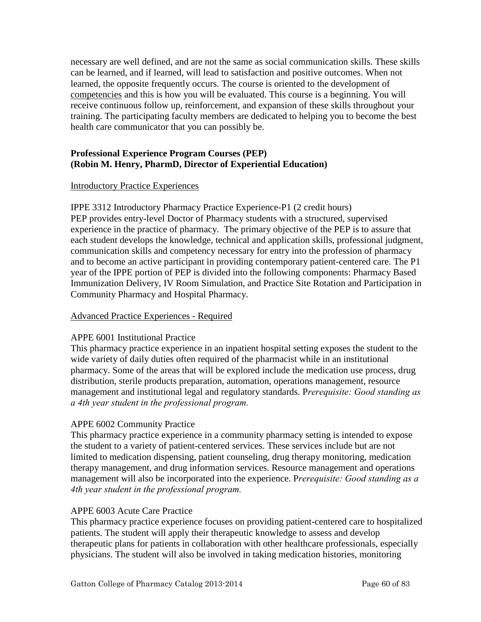necessary are well defined, and are not the same as social communication skills. These skills can be learned, and if learned, will lead to satisfaction and positive outcomes. When not learned, the opposite frequently occurs. The course is oriented to the development of competencies and this is how you will be evaluated. This course is a beginning. You will receive continuous follow up, reinforcement, and expansion of these skills throughout your training. The participating faculty members are dedicated to helping you to become the best health care communicator that you can possibly be.

# **Professional Experience Program Courses (PEP) (Robin M. Henry, PharmD, Director of Experiential Education)**

#### Introductory Practice Experiences

IPPE 3312 Introductory Pharmacy Practice Experience-P1 (2 credit hours) PEP provides entry-level Doctor of Pharmacy students with a structured, supervised experience in the practice of pharmacy. The primary objective of the PEP is to assure that each student develops the knowledge, technical and application skills, professional judgment, communication skills and competency necessary for entry into the profession of pharmacy and to become an active participant in providing contemporary patient-centered care. The P1 year of the IPPE portion of PEP is divided into the following components: Pharmacy Based Immunization Delivery, IV Room Simulation, and Practice Site Rotation and Participation in Community Pharmacy and Hospital Pharmacy.

#### Advanced Practice Experiences - Required

#### APPE 6001 Institutional Practice

This pharmacy practice experience in an inpatient hospital setting exposes the student to the wide variety of daily duties often required of the pharmacist while in an institutional pharmacy. Some of the areas that will be explored include the medication use process, drug distribution, sterile products preparation, automation, operations management, resource management and institutional legal and regulatory standards. P*rerequisite: Good standing as a 4th year student in the professional program.* 

#### APPE 6002 Community Practice

This pharmacy practice experience in a community pharmacy setting is intended to expose the student to a variety of patient-centered services. These services include but are not limited to medication dispensing, patient counseling, drug therapy monitoring, medication therapy management, and drug information services. Resource management and operations management will also be incorporated into the experience. P*rerequisite: Good standing as a 4th year student in the professional program.* 

#### APPE 6003 Acute Care Practice

This pharmacy practice experience focuses on providing patient-centered care to hospitalized patients. The student will apply their therapeutic knowledge to assess and develop therapeutic plans for patients in collaboration with other healthcare professionals, especially physicians. The student will also be involved in taking medication histories, monitoring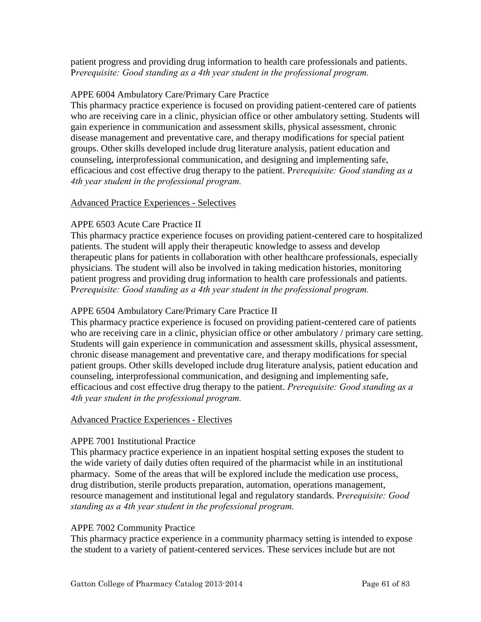patient progress and providing drug information to health care professionals and patients. P*rerequisite: Good standing as a 4th year student in the professional program.* 

## APPE 6004 Ambulatory Care/Primary Care Practice

This pharmacy practice experience is focused on providing patient-centered care of patients who are receiving care in a clinic, physician office or other ambulatory setting. Students will gain experience in communication and assessment skills, physical assessment, chronic disease management and preventative care, and therapy modifications for special patient groups. Other skills developed include drug literature analysis, patient education and counseling, interprofessional communication, and designing and implementing safe, efficacious and cost effective drug therapy to the patient. P*rerequisite: Good standing as a 4th year student in the professional program.* 

## Advanced Practice Experiences - Selectives

## APPE 6503 Acute Care Practice II

This pharmacy practice experience focuses on providing patient-centered care to hospitalized patients. The student will apply their therapeutic knowledge to assess and develop therapeutic plans for patients in collaboration with other healthcare professionals, especially physicians. The student will also be involved in taking medication histories, monitoring patient progress and providing drug information to health care professionals and patients. P*rerequisite: Good standing as a 4th year student in the professional program.* 

## APPE 6504 Ambulatory Care/Primary Care Practice II

This pharmacy practice experience is focused on providing patient-centered care of patients who are receiving care in a clinic, physician office or other ambulatory / primary care setting. Students will gain experience in communication and assessment skills, physical assessment, chronic disease management and preventative care, and therapy modifications for special patient groups. Other skills developed include drug literature analysis, patient education and counseling, interprofessional communication, and designing and implementing safe, efficacious and cost effective drug therapy to the patient. *Prerequisite: Good standing as a 4th year student in the professional program.* 

#### Advanced Practice Experiences - Electives

#### APPE 7001 Institutional Practice

This pharmacy practice experience in an inpatient hospital setting exposes the student to the wide variety of daily duties often required of the pharmacist while in an institutional pharmacy. Some of the areas that will be explored include the medication use process, drug distribution, sterile products preparation, automation, operations management, resource management and institutional legal and regulatory standards. P*rerequisite: Good standing as a 4th year student in the professional program.*

#### APPE 7002 Community Practice

This pharmacy practice experience in a community pharmacy setting is intended to expose the student to a variety of patient-centered services. These services include but are not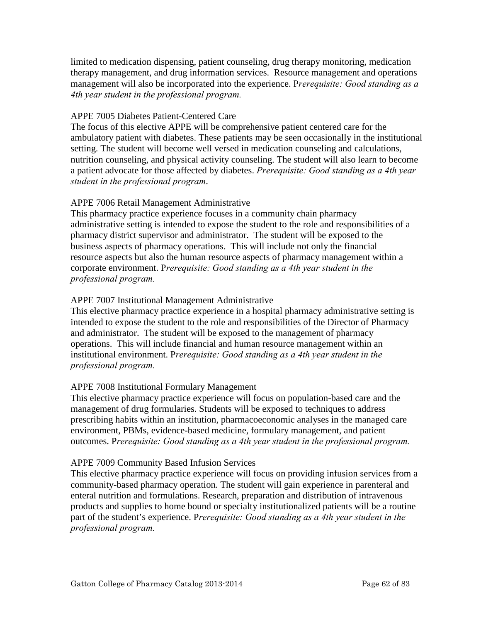limited to medication dispensing, patient counseling, drug therapy monitoring, medication therapy management, and drug information services. Resource management and operations management will also be incorporated into the experience. P*rerequisite: Good standing as a 4th year student in the professional program.*

## APPE 7005 Diabetes Patient-Centered Care

The focus of this elective APPE will be comprehensive patient centered care for the ambulatory patient with diabetes. These patients may be seen occasionally in the institutional setting. The student will become well versed in medication counseling and calculations, nutrition counseling, and physical activity counseling. The student will also learn to become a patient advocate for those affected by diabetes. *Prerequisite: Good standing as a 4th year student in the professional program*.

## APPE 7006 Retail Management Administrative

This pharmacy practice experience focuses in a community chain pharmacy administrative setting is intended to expose the student to the role and responsibilities of a pharmacy district supervisor and administrator. The student will be exposed to the business aspects of pharmacy operations. This will include not only the financial resource aspects but also the human resource aspects of pharmacy management within a corporate environment. P*rerequisite: Good standing as a 4th year student in the professional program.*

# APPE 7007 Institutional Management Administrative

This elective pharmacy practice experience in a hospital pharmacy administrative setting is intended to expose the student to the role and responsibilities of the Director of Pharmacy and administrator. The student will be exposed to the management of pharmacy operations. This will include financial and human resource management within an institutional environment. P*rerequisite: Good standing as a 4th year student in the professional program.*

#### APPE 7008 Institutional Formulary Management

This elective pharmacy practice experience will focus on population-based care and the management of drug formularies. Students will be exposed to techniques to address prescribing habits within an institution, pharmacoeconomic analyses in the managed care environment, PBMs, evidence-based medicine, formulary management, and patient outcomes. P*rerequisite: Good standing as a 4th year student in the professional program.*

#### APPE 7009 Community Based Infusion Services

This elective pharmacy practice experience will focus on providing infusion services from a community-based pharmacy operation. The student will gain experience in parenteral and enteral nutrition and formulations. Research, preparation and distribution of intravenous products and supplies to home bound or specialty institutionalized patients will be a routine part of the student's experience. P*rerequisite: Good standing as a 4th year student in the professional program.*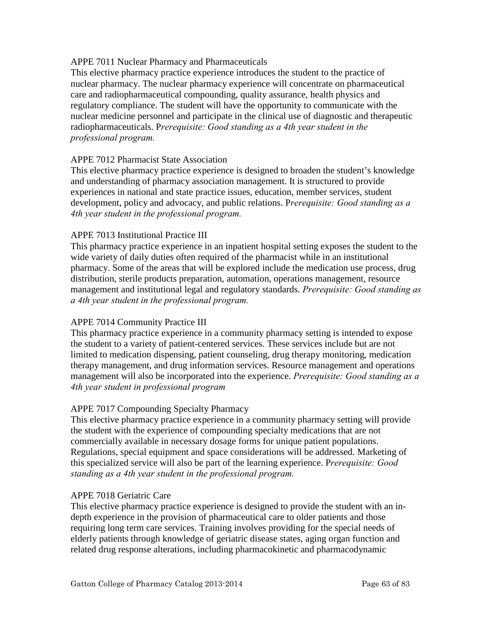## APPE 7011 Nuclear Pharmacy and Pharmaceuticals

This elective pharmacy practice experience introduces the student to the practice of nuclear pharmacy. The nuclear pharmacy experience will concentrate on pharmaceutical care and radiopharmaceutical compounding, quality assurance, health physics and regulatory compliance. The student will have the opportunity to communicate with the nuclear medicine personnel and participate in the clinical use of diagnostic and therapeutic radiopharmaceuticals. P*rerequisite: Good standing as a 4th year student in the professional program.*

## APPE 7012 Pharmacist State Association

This elective pharmacy practice experience is designed to broaden the student's knowledge and understanding of pharmacy association management. It is structured to provide experiences in national and state practice issues, education, member services, student development, policy and advocacy, and public relations. P*rerequisite: Good standing as a 4th year student in the professional program.*

## APPE 7013 Institutional Practice III

This pharmacy practice experience in an inpatient hospital setting exposes the student to the wide variety of daily duties often required of the pharmacist while in an institutional pharmacy. Some of the areas that will be explored include the medication use process, drug distribution, sterile products preparation, automation, operations management, resource management and institutional legal and regulatory standards. *Prerequisite: Good standing as a 4th year student in the professional program.* 

# APPE 7014 Community Practice III

This pharmacy practice experience in a community pharmacy setting is intended to expose the student to a variety of patient-centered services. These services include but are not limited to medication dispensing, patient counseling, drug therapy monitoring, medication therapy management, and drug information services. Resource management and operations management will also be incorporated into the experience. *Prerequisite: Good standing as a 4th year student in professional program*

#### APPE 7017 Compounding Specialty Pharmacy

This elective pharmacy practice experience in a community pharmacy setting will provide the student with the experience of compounding specialty medications that are not commercially available in necessary dosage forms for unique patient populations. Regulations, special equipment and space considerations will be addressed. Marketing of this specialized service will also be part of the learning experience. P*rerequisite: Good standing as a 4th year student in the professional program.*

#### APPE 7018 Geriatric Care

This elective pharmacy practice experience is designed to provide the student with an indepth experience in the provision of pharmaceutical care to older patients and those requiring long term care services. Training involves providing for the special needs of elderly patients through knowledge of geriatric disease states, aging organ function and related drug response alterations, including pharmacokinetic and pharmacodynamic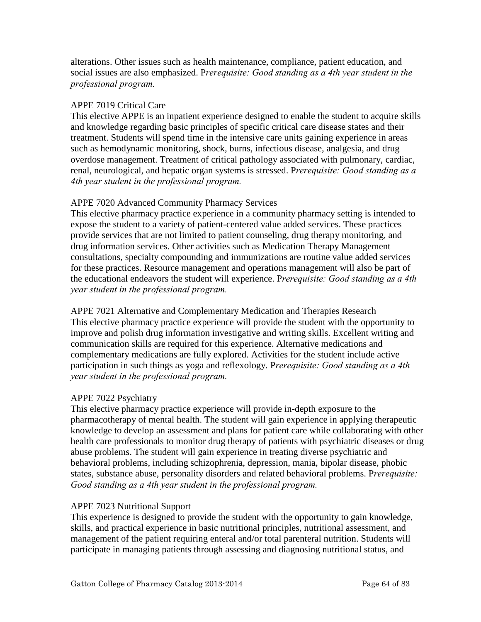alterations. Other issues such as health maintenance, compliance, patient education, and social issues are also emphasized. P*rerequisite: Good standing as a 4th year student in the professional program.*

## APPE 7019 Critical Care

This elective APPE is an inpatient experience designed to enable the student to acquire skills and knowledge regarding basic principles of specific critical care disease states and their treatment. Students will spend time in the intensive care units gaining experience in areas such as hemodynamic monitoring, shock, burns, infectious disease, analgesia, and drug overdose management. Treatment of critical pathology associated with pulmonary, cardiac, renal, neurological, and hepatic organ systems is stressed. P*rerequisite: Good standing as a 4th year student in the professional program.*

## APPE 7020 Advanced Community Pharmacy Services

This elective pharmacy practice experience in a community pharmacy setting is intended to expose the student to a variety of patient-centered value added services. These practices provide services that are not limited to patient counseling, drug therapy monitoring, and drug information services. Other activities such as Medication Therapy Management consultations, specialty compounding and immunizations are routine value added services for these practices. Resource management and operations management will also be part of the educational endeavors the student will experience. P*rerequisite: Good standing as a 4th year student in the professional program.*

APPE 7021 Alternative and Complementary Medication and Therapies Research This elective pharmacy practice experience will provide the student with the opportunity to improve and polish drug information investigative and writing skills. Excellent writing and communication skills are required for this experience. Alternative medications and complementary medications are fully explored. Activities for the student include active participation in such things as yoga and reflexology. P*rerequisite: Good standing as a 4th year student in the professional program.*

# APPE 7022 Psychiatry

This elective pharmacy practice experience will provide in-depth exposure to the pharmacotherapy of mental health. The student will gain experience in applying therapeutic knowledge to develop an assessment and plans for patient care while collaborating with other health care professionals to monitor drug therapy of patients with psychiatric diseases or drug abuse problems. The student will gain experience in treating diverse psychiatric and behavioral problems, including schizophrenia, depression, mania, bipolar disease, phobic states, substance abuse, personality disorders and related behavioral problems. P*rerequisite: Good standing as a 4th year student in the professional program.*

# APPE 7023 Nutritional Support

This experience is designed to provide the student with the opportunity to gain knowledge, skills, and practical experience in basic nutritional principles, nutritional assessment, and management of the patient requiring enteral and/or total parenteral nutrition. Students will participate in managing patients through assessing and diagnosing nutritional status, and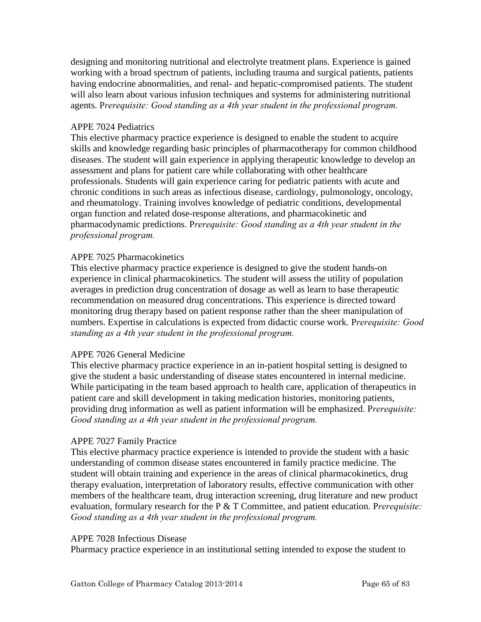designing and monitoring nutritional and electrolyte treatment plans. Experience is gained working with a broad spectrum of patients, including trauma and surgical patients, patients having endocrine abnormalities, and renal- and hepatic-compromised patients. The student will also learn about various infusion techniques and systems for administering nutritional agents. P*rerequisite: Good standing as a 4th year student in the professional program.*

## APPE 7024 Pediatrics

This elective pharmacy practice experience is designed to enable the student to acquire skills and knowledge regarding basic principles of pharmacotherapy for common childhood diseases. The student will gain experience in applying therapeutic knowledge to develop an assessment and plans for patient care while collaborating with other healthcare professionals. Students will gain experience caring for pediatric patients with acute and chronic conditions in such areas as infectious disease, cardiology, pulmonology, oncology, and rheumatology. Training involves knowledge of pediatric conditions, developmental organ function and related dose-response alterations, and pharmacokinetic and pharmacodynamic predictions. P*rerequisite: Good standing as a 4th year student in the professional program.*

## APPE 7025 Pharmacokinetics

This elective pharmacy practice experience is designed to give the student hands-on experience in clinical pharmacokinetics. The student will assess the utility of population averages in prediction drug concentration of dosage as well as learn to base therapeutic recommendation on measured drug concentrations. This experience is directed toward monitoring drug therapy based on patient response rather than the sheer manipulation of numbers. Expertise in calculations is expected from didactic course work. P*rerequisite: Good standing as a 4th year student in the professional program.*

# APPE 7026 General Medicine

This elective pharmacy practice experience in an in-patient hospital setting is designed to give the student a basic understanding of disease states encountered in internal medicine. While participating in the team based approach to health care, application of therapeutics in patient care and skill development in taking medication histories, monitoring patients, providing drug information as well as patient information will be emphasized. P*rerequisite: Good standing as a 4th year student in the professional program.*

# APPE 7027 Family Practice

This elective pharmacy practice experience is intended to provide the student with a basic understanding of common disease states encountered in family practice medicine. The student will obtain training and experience in the areas of clinical pharmacokinetics, drug therapy evaluation, interpretation of laboratory results, effective communication with other members of the healthcare team, drug interaction screening, drug literature and new product evaluation, formulary research for the P & T Committee, and patient education. P*rerequisite: Good standing as a 4th year student in the professional program.*

#### APPE 7028 Infectious Disease

Pharmacy practice experience in an institutional setting intended to expose the student to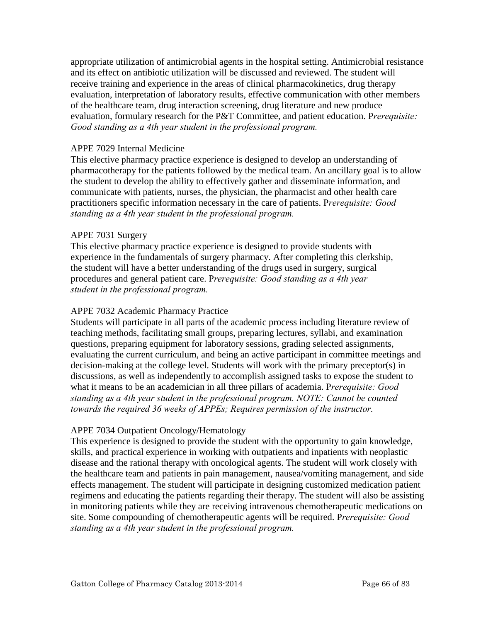appropriate utilization of antimicrobial agents in the hospital setting. Antimicrobial resistance and its effect on antibiotic utilization will be discussed and reviewed. The student will receive training and experience in the areas of clinical pharmacokinetics, drug therapy evaluation, interpretation of laboratory results, effective communication with other members of the healthcare team, drug interaction screening, drug literature and new produce evaluation, formulary research for the P&T Committee, and patient education. P*rerequisite: Good standing as a 4th year student in the professional program.*

## APPE 7029 Internal Medicine

This elective pharmacy practice experience is designed to develop an understanding of pharmacotherapy for the patients followed by the medical team. An ancillary goal is to allow the student to develop the ability to effectively gather and disseminate information, and communicate with patients, nurses, the physician, the pharmacist and other health care practitioners specific information necessary in the care of patients. P*rerequisite: Good standing as a 4th year student in the professional program.*

## APPE 7031 Surgery

This elective pharmacy practice experience is designed to provide students with experience in the fundamentals of surgery pharmacy. After completing this clerkship, the student will have a better understanding of the drugs used in surgery, surgical procedures and general patient care. P*rerequisite: Good standing as a 4th year student in the professional program.*

## APPE 7032 Academic Pharmacy Practice

Students will participate in all parts of the academic process including literature review of teaching methods, facilitating small groups, preparing lectures, syllabi, and examination questions, preparing equipment for laboratory sessions, grading selected assignments, evaluating the current curriculum, and being an active participant in committee meetings and decision-making at the college level. Students will work with the primary preceptor(s) in discussions, as well as independently to accomplish assigned tasks to expose the student to what it means to be an academician in all three pillars of academia. P*rerequisite: Good standing as a 4th year student in the professional program. NOTE: Cannot be counted towards the required 36 weeks of APPEs; Requires permission of the instructor.* 

#### APPE 7034 Outpatient Oncology/Hematology

This experience is designed to provide the student with the opportunity to gain knowledge, skills, and practical experience in working with outpatients and inpatients with neoplastic disease and the rational therapy with oncological agents. The student will work closely with the healthcare team and patients in pain management, nausea/vomiting management, and side effects management. The student will participate in designing customized medication patient regimens and educating the patients regarding their therapy. The student will also be assisting in monitoring patients while they are receiving intravenous chemotherapeutic medications on site. Some compounding of chemotherapeutic agents will be required. P*rerequisite: Good standing as a 4th year student in the professional program.*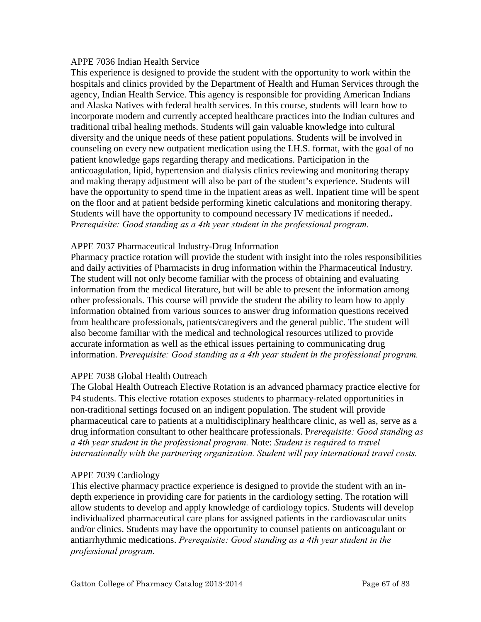#### APPE 7036 Indian Health Service

This experience is designed to provide the student with the opportunity to work within the hospitals and clinics provided by the Department of Health and Human Services through the agency, Indian Health Service. This agency is responsible for providing American Indians and Alaska Natives with federal health services. In this course, students will learn how to incorporate modern and currently accepted healthcare practices into the Indian cultures and traditional tribal healing methods. Students will gain valuable knowledge into cultural diversity and the unique needs of these patient populations. Students will be involved in counseling on every new outpatient medication using the I.H.S. format, with the goal of no patient knowledge gaps regarding therapy and medications. Participation in the anticoagulation, lipid, hypertension and dialysis clinics reviewing and monitoring therapy and making therapy adjustment will also be part of the student's experience. Students will have the opportunity to spend time in the inpatient areas as well. Inpatient time will be spent on the floor and at patient bedside performing kinetic calculations and monitoring therapy. Students will have the opportunity to compound necessary IV medications if needed.*.* P*rerequisite: Good standing as a 4th year student in the professional program.*

#### APPE 7037 Pharmaceutical Industry-Drug Information

Pharmacy practice rotation will provide the student with insight into the roles responsibilities and daily activities of Pharmacists in drug information within the Pharmaceutical Industry. The student will not only become familiar with the process of obtaining and evaluating information from the medical literature, but will be able to present the information among other professionals. This course will provide the student the ability to learn how to apply information obtained from various sources to answer drug information questions received from healthcare professionals, patients/caregivers and the general public. The student will also become familiar with the medical and technological resources utilized to provide accurate information as well as the ethical issues pertaining to communicating drug information. P*rerequisite: Good standing as a 4th year student in the professional program.*

#### APPE 7038 Global Health Outreach

The Global Health Outreach Elective Rotation is an advanced pharmacy practice elective for P4 students. This elective rotation exposes students to pharmacy-related opportunities in non‐traditional settings focused on an indigent population. The student will provide pharmaceutical care to patients at a multidisciplinary healthcare clinic, as well as, serve as a drug information consultant to other healthcare professionals. P*rerequisite: Good standing as a 4th year student in the professional program.* Note: *Student is required to travel internationally with the partnering organization. Student will pay international travel costs.* 

#### APPE 7039 Cardiology

This elective pharmacy practice experience is designed to provide the student with an indepth experience in providing care for patients in the cardiology setting. The rotation will allow students to develop and apply knowledge of cardiology topics. Students will develop individualized pharmaceutical care plans for assigned patients in the cardiovascular units and/or clinics. Students may have the opportunity to counsel patients on anticoagulant or antiarrhythmic medications. *Prerequisite: Good standing as a 4th year student in the professional program.*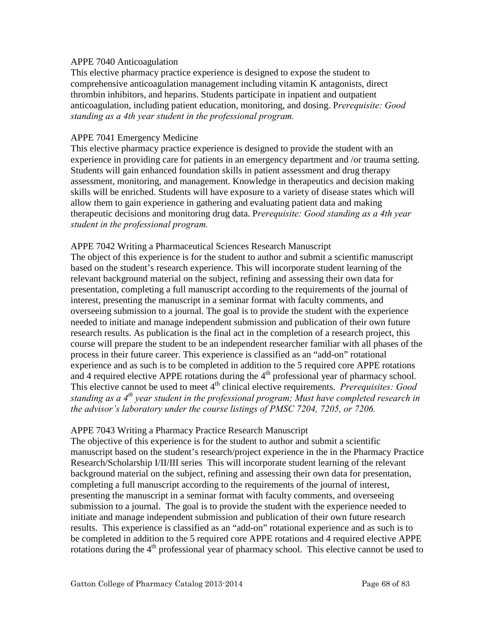#### APPE 7040 Anticoagulation

This elective pharmacy practice experience is designed to expose the student to comprehensive anticoagulation management including vitamin K antagonists, direct thrombin inhibitors, and heparins. Students participate in inpatient and outpatient anticoagulation, including patient education, monitoring, and dosing. P*rerequisite: Good standing as a 4th year student in the professional program.*

#### APPE 7041 Emergency Medicine

This elective pharmacy practice experience is designed to provide the student with an experience in providing care for patients in an emergency department and /or trauma setting. Students will gain enhanced foundation skills in patient assessment and drug therapy assessment, monitoring, and management. Knowledge in therapeutics and decision making skills will be enriched. Students will have exposure to a variety of disease states which will allow them to gain experience in gathering and evaluating patient data and making therapeutic decisions and monitoring drug data. P*rerequisite: Good standing as a 4th year student in the professional program.*

#### APPE 7042 Writing a Pharmaceutical Sciences Research Manuscript

The object of this experience is for the student to author and submit a scientific manuscript based on the student's research experience. This will incorporate student learning of the relevant background material on the subject, refining and assessing their own data for presentation, completing a full manuscript according to the requirements of the journal of interest, presenting the manuscript in a seminar format with faculty comments, and overseeing submission to a journal. The goal is to provide the student with the experience needed to initiate and manage independent submission and publication of their own future research results. As publication is the final act in the completion of a research project, this course will prepare the student to be an independent researcher familiar with all phases of the process in their future career. This experience is classified as an "add-on" rotational experience and as such is to be completed in addition to the 5 required core APPE rotations and 4 required elective APPE rotations during the  $4<sup>th</sup>$  professional year of pharmacy school. This elective cannot be used to meet 4<sup>th</sup> clinical elective requirements. *Prerequisites: Good standing as a 4th year student in the professional program; Must have completed research in the advisor's laboratory under the course listings of PMSC 7204, 7205, or 7206.*

#### APPE 7043 Writing a Pharmacy Practice Research Manuscript

The objective of this experience is for the student to author and submit a scientific manuscript based on the student's research/project experience in the in the Pharmacy Practice Research/Scholarship I/II/III series This will incorporate student learning of the relevant background material on the subject, refining and assessing their own data for presentation, completing a full manuscript according to the requirements of the journal of interest, presenting the manuscript in a seminar format with faculty comments, and overseeing submission to a journal. The goal is to provide the student with the experience needed to initiate and manage independent submission and publication of their own future research results. This experience is classified as an "add-on" rotational experience and as such is to be completed in addition to the 5 required core APPE rotations and 4 required elective APPE rotations during the  $4<sup>th</sup>$  professional year of pharmacy school. This elective cannot be used to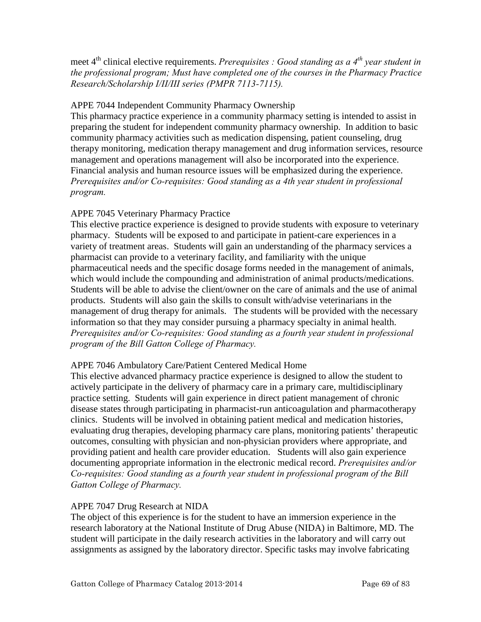# meet 4<sup>th</sup> clinical elective requirements. *Prerequisites : Good standing as a 4<sup>th</sup> year student in the professional program; Must have completed one of the courses in the Pharmacy Practice Research/Scholarship I/II/III series (PMPR 7113-7115).*

# APPE 7044 Independent Community Pharmacy Ownership

This pharmacy practice experience in a community pharmacy setting is intended to assist in preparing the student for independent community pharmacy ownership. In addition to basic community pharmacy activities such as medication dispensing, patient counseling, drug therapy monitoring, medication therapy management and drug information services, resource management and operations management will also be incorporated into the experience. Financial analysis and human resource issues will be emphasized during the experience. *Prerequisites and/or Co-requisites: Good standing as a 4th year student in professional program.* 

# APPE 7045 Veterinary Pharmacy Practice

This elective practice experience is designed to provide students with exposure to veterinary pharmacy. Students will be exposed to and participate in patient-care experiences in a variety of treatment areas. Students will gain an understanding of the pharmacy services a pharmacist can provide to a veterinary facility, and familiarity with the unique pharmaceutical needs and the specific dosage forms needed in the management of animals, which would include the compounding and administration of animal products/medications. Students will be able to advise the client/owner on the care of animals and the use of animal products. Students will also gain the skills to consult with/advise veterinarians in the management of drug therapy for animals. The students will be provided with the necessary information so that they may consider pursuing a pharmacy specialty in animal health. *Prerequisites and/or Co-requisites: Good standing as a fourth year student in professional program of the Bill Gatton College of Pharmacy.* 

# APPE 7046 Ambulatory Care/Patient Centered Medical Home

This elective advanced pharmacy practice experience is designed to allow the student to actively participate in the delivery of pharmacy care in a primary care, multidisciplinary practice setting. Students will gain experience in direct patient management of chronic disease states through participating in pharmacist-run anticoagulation and pharmacotherapy clinics. Students will be involved in obtaining patient medical and medication histories, evaluating drug therapies, developing pharmacy care plans, monitoring patients' therapeutic outcomes, consulting with physician and non-physician providers where appropriate, and providing patient and health care provider education. Students will also gain experience documenting appropriate information in the electronic medical record. *Prerequisites and/or Co-requisites: Good standing as a fourth year student in professional program of the Bill Gatton College of Pharmacy.* 

# APPE 7047 Drug Research at NIDA

The object of this experience is for the student to have an immersion experience in the research laboratory at the National Institute of Drug Abuse (NIDA) in Baltimore, MD. The student will participate in the daily research activities in the laboratory and will carry out assignments as assigned by the laboratory director. Specific tasks may involve fabricating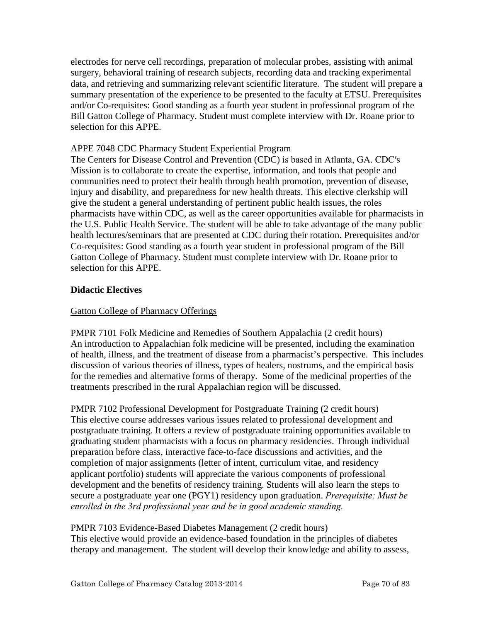electrodes for nerve cell recordings, preparation of molecular probes, assisting with animal surgery, behavioral training of research subjects, recording data and tracking experimental data, and retrieving and summarizing relevant scientific literature. The student will prepare a summary presentation of the experience to be presented to the faculty at ETSU. Prerequisites and/or Co-requisites: Good standing as a fourth year student in professional program of the Bill Gatton College of Pharmacy. Student must complete interview with Dr. Roane prior to selection for this APPE.

## APPE 7048 CDC Pharmacy Student Experiential Program

The Centers for Disease Control and Prevention (CDC) is based in Atlanta, GA. CDC′s Mission is to collaborate to create the expertise, information, and tools that people and communities need to protect their health through health promotion, prevention of disease, injury and disability, and preparedness for new health threats. This elective clerkship will give the student a general understanding of pertinent public health issues, the roles pharmacists have within CDC, as well as the career opportunities available for pharmacists in the U.S. Public Health Service. The student will be able to take advantage of the many public health lectures/seminars that are presented at CDC during their rotation. Prerequisites and/or Co-requisites: Good standing as a fourth year student in professional program of the Bill Gatton College of Pharmacy. Student must complete interview with Dr. Roane prior to selection for this APPE.

# **Didactic Electives**

## Gatton College of Pharmacy Offerings

PMPR 7101 Folk Medicine and Remedies of Southern Appalachia (2 credit hours) An introduction to Appalachian folk medicine will be presented, including the examination of health, illness, and the treatment of disease from a pharmacist's perspective. This includes discussion of various theories of illness, types of healers, nostrums, and the empirical basis for the remedies and alternative forms of therapy. Some of the medicinal properties of the treatments prescribed in the rural Appalachian region will be discussed.

PMPR 7102 Professional Development for Postgraduate Training (2 credit hours) This elective course addresses various issues related to professional development and postgraduate training. It offers a review of postgraduate training opportunities available to graduating student pharmacists with a focus on pharmacy residencies. Through individual preparation before class, interactive face-to-face discussions and activities, and the completion of major assignments (letter of intent, curriculum vitae, and residency applicant portfolio) students will appreciate the various components of professional development and the benefits of residency training. Students will also learn the steps to secure a postgraduate year one (PGY1) residency upon graduation. *Prerequisite: Must be enrolled in the 3rd professional year and be in good academic standing.*

PMPR 7103 Evidence-Based Diabetes Management (2 credit hours) This elective would provide an evidence-based foundation in the principles of diabetes therapy and management. The student will develop their knowledge and ability to assess,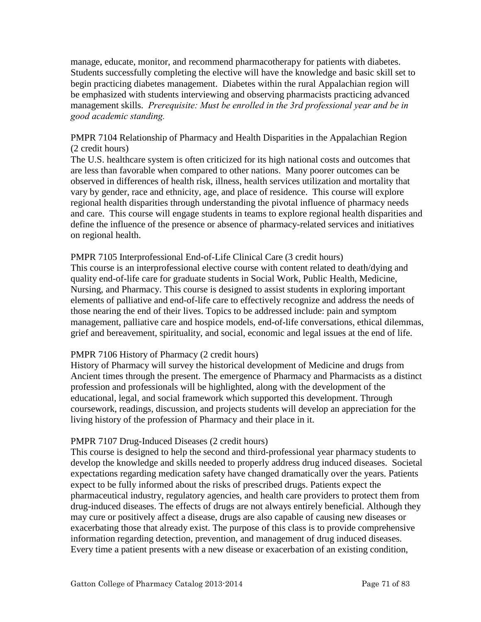manage, educate, monitor, and recommend pharmacotherapy for patients with diabetes. Students successfully completing the elective will have the knowledge and basic skill set to begin practicing diabetes management. Diabetes within the rural Appalachian region will be emphasized with students interviewing and observing pharmacists practicing advanced management skills. *Prerequisite: Must be enrolled in the 3rd professional year and be in good academic standing.* 

## PMPR 7104 Relationship of Pharmacy and Health Disparities in the Appalachian Region (2 credit hours)

The U.S. healthcare system is often criticized for its high national costs and outcomes that are less than favorable when compared to other nations. Many poorer outcomes can be observed in differences of health risk, illness, health services utilization and mortality that vary by gender, race and ethnicity, age, and place of residence. This course will explore regional health disparities through understanding the pivotal influence of pharmacy needs and care. This course will engage students in teams to explore regional health disparities and define the influence of the presence or absence of pharmacy-related services and initiatives on regional health.

## PMPR 7105 Interprofessional End-of-Life Clinical Care (3 credit hours)

This course is an interprofessional elective course with content related to death/dying and quality end-of-life care for graduate students in Social Work, Public Health, Medicine, Nursing, and Pharmacy. This course is designed to assist students in exploring important elements of palliative and end-of-life care to effectively recognize and address the needs of those nearing the end of their lives. Topics to be addressed include: pain and symptom management, palliative care and hospice models, end-of-life conversations, ethical dilemmas, grief and bereavement, spirituality, and social, economic and legal issues at the end of life.

# PMPR 7106 History of Pharmacy (2 credit hours)

History of Pharmacy will survey the historical development of Medicine and drugs from Ancient times through the present. The emergence of Pharmacy and Pharmacists as a distinct profession and professionals will be highlighted, along with the development of the educational, legal, and social framework which supported this development. Through coursework, readings, discussion, and projects students will develop an appreciation for the living history of the profession of Pharmacy and their place in it.

# PMPR 7107 Drug-Induced Diseases (2 credit hours)

This course is designed to help the second and third-professional year pharmacy students to develop the knowledge and skills needed to properly address drug induced diseases. Societal expectations regarding medication safety have changed dramatically over the years. Patients expect to be fully informed about the risks of prescribed drugs. Patients expect the pharmaceutical industry, regulatory agencies, and health care providers to protect them from drug-induced diseases. The effects of drugs are not always entirely beneficial. Although they may cure or positively affect a disease, drugs are also capable of causing new diseases or exacerbating those that already exist. The purpose of this class is to provide comprehensive information regarding detection, prevention, and management of drug induced diseases. Every time a patient presents with a new disease or exacerbation of an existing condition,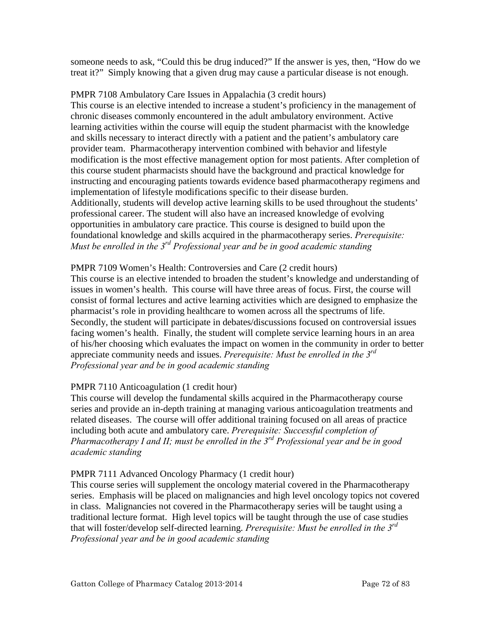someone needs to ask, "Could this be drug induced?" If the answer is yes, then, "How do we treat it?" Simply knowing that a given drug may cause a particular disease is not enough.

PMPR 7108 Ambulatory Care Issues in Appalachia (3 credit hours) This course is an elective intended to increase a student's proficiency in the management of chronic diseases commonly encountered in the adult ambulatory environment. Active learning activities within the course will equip the student pharmacist with the knowledge and skills necessary to interact directly with a patient and the patient's ambulatory care provider team. Pharmacotherapy intervention combined with behavior and lifestyle modification is the most effective management option for most patients. After completion of this course student pharmacists should have the background and practical knowledge for instructing and encouraging patients towards evidence based pharmacotherapy regimens and implementation of lifestyle modifications specific to their disease burden. Additionally, students will develop active learning skills to be used throughout the students' professional career. The student will also have an increased knowledge of evolving opportunities in ambulatory care practice. This course is designed to build upon the foundational knowledge and skills acquired in the pharmacotherapy series. *Prerequisite: Must be enrolled in the 3rd Professional year and be in good academic standing*

# PMPR 7109 Women's Health: Controversies and Care (2 credit hours)

This course is an elective intended to broaden the student's knowledge and understanding of issues in women's health. This course will have three areas of focus. First, the course will consist of formal lectures and active learning activities which are designed to emphasize the pharmacist's role in providing healthcare to women across all the spectrums of life. Secondly, the student will participate in debates/discussions focused on controversial issues facing women's health. Finally, the student will complete service learning hours in an area of his/her choosing which evaluates the impact on women in the community in order to better appreciate community needs and issues. *Prerequisite: Must be enrolled in the 3rd Professional year and be in good academic standing*

# PMPR 7110 Anticoagulation (1 credit hour)

This course will develop the fundamental skills acquired in the Pharmacotherapy course series and provide an in-depth training at managing various anticoagulation treatments and related diseases. The course will offer additional training focused on all areas of practice including both acute and ambulatory care. *Prerequisite: Successful completion of Pharmacotherapy I and II; must be enrolled in the 3rd Professional year and be in good academic standing*

#### PMPR 7111 Advanced Oncology Pharmacy (1 credit hour)

This course series will supplement the oncology material covered in the Pharmacotherapy series. Emphasis will be placed on malignancies and high level oncology topics not covered in class. Malignancies not covered in the Pharmacotherapy series will be taught using a traditional lecture format. High level topics will be taught through the use of case studies that will foster/develop self-directed learning. *Prerequisite: Must be enrolled in the 3rd Professional year and be in good academic standing*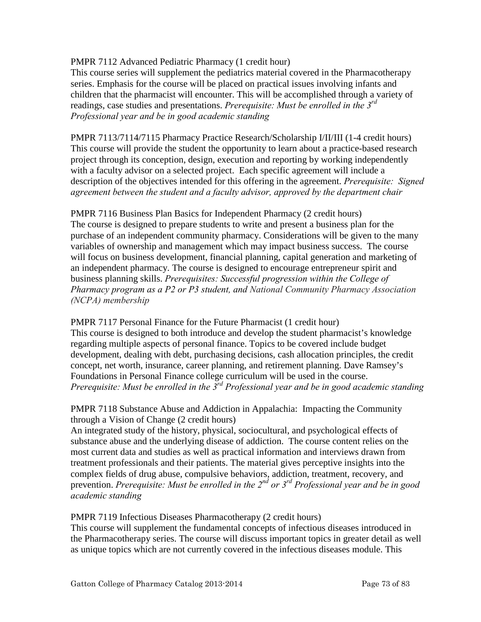PMPR 7112 Advanced Pediatric Pharmacy (1 credit hour)

This course series will supplement the pediatrics material covered in the Pharmacotherapy series. Emphasis for the course will be placed on practical issues involving infants and children that the pharmacist will encounter. This will be accomplished through a variety of readings, case studies and presentations. *Prerequisite: Must be enrolled in the 3rd Professional year and be in good academic standing*

PMPR 7113/7114/7115 Pharmacy Practice Research/Scholarship I/II/III (1-4 credit hours) This course will provide the student the opportunity to learn about a practice-based research project through its conception, design, execution and reporting by working independently with a faculty advisor on a selected project. Each specific agreement will include a description of the objectives intended for this offering in the agreement. *Prerequisite: Signed agreement between the student and a faculty advisor, approved by the department chair*

PMPR 7116 Business Plan Basics for Independent Pharmacy (2 credit hours) The course is designed to prepare students to write and present a business plan for the purchase of an independent community pharmacy. Considerations will be given to the many variables of ownership and management which may impact business success. The course will focus on business development, financial planning, capital generation and marketing of an independent pharmacy. The course is designed to encourage entrepreneur spirit and business planning skills. *Prerequisites: Successful progression within the College of Pharmacy program as a P2 or P3 student, and National Community Pharmacy Association (NCPA) membership*

PMPR 7117 Personal Finance for the Future Pharmacist (1 credit hour) This course is designed to both introduce and develop the student pharmacist's knowledge regarding multiple aspects of personal finance. Topics to be covered include budget development, dealing with debt, purchasing decisions, cash allocation principles, the credit concept, net worth, insurance, career planning, and retirement planning. Dave Ramsey's Foundations in Personal Finance college curriculum will be used in the course. *Prerequisite: Must be enrolled in the 3rd Professional year and be in good academic standing*

PMPR 7118 Substance Abuse and Addiction in Appalachia: Impacting the Community through a Vision of Change (2 credit hours)

An integrated study of the history, physical, sociocultural, and psychological effects of substance abuse and the underlying disease of addiction. The course content relies on the most current data and studies as well as practical information and interviews drawn from treatment professionals and their patients. The material gives perceptive insights into the complex fields of drug abuse, compulsive behaviors, addiction, treatment, recovery, and prevention. *Prerequisite: Must be enrolled in the 2nd or 3rd Professional year and be in good academic standing*

PMPR 7119 Infectious Diseases Pharmacotherapy (2 credit hours)

This course will supplement the fundamental concepts of infectious diseases introduced in the Pharmacotherapy series. The course will discuss important topics in greater detail as well as unique topics which are not currently covered in the infectious diseases module. This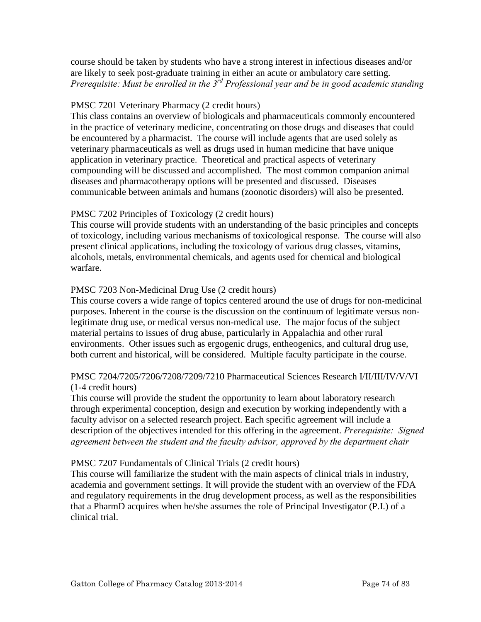course should be taken by students who have a strong interest in infectious diseases and/or are likely to seek post‐graduate training in either an acute or ambulatory care setting. *Prerequisite: Must be enrolled in the 3rd Professional year and be in good academic standing*

## PMSC 7201 Veterinary Pharmacy (2 credit hours)

This class contains an overview of biologicals and pharmaceuticals commonly encountered in the practice of veterinary medicine, concentrating on those drugs and diseases that could be encountered by a pharmacist. The course will include agents that are used solely as veterinary pharmaceuticals as well as drugs used in human medicine that have unique application in veterinary practice. Theoretical and practical aspects of veterinary compounding will be discussed and accomplished. The most common companion animal diseases and pharmacotherapy options will be presented and discussed. Diseases communicable between animals and humans (zoonotic disorders) will also be presented.

## PMSC 7202 Principles of Toxicology (2 credit hours)

This course will provide students with an understanding of the basic principles and concepts of toxicology, including various mechanisms of toxicological response. The course will also present clinical applications, including the toxicology of various drug classes, vitamins, alcohols, metals, environmental chemicals, and agents used for chemical and biological warfare.

## PMSC 7203 Non-Medicinal Drug Use (2 credit hours)

This course covers a wide range of topics centered around the use of drugs for non-medicinal purposes. Inherent in the course is the discussion on the continuum of legitimate versus nonlegitimate drug use, or medical versus non-medical use. The major focus of the subject material pertains to issues of drug abuse, particularly in Appalachia and other rural environments. Other issues such as ergogenic drugs, entheogenics, and cultural drug use, both current and historical, will be considered. Multiple faculty participate in the course.

## PMSC 7204/7205/7206/7208/7209/7210 Pharmaceutical Sciences Research I/II/III/IV/V/VI (1-4 credit hours)

This course will provide the student the opportunity to learn about laboratory research through experimental conception, design and execution by working independently with a faculty advisor on a selected research project. Each specific agreement will include a description of the objectives intended for this offering in the agreement. *Prerequisite: Signed agreement between the student and the faculty advisor, approved by the department chair*

#### PMSC 7207 Fundamentals of Clinical Trials (2 credit hours)

This course will familiarize the student with the main aspects of clinical trials in industry, academia and government settings. It will provide the student with an overview of the FDA and regulatory requirements in the drug development process, as well as the responsibilities that a PharmD acquires when he/she assumes the role of Principal Investigator (P.I.) of a clinical trial.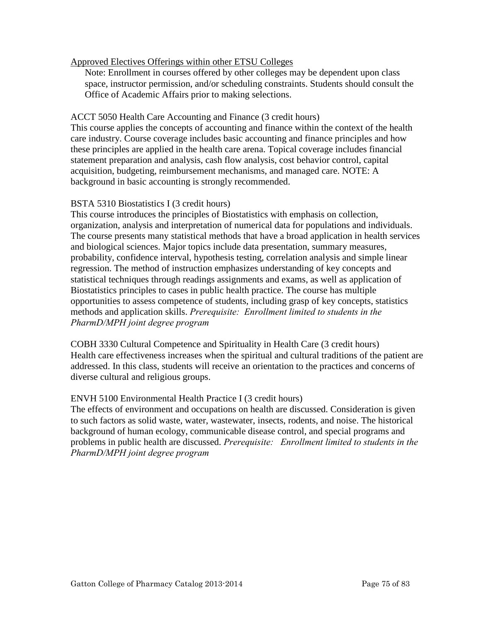## Approved Electives Offerings within other ETSU Colleges

Note: Enrollment in courses offered by other colleges may be dependent upon class space, instructor permission, and/or scheduling constraints. Students should consult the Office of Academic Affairs prior to making selections.

## ACCT 5050 Health Care Accounting and Finance (3 credit hours)

This course applies the concepts of accounting and finance within the context of the health care industry. Course coverage includes basic accounting and finance principles and how these principles are applied in the health care arena. Topical coverage includes financial statement preparation and analysis, cash flow analysis, cost behavior control, capital acquisition, budgeting, reimbursement mechanisms, and managed care. NOTE: A background in basic accounting is strongly recommended.

## BSTA 5310 Biostatistics I (3 credit hours)

This course introduces the principles of Biostatistics with emphasis on collection, organization, analysis and interpretation of numerical data for populations and individuals. The course presents many statistical methods that have a broad application in health services and biological sciences. Major topics include data presentation, summary measures, probability, confidence interval, hypothesis testing, correlation analysis and simple linear regression. The method of instruction emphasizes understanding of key concepts and statistical techniques through readings assignments and exams, as well as application of Biostatistics principles to cases in public health practice. The course has multiple opportunities to assess competence of students, including grasp of key concepts, statistics methods and application skills. *Prerequisite: Enrollment limited to students in the PharmD/MPH joint degree program*

COBH 3330 Cultural Competence and Spirituality in Health Care (3 credit hours) Health care effectiveness increases when the spiritual and cultural traditions of the patient are addressed. In this class, students will receive an orientation to the practices and concerns of diverse cultural and religious groups.

#### ENVH 5100 Environmental Health Practice I (3 credit hours)

The effects of environment and occupations on health are discussed. Consideration is given to such factors as solid waste, water, wastewater, insects, rodents, and noise. The historical background of human ecology, communicable disease control, and special programs and problems in public health are discussed. *Prerequisite: Enrollment limited to students in the PharmD/MPH joint degree program*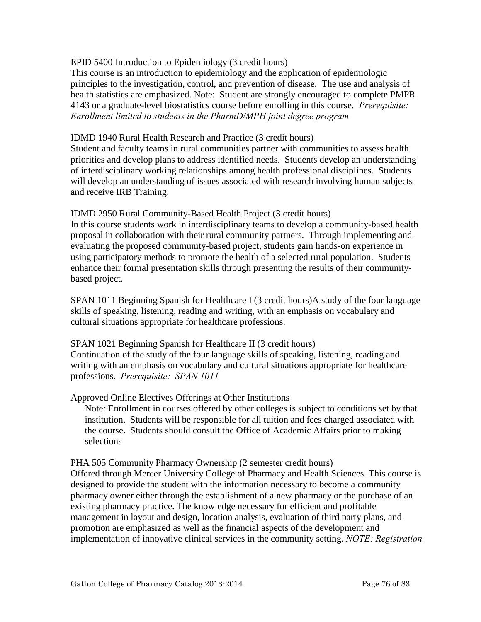### EPID 5400 Introduction to Epidemiology (3 credit hours)

This course is an introduction to epidemiology and the application of epidemiologic principles to the investigation, control, and prevention of disease. The use and analysis of health statistics are emphasized. Note: Student are strongly encouraged to complete PMPR 4143 or a graduate-level biostatistics course before enrolling in this course. *Prerequisite: Enrollment limited to students in the PharmD/MPH joint degree program*

## IDMD 1940 Rural Health Research and Practice (3 credit hours)

Student and faculty teams in rural communities partner with communities to assess health priorities and develop plans to address identified needs. Students develop an understanding of interdisciplinary working relationships among health professional disciplines. Students will develop an understanding of issues associated with research involving human subjects and receive IRB Training.

## IDMD 2950 Rural Community-Based Health Project (3 credit hours)

In this course students work in interdisciplinary teams to develop a community-based health proposal in collaboration with their rural community partners. Through implementing and evaluating the proposed community-based project, students gain hands-on experience in using participatory methods to promote the health of a selected rural population. Students enhance their formal presentation skills through presenting the results of their communitybased project.

SPAN 1011 Beginning Spanish for Healthcare I (3 credit hours)A study of the four language skills of speaking, listening, reading and writing, with an emphasis on vocabulary and cultural situations appropriate for healthcare professions.

## SPAN 1021 Beginning Spanish for Healthcare II (3 credit hours) Continuation of the study of the four language skills of speaking, listening, reading and writing with an emphasis on vocabulary and cultural situations appropriate for healthcare professions. *Prerequisite: SPAN 1011*

## Approved Online Electives Offerings at Other Institutions

Note: Enrollment in courses offered by other colleges is subject to conditions set by that institution. Students will be responsible for all tuition and fees charged associated with the course. Students should consult the Office of Academic Affairs prior to making selections

#### PHA 505 Community Pharmacy Ownership (2 semester credit hours)

Offered through Mercer University College of Pharmacy and Health Sciences. This course is designed to provide the student with the information necessary to become a community pharmacy owner either through the establishment of a new pharmacy or the purchase of an existing pharmacy practice. The knowledge necessary for efficient and profitable management in layout and design, location analysis, evaluation of third party plans, and promotion are emphasized as well as the financial aspects of the development and implementation of innovative clinical services in the community setting. *NOTE: Registration*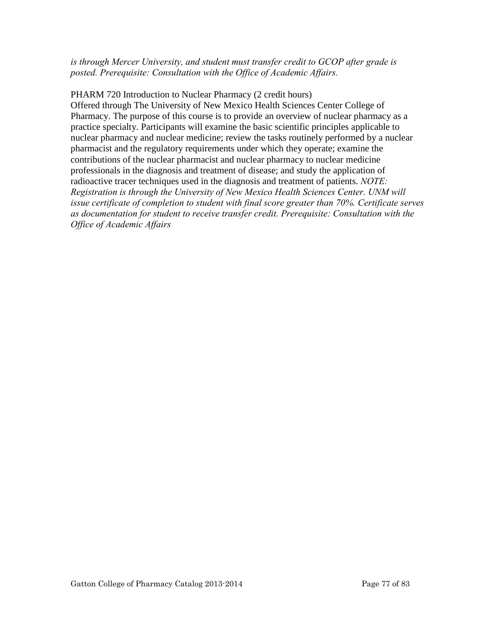*is through Mercer University, and student must transfer credit to GCOP after grade is posted. Prerequisite: Consultation with the Office of Academic Affairs.*

PHARM 720 Introduction to Nuclear Pharmacy (2 credit hours) Offered through The University of New Mexico Health Sciences Center College of Pharmacy. The purpose of this course is to provide an overview of nuclear pharmacy as a practice specialty. Participants will examine the basic scientific principles applicable to nuclear pharmacy and nuclear medicine; review the tasks routinely performed by a nuclear pharmacist and the regulatory requirements under which they operate; examine the contributions of the nuclear pharmacist and nuclear pharmacy to nuclear medicine professionals in the diagnosis and treatment of disease; and study the application of radioactive tracer techniques used in the diagnosis and treatment of patients. *NOTE: Registration is through the University of New Mexico Health Sciences Center. UNM will issue certificate of completion to student with final score greater than 70%. Certificate serves as documentation for student to receive transfer credit. Prerequisite: Consultation with the Office of Academic Affairs*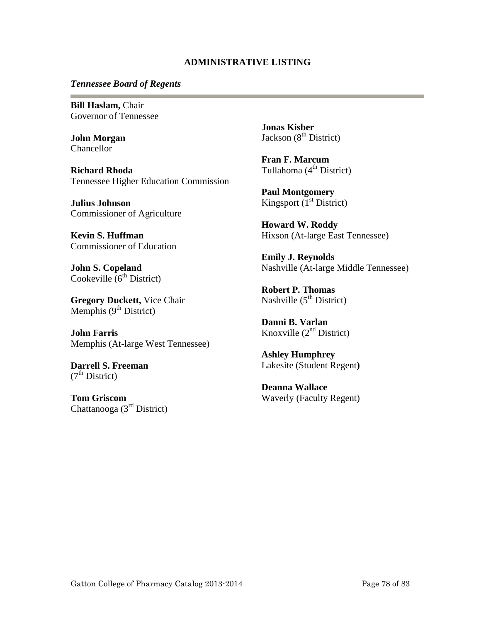#### **ADMINISTRATIVE LISTING**

#### *Tennessee Board of Regents*

**Bill Haslam,** Chair Governor of Tennessee

**John Morgan**  Chancellor

**Richard Rhoda** Tennessee Higher Education Commission

**Julius Johnson** Commissioner of Agriculture

**Kevin S. Huffman**  Commissioner of Education

**John S. Copeland**  Cookeville  $6<sup>th</sup>$  District)

**Gregory Duckett,** Vice Chair Memphis  $(9<sup>th</sup> District)$ 

**John Farris**  Memphis (At-large West Tennessee)

**Darrell S. Freeman**  $(7<sup>th</sup> District)$ 

**Tom Griscom** Chattanooga (3rd District) **Jonas Kisber**  Jackson  $(8<sup>th</sup> District)$ 

**Fran F. Marcum** Tullahoma  $(4<sup>th</sup> District)$ 

**Paul Montgomery** Kingsport  $(I<sup>st</sup> District)$ 

**Howard W. Roddy**  Hixson (At-large East Tennessee)

**Emily J. Reynolds**  Nashville (At-large Middle Tennessee)

**Robert P. Thomas** Nashville  $(5<sup>th</sup> District)$ 

**Danni B. Varlan**  Knoxville  $(2<sup>nd</sup> District)$ 

**Ashley Humphrey** Lakesite (Student Regent**)** 

**Deanna Wallace**  Waverly (Faculty Regent)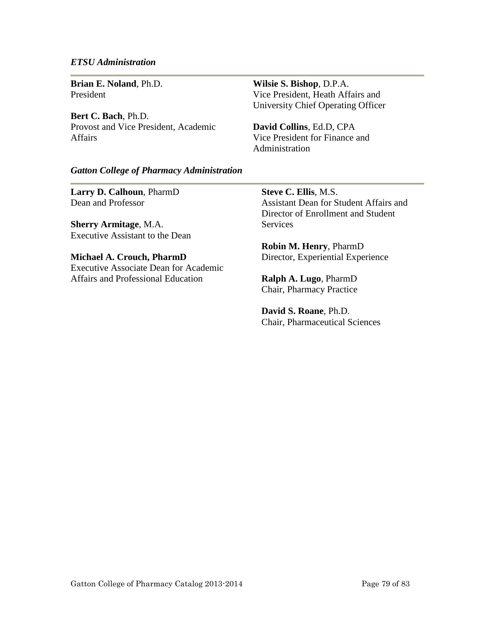#### *ETSU Administration*

**Brian E. Noland**, Ph.D. President

**Bert C. Bach**, Ph.D. Provost and Vice President, Academic Affairs

**Wilsie S. Bishop**, D.P.A. Vice President, Heath Affairs and University Chief Operating Officer

**David Collins**, Ed.D, CPA Vice President for Finance and Administration

#### *Gatton College of Pharmacy Administration*

**Larry D. Calhoun**, PharmD Dean and Professor

**Sherry Armitage**, M.A. Executive Assistant to the Dean

**Michael A. Crouch, PharmD**  Executive Associate Dean for Academic Affairs and Professional Education

**Steve C. Ellis**, M.S. Assistant Dean for Student Affairs and Director of Enrollment and Student **Services** 

**Robin M. Henry**, PharmD Director, Experiential Experience

**Ralph A. Lugo**, PharmD Chair, Pharmacy Practice

**David S. Roane**, Ph.D. Chair, Pharmaceutical Sciences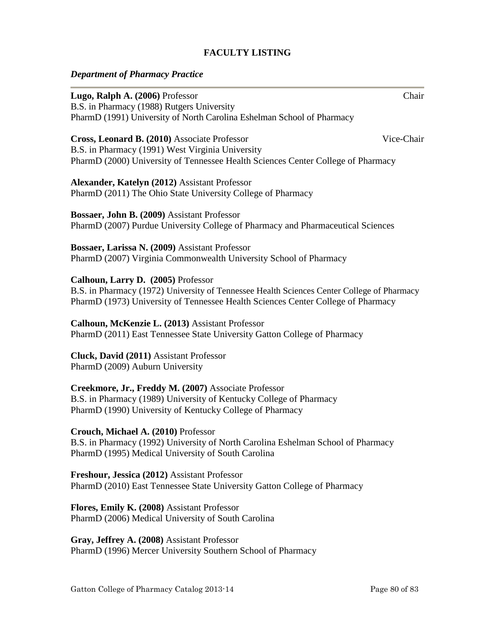## **FACULTY LISTING**

### *Department of Pharmacy Practice*

| Lugo, Ralph A. (2006) Professor                                                            | Chair      |
|--------------------------------------------------------------------------------------------|------------|
| B.S. in Pharmacy (1988) Rutgers University                                                 |            |
| PharmD (1991) University of North Carolina Eshelman School of Pharmacy                     |            |
| Cross, Leonard B. (2010) Associate Professor                                               | Vice-Chair |
| B.S. in Pharmacy (1991) West Virginia University                                           |            |
| PharmD (2000) University of Tennessee Health Sciences Center College of Pharmacy           |            |
| Alexander, Katelyn (2012) Assistant Professor                                              |            |
| PharmD (2011) The Ohio State University College of Pharmacy                                |            |
| <b>Bossaer, John B. (2009)</b> Assistant Professor                                         |            |
| PharmD (2007) Purdue University College of Pharmacy and Pharmaceutical Sciences            |            |
| Bossaer, Larissa N. (2009) Assistant Professor                                             |            |
| PharmD (2007) Virginia Commonwealth University School of Pharmacy                          |            |
| Calhoun, Larry D. (2005) Professor                                                         |            |
| B.S. in Pharmacy (1972) University of Tennessee Health Sciences Center College of Pharmacy |            |
| PharmD (1973) University of Tennessee Health Sciences Center College of Pharmacy           |            |
| Calhoun, McKenzie L. (2013) Assistant Professor                                            |            |
| PharmD (2011) East Tennessee State University Gatton College of Pharmacy                   |            |
| Cluck, David (2011) Assistant Professor                                                    |            |
| PharmD (2009) Auburn University                                                            |            |
| Creekmore, Jr., Freddy M. (2007) Associate Professor                                       |            |
| B.S. in Pharmacy (1989) University of Kentucky College of Pharmacy                         |            |
| PharmD (1990) University of Kentucky College of Pharmacy                                   |            |
| Crouch, Michael A. (2010) Professor                                                        |            |
| B.S. in Pharmacy (1992) University of North Carolina Eshelman School of Pharmacy           |            |
|                                                                                            |            |

PharmD (1995) Medical University of South Carolina

**Freshour, Jessica (2012)** Assistant Professor PharmD (2010) East Tennessee State University Gatton College of Pharmacy

**Flores, Emily K. (2008)** Assistant Professor PharmD (2006) Medical University of South Carolina

**Gray, Jeffrey A. (2008)** Assistant Professor PharmD (1996) Mercer University Southern School of Pharmacy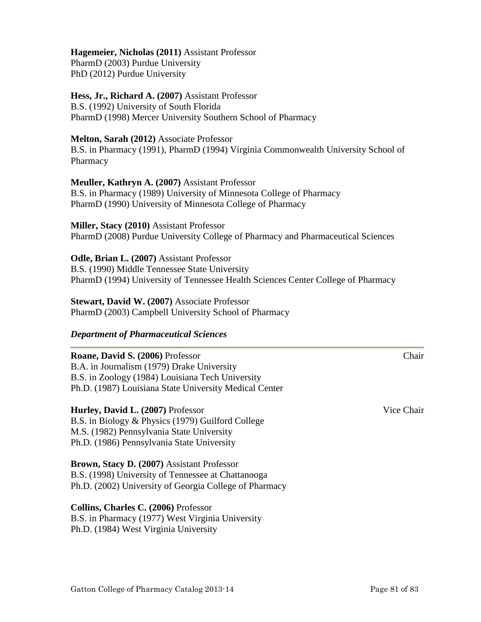#### **Hagemeier, Nicholas (2011)** Assistant Professor

PharmD (2003) Purdue University PhD (2012) Purdue University

# **Hess, Jr., Richard A. (2007)** Assistant Professor

B.S. (1992) University of South Florida PharmD (1998) Mercer University Southern School of Pharmacy

#### **Melton, Sarah (2012)** Associate Professor

B.S. in Pharmacy (1991), PharmD (1994) Virginia Commonwealth University School of Pharmacy

#### **Meuller, Kathryn A. (2007)** Assistant Professor

B.S. in Pharmacy (1989) University of Minnesota College of Pharmacy PharmD (1990) University of Minnesota College of Pharmacy

**Miller, Stacy (2010)** Assistant Professor PharmD (2008) Purdue University College of Pharmacy and Pharmaceutical Sciences

#### **Odle, Brian L. (2007)** Assistant Professor

B.S. (1990) Middle Tennessee State University PharmD (1994) University of Tennessee Health Sciences Center College of Pharmacy

**Stewart, David W. (2007)** Associate Professor PharmD (2003) Campbell University School of Pharmacy

#### *Department of Pharmaceutical Sciences*

## **Roane, David S. (2006)** Professor Chair B.A. in Journalism (1979) Drake University B.S. in Zoology (1984) Louisiana Tech University Ph.D. (1987) Louisiana State University Medical Center

#### **Hurley, David L. (2007)** Professor **Vice Chair** Vice Chair

B.S. in Biology & Physics (1979) Guilford College M.S. (1982) Pennsylvania State University Ph.D. (1986) Pennsylvania State University

# **Brown, Stacy D. (2007)** Assistant Professor

B.S. (1998) University of Tennessee at Chattanooga Ph.D. (2002) University of Georgia College of Pharmacy

#### **Collins, Charles C. (2006)** Professor

B.S. in Pharmacy (1977) West Virginia University Ph.D. (1984) West Virginia University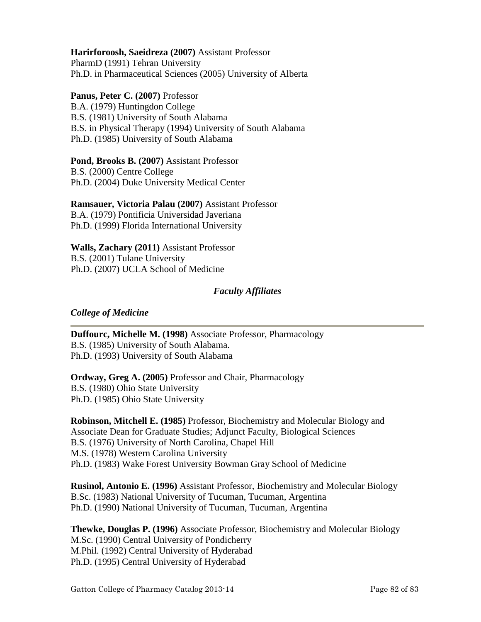## **Harirforoosh, Saeidreza (2007)** Assistant Professor

PharmD (1991) Tehran University Ph.D. in Pharmaceutical Sciences (2005) University of Alberta

#### **Panus, Peter C. (2007)** Professor

B.A. (1979) Huntingdon College B.S. (1981) University of South Alabama B.S. in Physical Therapy (1994) University of South Alabama Ph.D. (1985) University of South Alabama

# **Pond, Brooks B. (2007)** Assistant Professor

B.S. (2000) Centre College Ph.D. (2004) Duke University Medical Center

## **Ramsauer, Victoria Palau (2007)** Assistant Professor

B.A. (1979) Pontificia Universidad Javeriana Ph.D. (1999) Florida International University

#### **Walls, Zachary (2011)** Assistant Professor

B.S. (2001) Tulane University Ph.D. (2007) UCLA School of Medicine

#### *Faculty Affiliates*

#### *College of Medicine*

**Duffourc, Michelle M. (1998)** Associate Professor, Pharmacology B.S. (1985) University of South Alabama. Ph.D. (1993) University of South Alabama

**Ordway, Greg A. (2005)** Professor and Chair, Pharmacology B.S. (1980) Ohio State University Ph.D. (1985) Ohio State University

**Robinson, Mitchell E. (1985)** Professor, Biochemistry and Molecular Biology and Associate Dean for Graduate Studies; Adjunct Faculty, Biological Sciences B.S. (1976) University of North Carolina, Chapel Hill M.S. (1978) Western Carolina University Ph.D. (1983) Wake Forest University Bowman Gray School of Medicine

**Rusinol, Antonio E. (1996)** Assistant Professor, Biochemistry and Molecular Biology B.Sc. (1983) National University of Tucuman, Tucuman, Argentina Ph.D. (1990) National University of Tucuman, Tucuman, Argentina

**Thewke, Douglas P. (1996)** Associate Professor, Biochemistry and Molecular Biology M.Sc. (1990) Central University of Pondicherry M.Phil. (1992) Central University of Hyderabad Ph.D. (1995) Central University of Hyderabad